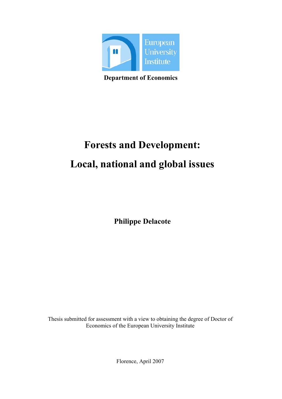

**Department of Economics**

# **Forests and Development: Local, national and global issues**

**Philippe Delacote** 

Thesis submitted for assessment with a view to obtaining the degree of Doctor of Economics of the European University Institute

Florence, April 2007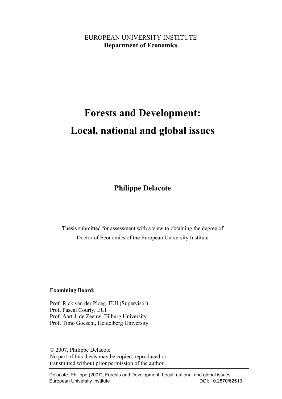# EUROPEAN UNIVERSITY INSTITUTE **Department of Economics**

# **Forests and Development: Local, national and global issues**

**Philippe Delacote** 

Thesis submitted for assessment with a view to obtaining the degree of Doctor of Economics of the European University Institute

## **Examining Board:**

Prof. Rick van der Ploeg, EUI (Supervisor) Prof. Pascal Courty, EUI Prof. Aart J. de Zeeuw, Tilburg University Prof. Timo Goeschl, Heidelberg University

© 2007, Philippe Delacote No part of this thesis may be copied, reproduced or transmitted without prior permission of the author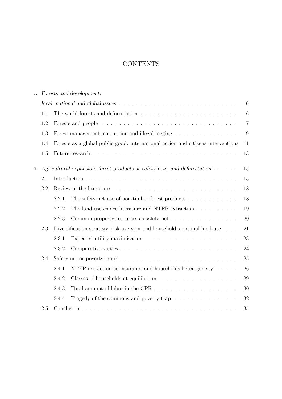# **CONTENTS**

| 1. |     | Forests and development:                                                 |                                                                                                                                             |                |  |  |  |
|----|-----|--------------------------------------------------------------------------|---------------------------------------------------------------------------------------------------------------------------------------------|----------------|--|--|--|
|    |     |                                                                          | $local, \text{ \textit{national}} \text{ and \textit{global} issues \dots \dots \dots \dots \dots \dots \dots \dots \dots \dots \dots$<br>6 |                |  |  |  |
|    | 1.1 |                                                                          |                                                                                                                                             | 6              |  |  |  |
|    | 1.2 |                                                                          |                                                                                                                                             | $\overline{7}$ |  |  |  |
|    | 1.3 |                                                                          | Forest management, corruption and illegal logging                                                                                           | $9\,$          |  |  |  |
|    | 1.4 |                                                                          | Forests as a global public good: international action and citizens interventions                                                            | 11             |  |  |  |
|    | 1.5 |                                                                          |                                                                                                                                             | 13             |  |  |  |
| 2. |     |                                                                          | Agricultural expansion, forest products as safety nets, and deforestation                                                                   | 15             |  |  |  |
|    | 2.1 |                                                                          |                                                                                                                                             | 15             |  |  |  |
|    | 2.2 |                                                                          |                                                                                                                                             | 18             |  |  |  |
|    |     | 2.2.1                                                                    | The safety-net use of non-timber forest products $\dots \dots \dots \dots$                                                                  | 18             |  |  |  |
|    |     | 2.2.2                                                                    | The land-use choice literature and NTFP extraction                                                                                          | 19             |  |  |  |
|    |     | 2.2.3                                                                    | Common property resources as safety net                                                                                                     | 20             |  |  |  |
|    | 2.3 | Diversification strategy, risk-aversion and household's optimal land-use |                                                                                                                                             | 21             |  |  |  |
|    |     | 2.3.1                                                                    |                                                                                                                                             | 23             |  |  |  |
|    |     | 2.3.2                                                                    |                                                                                                                                             | 24             |  |  |  |
|    | 2.4 |                                                                          |                                                                                                                                             |                |  |  |  |
|    |     | 2.4.1                                                                    | NTFP extraction as insurance and households heterogeneity $\dots$ .                                                                         | 26             |  |  |  |
|    |     | 2.4.2                                                                    |                                                                                                                                             | 29             |  |  |  |
|    |     | 2.4.3                                                                    |                                                                                                                                             | 30             |  |  |  |
|    |     | 2.4.4                                                                    | Tragedy of the commons and poverty trap $\ldots \ldots \ldots \ldots$                                                                       | 32             |  |  |  |
|    | 2.5 |                                                                          |                                                                                                                                             | 35             |  |  |  |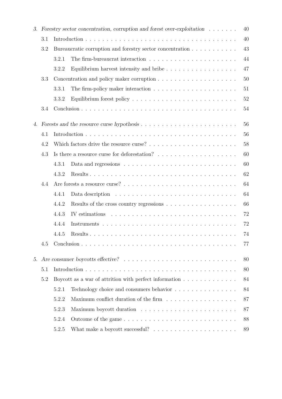| 3. | Forestry sector concentration, corruption and forest over-exploitation                      |       |                                                                                          |  |    |  | 40 |    |
|----|---------------------------------------------------------------------------------------------|-------|------------------------------------------------------------------------------------------|--|----|--|----|----|
|    | 3.1                                                                                         |       |                                                                                          |  |    |  |    | 40 |
|    | 3.2                                                                                         |       | Bureaucratic corruption and forestry sector concentration                                |  |    |  |    | 43 |
|    |                                                                                             | 3.2.1 |                                                                                          |  |    |  |    | 44 |
|    |                                                                                             | 3.2.2 | Equilibrium harvest intensity and bribe $\ldots \ldots \ldots \ldots \ldots$             |  |    |  |    | 47 |
|    | 3.3                                                                                         |       |                                                                                          |  |    |  |    | 50 |
|    |                                                                                             | 3.3.1 |                                                                                          |  |    |  |    | 51 |
|    |                                                                                             | 3.3.2 |                                                                                          |  |    |  |    | 52 |
|    | 3.4                                                                                         |       |                                                                                          |  |    |  |    | 54 |
| 4. |                                                                                             |       |                                                                                          |  |    |  |    | 56 |
|    | 4.1                                                                                         |       |                                                                                          |  |    |  |    | 56 |
|    | 4.2                                                                                         |       |                                                                                          |  |    |  |    | 58 |
|    | 4.3                                                                                         |       | Is there a resource curse for deforestation? $\ldots \ldots \ldots \ldots \ldots \ldots$ |  |    |  |    | 60 |
|    |                                                                                             | 4.3.1 |                                                                                          |  |    |  |    | 60 |
|    |                                                                                             | 4.3.2 |                                                                                          |  |    |  |    | 62 |
|    | 4.4                                                                                         |       |                                                                                          |  |    |  |    | 64 |
|    |                                                                                             | 4.4.1 |                                                                                          |  |    |  |    | 64 |
|    |                                                                                             | 4.4.2 |                                                                                          |  |    |  |    | 66 |
|    |                                                                                             | 4.4.3 | IV estimations $\ldots \ldots \ldots \ldots \ldots \ldots \ldots \ldots \ldots \ldots$   |  |    |  |    | 72 |
|    |                                                                                             | 4.4.4 |                                                                                          |  |    |  |    | 72 |
|    |                                                                                             | 4.4.5 |                                                                                          |  |    |  |    | 74 |
|    | 4.5                                                                                         |       |                                                                                          |  |    |  |    | 77 |
| 5. |                                                                                             |       |                                                                                          |  |    |  |    | 80 |
|    | 5.1                                                                                         |       |                                                                                          |  | 80 |  |    |    |
|    | Boycott as a war of attrition with perfect information $\ldots \ldots \ldots \ldots$<br>5.2 |       |                                                                                          |  |    |  |    | 84 |
|    |                                                                                             | 5.2.1 | Technology choice and consumers behavior                                                 |  |    |  |    | 84 |
|    |                                                                                             | 5.2.2 | Maximum conflict duration of the firm                                                    |  |    |  |    | 87 |
|    |                                                                                             | 5.2.3 |                                                                                          |  |    |  |    | 87 |
|    |                                                                                             | 5.2.4 | Outcome of the game                                                                      |  |    |  |    | 88 |
|    |                                                                                             | 5.2.5 | What make a boycott successful? $\ldots \ldots \ldots \ldots \ldots \ldots \ldots$       |  |    |  |    | 89 |
|    |                                                                                             |       |                                                                                          |  |    |  |    |    |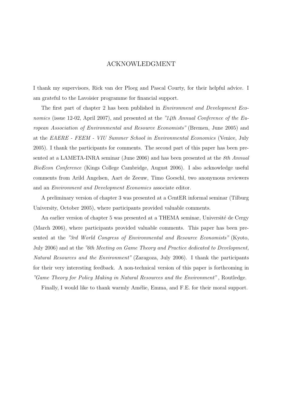## ACKNOWLEDGMENT

I thank my supervisors, Rick van der Ploeg and Pascal Courty, for their helpful advice. I am grateful to the Lavoisier programme for financial support.

The first part of chapter 2 has been published in Environment and Development Economics (issue 12-02, April 2007), and presented at the "14th Annual Conference of the European Association of Environmental and Resource Economists" (Bremen, June 2005) and at the EAERE - FEEM - VIU Summer School in Environmental Economics (Venice, July 2005). I thank the participants for comments. The second part of this paper has been presented at a LAMETA-INRA seminar (June 2006) and has been presented at the 8th Annual BioEcon Conference (Kings College Cambridge, August 2006). I also acknowledge useful comments from Arild Angelsen, Aart de Zeeuw, Timo Goeschl, two anonymous reviewers and an Environment and Development Economics associate editor.

A preliminary version of chapter 3 was presented at a CentER informal seminar (Tilburg University, October 2005), where participants provided valuable comments.

An earlier version of chapter 5 was presented at a THEMA seminar, Université de Cergy (March 2006), where participants provided valuable comments. This paper has been presented at the "3rd World Congress of Environmental and Resource Economists" (Kyoto, July 2006) and at the "6th Meeting on Game Theory and Practice dedicated to Development, Natural Resources and the Environment" (Zaragoza, July 2006). I thank the participants for their very interesting feedback. A non-technical version of this paper is forthcoming in "Game Theory for Policy Making in Natural Resources and the Environment" , Routledge.

Finally, I would like to thank warmly Amélie, Emma, and F.E. for their moral support.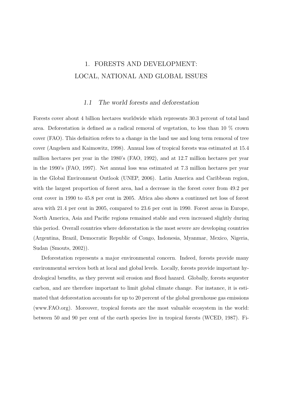# 1. FORESTS AND DEVELOPMENT: LOCAL, NATIONAL AND GLOBAL ISSUES

## 1.1 The world forests and deforestation

Forests cover about 4 billion hectares worldwide which represents 30.3 percent of total land area. Deforestation is defined as a radical removal of vegetation, to less than 10 % crown cover (FAO). This definition refers to a change in the land use and long term removal of tree cover (Angelsen and Kaimowitz, 1998). Annual loss of tropical forests was estimated at 15.4 million hectares per year in the 1980's (FAO, 1992), and at 12.7 million hectares per year in the 1990's (FAO, 1997). Net annual loss was estimated at 7.3 million hectares per year in the Global Environment Outlook (UNEP, 2006). Latin America and Caribbean region, with the largest proportion of forest area, had a decrease in the forest cover from 49.2 per cent cover in 1990 to 45.8 per cent in 2005. Africa also shows a continued net loss of forest area with 21.4 per cent in 2005, compared to 23.6 per cent in 1990. Forest areas in Europe, North America, Asia and Pacific regions remained stable and even increased slightly during this period. Overall countries where deforestation is the most severe are developing countries (Argentina, Brazil, Democratic Republic of Congo, Indonesia, Myanmar, Mexico, Nigeria, Sudan (Smouts, 2002)).

Deforestation represents a major environmental concern. Indeed, forests provide many environmental services both at local and global levels. Locally, forests provide important hydrological benefits, as they prevent soil erosion and flood hazard. Globally, forests sequester carbon, and are therefore important to limit global climate change. For instance, it is estimated that deforestation accounts for up to 20 percent of the global greenhouse gas emissions (www.FAO.org). Moreover, tropical forests are the most valuable ecosystem in the world: between 50 and 90 per cent of the earth species live in tropical forests (WCED, 1987). Fi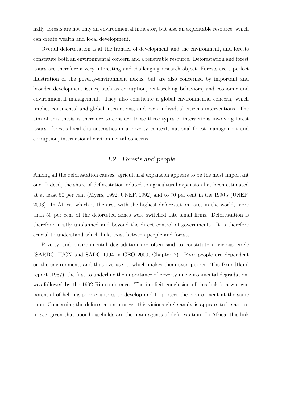nally, forests are not only an environmental indicator, but also an exploitable resource, which can create wealth and local development.

Overall deforestation is at the frontier of development and the environment, and forests constitute both an environmental concern and a renewable resource. Deforestation and forest issues are therefore a very interesting and challenging research object. Forests are a perfect illustration of the poverty-environment nexus, but are also concerned by important and broader development issues, such as corruption, rent-seeking behaviors, and economic and environmental management. They also constitute a global environmental concern, which implies continental and global interactions, and even individual citizens interventions. The aim of this thesis is therefore to consider those three types of interactions involving forest issues: forest's local characteristics in a poverty context, national forest management and corruption, international environmental concerns.

# 1.2 Forests and people

Among all the deforestation causes, agricultural expansion appears to be the most important one. Indeed, the share of deforestation related to agricultural expansion has been estimated at at least 50 per cent (Myers, 1992; UNEP, 1992) and to 70 per cent in the 1990's (UNEP, 2003). In Africa, which is the area with the highest deforestation rates in the world, more than 50 per cent of the deforested zones were switched into small firms. Deforestation is therefore mostly unplanned and beyond the direct control of governments. It is therefore crucial to understand which links exist between people and forests.

Poverty and environmental degradation are often said to constitute a vicious circle (SARDC, IUCN and SADC 1994 in GEO 2000, Chapter 2). Poor people are dependent on the environment, and thus overuse it, which makes them even poorer. The Brundtland report (1987), the first to underline the importance of poverty in environmental degradation, was followed by the 1992 Rio conference. The implicit conclusion of this link is a win-win potential of helping poor countries to develop and to protect the environment at the same time. Concerning the deforestation process, this vicious circle analysis appears to be appropriate, given that poor households are the main agents of deforestation. In Africa, this link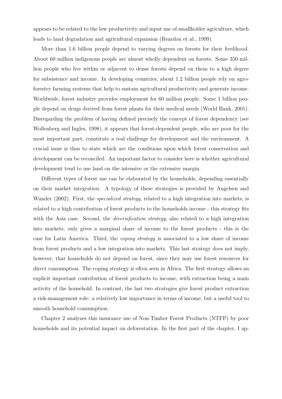appears to be related to the low productivity and input use of smallholder agriculture, which leads to land degradation and agricultural expansion (Reardon et al., 1999).

More than 1.6 billion people depend to varying degrees on forests for their livelihood. About 60 million indigenous people are almost wholly dependent on forests. Some 350 million people who live within or adjacent to dense forests depend on them to a high degree for subsistence and income. In developing countries, about 1.2 billion people rely on agroforestry farming systems that help to sustain agricultural productivity and generate income. Worldwide, forest industry provides employment for 60 million people. Some 1 billion people depend on drugs derived from forest plants for their medical needs (World Bank, 2001). Disregarding the problem of having defined precisely the concept of forest dependency (see Wollenberg and Ingles, 1998), it appears that forest-dependent people, who are poor for the most important part, constitute a real challenge for development and the environment. A crucial issue is thus to state which are the conditions upon which forest conservation and development can be reconciled. An important factor to consider here is whether agricultural development tend to use land on the intensive or the extensive margin.

Different types of forest use can be elaborated by the households, depending essentially on their market integration. A typology of these strategies is provided by Angelsen and Wunder (2002). First, the *specialized strategy*, related to a high integration into markets, is related to a high contribution of forest products to the households income - this strategy fits with the Asia case. Second, the *diversification strategy*, also related to a high integration into markets, only gives a marginal share of income to the forest products - this is the case for Latin America. Third, the coping strategy is associated to a low share of income from forest products and a low integration into markets. This last strategy does not imply, however, that households do not depend on forest, since they may use forest resources for direct consumption. The coping strategy is often seen in Africa. The first strategy allows an explicit important contribution of forest products to income, with extraction being a main activity of the household. In contrast, the last two strategies give forest product extraction a risk-management role: a relatively low importance in terms of income, but a useful tool to smooth household consumption.

Chapter 2 analyzes this insurance use of Non-Timber Forest Products (NTFP) by poor households and its potential impact on deforestation. In the first part of the chapter, I ap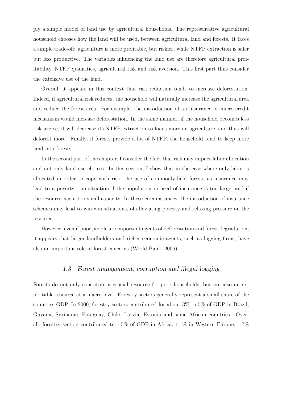ply a simple model of land use by agricultural households. The representative agricultural household chooses how the land will be used, between agricultural land and forests. It faces a simple trade-off: agriculture is more profitable, but riskier, while NTFP extraction is safer but less productive. The variables influencing the land use are therefore agricultural profitability, NTFP quantities, agricultural risk and risk aversion. This first part thus consider the extensive use of the land.

Overall, it appears in this context that risk reduction tends to increase deforestation. Indeed, if agricultural risk reduces, the household will naturally increase the agricultural area and reduce the forest area. For example, the introduction of an insurance or micro-credit mechanism would increase deforestation. In the same manner, if the household becomes less risk-averse, it will decrease its NTFP extraction to focus more on agriculture, and thus will deforest more. Finally, if forests provide a lot of NTFP, the household tend to keep more land into forests.

In the second part of the chapter, I consider the fact that risk may impact labor allocation and not only land use choices. In this section, I show that in the case where only labor is allocated in order to cope with risk, the use of commonly-held forests as insurance may lead to a poverty-trap situation if the population in need of insurance is too large, and if the resource has a too small capacity. In these circumstances, the introduction of insurance schemes may lead to win-win situations, of alleviating poverty and relaxing pressure on the resource.

However, even if poor people are important agents of deforestation and forest degradation, it appears that larger landholders and richer economic agents, such as logging firms, have also an important role in forest concerns (World Bank, 2006).

# 1.3 Forest management, corruption and illegal logging

Forests do not only constitute a crucial resource for poor households, but are also an exploitable resource at a macro-level. Forestry sectors generally represent a small share of the countries GDP. In 2000, forestry sectors contributed for about 3% to 5% of GDP in Brazil, Guyana, Suriname, Paraguay, Chile, Latvia, Estonia and some African countries. Overall, forestry sectors contributed to 1.5% of GDP in Africa, 1.1% in Western Europe, 1.7%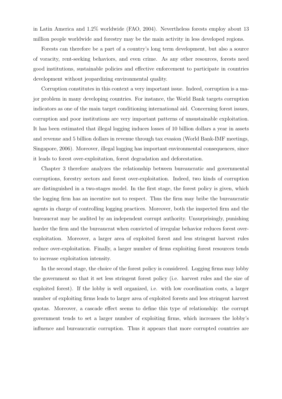in Latin America and 1.2% worldwide (FAO, 2004). Nevertheless forests employ about 13 million people worldwide and forestry may be the main activity in less developed regions.

Forests can therefore be a part of a country's long term development, but also a source of voracity, rent-seeking behaviors, and even crime. As any other resources, forests need good institutions, sustainable policies and effective enforcement to participate in countries development without jeopardizing environmental quality.

Corruption constitutes in this context a very important issue. Indeed, corruption is a major problem in many developing countries. For instance, the World Bank targets corruption indicators as one of the main target conditioning international aid. Concerning forest issues, corruption and poor institutions are very important patterns of unsustainable exploitation. It has been estimated that illegal logging induces losses of 10 billion dollars a year in assets and revenue and 5 billion dollars in revenue through tax evasion (World Bank-IMF meetings, Singapore, 2006). Moreover, illegal logging has important environmental consequences, since it leads to forest over-exploitation, forest degradation and deforestation.

Chapter 3 therefore analyzes the relationship between bureaucratic and governmental corruptions, forestry sectors and forest over-exploitation. Indeed, two kinds of corruption are distinguished in a two-stages model. In the first stage, the forest policy is given, which the logging firm has an incentive not to respect. Thus the firm may bribe the bureaucratic agents in charge of controlling logging practices. Moreover, both the inspected firm and the bureaucrat may be audited by an independent corrupt authority. Unsurprisingly, punishing harder the firm and the bureaucrat when convicted of irregular behavior reduces forest overexploitation. Moreover, a larger area of exploited forest and less stringent harvest rules reduce over-exploitation. Finally, a larger number of firms exploiting forest resources tends to increase exploitation intensity.

In the second stage, the choice of the forest policy is considered. Logging firms may lobby the government so that it set less stringent forest policy (i.e. harvest rules and the size of exploited forest). If the lobby is well organized, i.e. with low coordination costs, a larger number of exploiting firms leads to larger area of exploited forests and less stringent harvest quotas. Moreover, a cascade effect seems to define this type of relationship: the corrupt government tends to set a larger number of exploiting firms, which increases the lobby's influence and bureaucratic corruption. Thus it appears that more corrupted countries are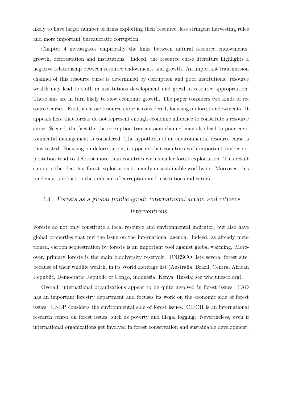likely to have larger number of firms exploiting their resource, less stringent harvesting rules and more important bureaucratic corruption.

Chapter 4 investigates empirically the links between natural resource endowments, growth, deforestation and institutions. Indeed, the resource curse literature highlights a negative relationship between resource endowments and growth. An important transmission channel of this resource curse is determined by corruption and poor institutions: resource wealth may lead to sloth in institutions development and greed in resource appropriation. These sins are in turn likely to slow economic growth. The paper considers two kinds of resource curses. First, a classic resource curse is considered, focusing on forest endowments. It appears here that forests do not represent enough economic influence to constitute a resource curse. Second, the fact the the corruption transmission channel may also lead to poor environmental management is considered. The hypothesis of an environmental resource curse is thus tested. Focusing on deforestation, it appears that countries with important timber exploitation tend to deforest more than countries with smaller forest exploitation. This result supports the idea that forest exploitation is mainly unsustainable worldwide. Moreover, this tendency is robust to the addition of corruption and institutions indicators.

# 1.4 Forests as a global public good: international action and citizens interventions

Forests do not only constitute a local resource and environmental indicator, but also have global properties that put the issue on the international agenda. Indeed, as already mentioned, carbon sequestration by forests is an important tool against global warming. Moreover, primary forests is the main biodiversity reservoir. UNESCO lists several forest site, because of their wildlife wealth, in its World Heritage list (Australia, Brazil, Central African Republic, Democratic Republic of Congo, Indonesia, Kenya, Russia; see whc.unesco.org).

Overall, international organizations appear to be quite involved in forest issues. FAO has an important forestry department and focuses its work on the economic side of forest issues. UNEP considers the environmental side of forest issues. CIFOR is an international research center on forest issues, such as poverty and illegal logging. Nevertheless, even if international organizations get involved in forest conservation and sustainable development,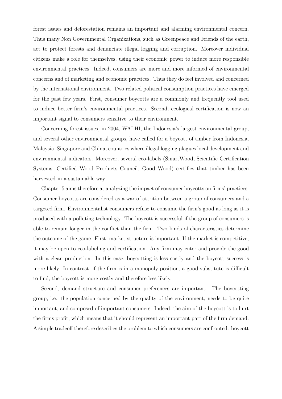forest issues and deforestation remains an important and alarming environmental concern. Thus many Non Governmental Organizations, such as Greenpeace and Friends of the earth, act to protect forests and denunciate illegal logging and corruption. Moreover individual citizens make a role for themselves, using their economic power to induce more responsible environmental practices. Indeed, consumers are more and more informed of environmental concerns and of marketing and economic practices. Thus they do feel involved and concerned by the international environment. Two related political consumption practices have emerged for the past few years. First, consumer boycotts are a commonly and frequently tool used to induce better firm's environmental practices. Second, ecological certification is now an important signal to consumers sensitive to their environment.

Concerning forest issues, in 2004, WALHI, the Indonesia's largest environmental group, and several other environmental groups, have called for a boycott of timber from Indonesia, Malaysia, Singapore and China, countries where illegal logging plagues local development and environmental indicators. Moreover, several eco-labels (SmartWood, Scientific Certification Systems, Certified Wood Products Council, Good Wood) certifies that timber has been harvested in a sustainable way.

Chapter 5 aims therefore at analyzing the impact of consumer boycotts on firms' practices. Consumer boycotts are considered as a war of attrition between a group of consumers and a targeted firm. Environmentalist consumers refuse to consume the firm's good as long as it is produced with a polluting technology. The boycott is successful if the group of consumers is able to remain longer in the conflict than the firm. Two kinds of characteristics determine the outcome of the game. First, market structure is important. If the market is competitive, it may be open to eco-labeling and certification. Any firm may enter and provide the good with a clean production. In this case, boycotting is less costly and the boycott success is more likely. In contrast, if the firm is in a monopoly position, a good substitute is difficult to find, the boycott is more costly and therefore less likely.

Second, demand structure and consumer preferences are important. The boycotting group, i.e. the population concerned by the quality of the environment, needs to be quite important, and composed of important consumers. Indeed, the aim of the boycott is to hurt the firms profit, which means that it should represent an important part of the firm demand. A simple tradeoff therefore describes the problem to which consumers are confronted: boycott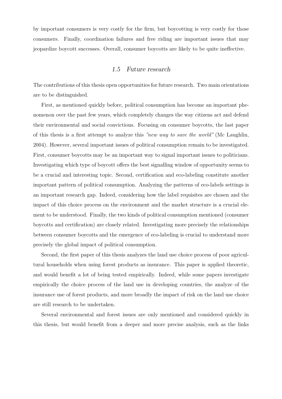by important consumers is very costly for the firm, but boycotting is very costly for those consumers. Finally, coordination failures and free riding are important issues that may jeopardize boycott successes. Overall, consumer boycotts are likely to be quite ineffective.

## 1.5 Future research

The contributions of this thesis open opportunities for future research. Two main orientations are to be distinguished.

First, as mentioned quickly before, political consumption has become an important phenomenon over the past few years, which completely changes the way citizens act and defend their environmental and social convictions. Focusing on consumer boycotts, the last paper of this thesis is a first attempt to analyze this "new way to save the world" (Mc Laughlin, 2004). However, several important issues of political consumption remain to be investigated. First, consumer boycotts may be an important way to signal important issues to politicians. Investigating which type of boycott offers the best signalling window of opportunity seems to be a crucial and interesting topic. Second, certification and eco-labeling constitute another important pattern of political consumption. Analyzing the patterns of eco-labels settings is an important research gap. Indeed, considering how the label requisites are chosen and the impact of this choice process on the environment and the market structure is a crucial element to be understood. Finally, the two kinds of political consumption mentioned (consumer boycotts and certification) are closely related. Investigating more precisely the relationships between consumer boycotts and the emergence of eco-labeling is crucial to understand more precisely the global impact of political consumption.

Second, the first paper of this thesis analyzes the land use choice process of poor agricultural households when using forest products as insurance. This paper is applied theoretic, and would benefit a lot of being tested empirically. Indeed, while some papers investigate empirically the choice process of the land use in developing countries, the analyze of the insurance use of forest products, and more broadly the impact of risk on the land use choice are still research to be undertaken.

Several environmental and forest issues are only mentioned and considered quickly in this thesis, but would benefit from a deeper and more precise analysis, such as the links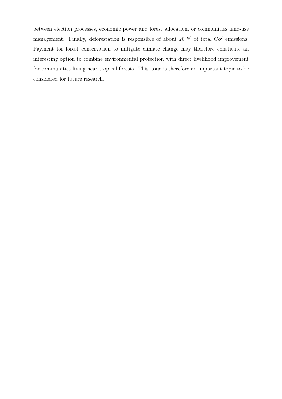between election processes, economic power and forest allocation, or communities land-use management. Finally, deforestation is responsible of about 20  $\%$  of total  $Co^2$  emissions. Payment for forest conservation to mitigate climate change may therefore constitute an interesting option to combine environmental protection with direct livelihood improvement for communities living near tropical forests. This issue is therefore an important topic to be considered for future research.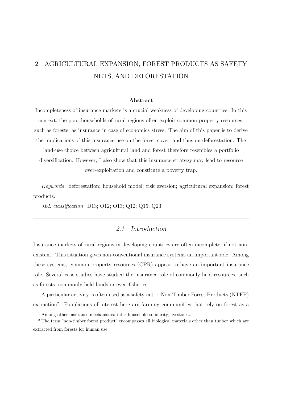# 2. AGRICULTURAL EXPANSION, FOREST PRODUCTS AS SAFETY NETS, AND DEFORESTATION

#### **Abstract**

Incompleteness of insurance markets is a crucial weakness of developing countries. In this context, the poor households of rural regions often exploit common property resources, such as forests, as insurance in case of economics stress. The aim of this paper is to derive the implications of this insurance use on the forest cover, and thus on deforestation. The land-use choice between agricultural land and forest therefore resembles a portfolio diversification. However, I also show that this insurance strategy may lead to resource over-exploitation and constitute a poverty trap.

Keywords: deforestation; household model; risk aversion; agricultural expansion; forest products.

JEL classification: D13; O12; O13; Q12; Q15; Q23.

# 2.1 Introduction

Insurance markets of rural regions in developing countries are often incomplete, if not nonexistent. This situation gives non-conventional insurance systems an important role. Among these systems, common property resources (CPR) appear to have an important insurance role. Several case studies have studied the insurance role of commonly held resources, such as forests, commonly held lands or even fisheries.

A particular activity is often used as a safety net  $\frac{1}{1}$ : Non-Timber Forest Products (NTFP) extraction<sup>2</sup>. Populations of interest here are farming communities that rely on forest as a

<sup>&</sup>lt;sup>1</sup> Among other insurance mechanisms: inter-household solidarity, livestock...

<sup>&</sup>lt;sup>2</sup> The term "non-timber forest product" encompasses all biological materials other than timber which are extracted from forests for human use.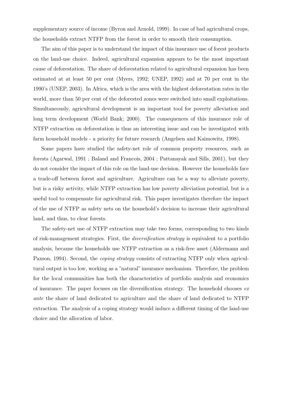supplementary source of income (Byron and Arnold, 1999). In case of bad agricultural crops, the households extract NTFP from the forest in order to smooth their consumption.

The aim of this paper is to understand the impact of this insurance use of forest products on the land-use choice. Indeed, agricultural expansion appears to be the most important cause of deforestation. The share of deforestation related to agricultural expansion has been estimated at at least 50 per cent (Myers, 1992; UNEP, 1992) and at 70 per cent in the 1990's (UNEP, 2003). In Africa, which is the area with the highest deforestation rates in the world, more than 50 per cent of the deforested zones were switched into small exploitations. Simultaneously, agricultural development is an important tool for poverty alleviation and long term development (World Bank; 2000). The consequences of this insurance role of NTFP extraction on deforestation is thus an interesting issue and can be investigated with farm household models - a priority for future research (Angelsen and Kaimowitz, 1998).

Some papers have studied the safety-net role of common property resources, such as forests (Agarwal, 1991 ; Baland and Francois, 2004 ; Pattanayak and Sills, 2001), but they do not consider the impact of this role on the land-use decision. However the households face a trade-off between forest and agriculture. Agriculture can be a way to alleviate poverty, but is a risky activity, while NTFP extraction has low poverty alleviation potential, but is a useful tool to compensate for agricultural risk. This paper investigates therefore the impact of the use of NTFP as safety nets on the household's decision to increase their agricultural land, and thus, to clear forests.

The safety-net use of NTFP extraction may take two forms, corresponding to two kinds of risk-management strategies. First, the diversification strategy is equivalent to a portfolio analysis, because the households use NTFP extraction as a risk-free asset (Aldermann and Paxson, 1994). Second, the coping strategy consists of extracting NTFP only when agricultural output is too low, working as a "natural"insurance mechanism. Therefore, the problem for the local communities has both the characteristics of portfolio analysis and economics of insurance. The paper focuses on the diversification strategy. The household chooses  $ex$ ante the share of land dedicated to agriculture and the share of land dedicated to NTFP extraction. The analysis of a coping strategy would induce a different timing of the land-use choice and the allocation of labor.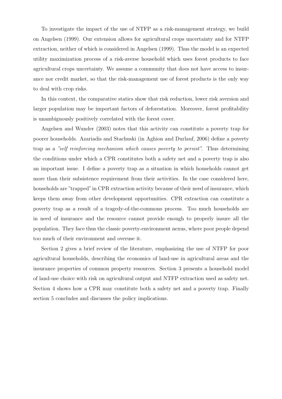To investigate the impact of the use of NTFP as a risk-management strategy, we build on Angelsen (1999). Our extension allows for agricultural crops uncertainty and for NTFP extraction, neither of which is considered in Angelsen (1999). Thus the model is an expected utility maximization process of a risk-averse household which uses forest products to face agricultural crops uncertainty. We assume a community that does not have access to insurance nor credit market, so that the risk-management use of forest products is the only way to deal with crop risks.

In this context, the comparative statics show that risk reduction, lower risk aversion and larger population may be important factors of deforestation. Moreover, forest profitability is unambiguously positively correlated with the forest cover.

Angelsen and Wunder (2003) notes that this activity can constitute a poverty trap for poorer households. Azariadis and Stachuski (in Aghion and Durlauf, 2006) define a poverty trap as a "self reinforcing mechanism which causes poverty to persist". Thus determining the conditions under which a CPR constitutes both a safety net and a poverty trap is also an important issue. I define a poverty trap as a situation in which households cannot get more than their subsistence requirement from their activities. In the case considered here, households are "trapped" in CPR extraction activity because of their need of insurance, which keeps them away from other development opportunities. CPR extraction can constitute a poverty trap as a result of a tragedy-of-the-commons process. Too much households are in need of insurance and the resource cannot provide enough to properly insure all the population. They face thus the classic poverty-environment nexus, where poor people depend too much of their environment and overuse it.

Section 2 gives a brief review of the literature, emphasizing the use of NTFP for poor agricultural households, describing the economics of land-use in agricultural areas and the insurance properties of common property resources. Section 3 presents a household model of land-use choice with risk on agricultural output and NTFP extraction used as safety net. Section 4 shows how a CPR may constitute both a safety net and a poverty trap. Finally section 5 concludes and discusses the policy implications.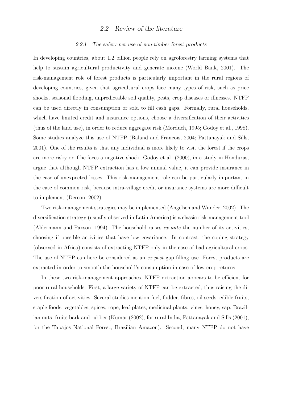# 2.2 Review of the literature

#### 2.2.1 The safety-net use of non-timber forest products

In developing countries, about 1.2 billion people rely on agroforestry farming systems that help to sustain agricultural productivity and generate income (World Bank, 2001). The risk-management role of forest products is particularly important in the rural regions of developing countries, given that agricultural crops face many types of risk, such as price shocks, seasonal flooding, unpredictable soil quality, pests, crop diseases or illnesses. NTFP can be used directly in consumption or sold to fill cash gaps. Formally, rural households, which have limited credit and insurance options, choose a diversification of their activities (thus of the land use), in order to reduce aggregate risk (Morduch, 1995; Godoy et al., 1998). Some studies analyze this use of NTFP (Baland and Francois, 2004; Pattanayak and Sills, 2001). One of the results is that any individual is more likely to visit the forest if the crops are more risky or if he faces a negative shock. Godoy et al. (2000), in a study in Honduras, argue that although NTFP extraction has a low annual value, it can provide insurance in the case of unexpected losses. This risk-management role can be particularly important in the case of common risk, because intra-village credit or insurance systems are more difficult to implement (Dercon, 2002).

Two risk-management strategies may be implemented (Angelsen and Wunder, 2002). The diversification strategy (usually observed in Latin America) is a classic risk-management tool (Aldermann and Paxson, 1994). The household raises ex ante the number of its activities, choosing if possible activities that have low covariance. In contrast, the coping strategy (observed in Africa) consists of extracting NTFP only in the case of bad agricultural crops. The use of NTFP can here be considered as an ex post gap filling use. Forest products are extracted in order to smooth the household's consumption in case of low crop returns.

In these two risk-management approaches, NTFP extraction appears to be efficient for poor rural households. First, a large variety of NTFP can be extracted, thus raising the diversification of activities. Several studies mention fuel, fodder, fibres, oil seeds, edible fruits, staple foods, vegetables, spices, rope, leaf-plates, medicinal plants, vines, honey, sap, Brazilian nuts, fruits bark and rubber (Kumar (2002), for rural India; Pattanayak and Sills (2001), for the Tapajos National Forest, Brazilian Amazon). Second, many NTFP do not have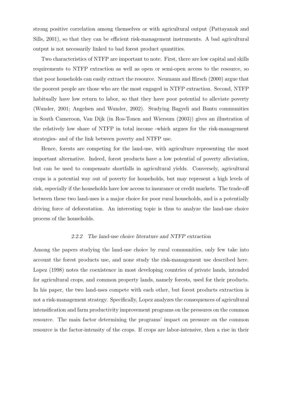strong positive correlation among themselves or with agricultural output (Pattayanak and Sills, 2001), so that they can be efficient risk-management instruments. A bad agricultural output is not necessarily linked to bad forest product quantities.

Two characteristics of NTFP are important to note. First, there are low capital and skills requirements to NTFP extraction as well as open or semi-open access to the resource, so that poor households can easily extract the resource. Neumann and Hirsch (2000) argue that the poorest people are those who are the most engaged in NTFP extraction. Second, NTFP habitually have low return to labor, so that they have poor potential to alleviate poverty (Wunder, 2001; Angelsen and Wunder, 2002). Studying Bagyeli and Bantu communities in South Cameroon, Van Dijk (in Ros-Tonen and Wiersum (2003)) gives an illustration of the relatively low share of NTFP in total income -which argues for the risk-management strategies- and of the link between poverty and NTFP use.

Hence, forests are competing for the land-use, with agriculture representing the most important alternative. Indeed, forest products have a low potential of poverty alleviation, but can be used to compensate shortfalls in agricultural yields. Conversely, agricultural crops is a potential way out of poverty for households, but may represent a high levels of risk, especially if the households have low access to insurance or credit markets. The trade-off between these two land-uses is a major choice for poor rural households, and is a potentially driving force of deforestation. An interesting topic is thus to analyze the land-use choice process of the households.

## 2.2.2 The land-use choice literature and NTFP extraction

Among the papers studying the land-use choice by rural communities, only few take into account the forest products use, and none study the risk-management use described here. Lopez (1998) notes the coexistence in most developing countries of private lands, intended for agricultural crops, and common property lands, namely forests, used for their products. In his paper, the two land-uses compete with each other, but forest products extraction is not a risk-management strategy. Specifically, Lopez analyzes the consequences of agricultural intensification and farm productivity improvement programs on the pressures on the common resource. The main factor determining the programs' impact on pressure on the common resource is the factor-intensity of the crops. If crops are labor-intensive, then a rise in their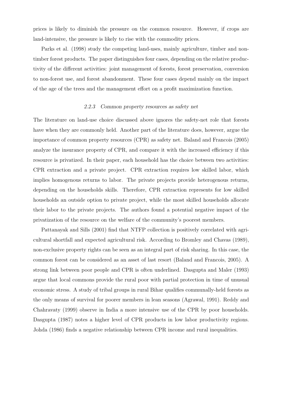prices is likely to diminish the pressure on the common resource. However, if crops are land-intensive, the pressure is likely to rise with the commodity prices.

Parks et al. (1998) study the competing land-uses, mainly agriculture, timber and nontimber forest products. The paper distinguishes four cases, depending on the relative productivity of the different activities: joint management of forests, forest preservation, conversion to non-forest use, and forest abandonment. These four cases depend mainly on the impact of the age of the trees and the management effort on a profit maximization function.

#### 2.2.3 Common property resources as safety net

The literature on land-use choice discussed above ignores the safety-net role that forests have when they are commonly held. Another part of the literature does, however, argue the importance of common property resources (CPR) as safety net. Baland and Francois (2005) analyze the insurance property of CPR, and compare it with the increased efficiency if this resource is privatized. In their paper, each household has the choice between two activities: CPR extraction and a private project. CPR extraction requires low skilled labor, which implies homogenous returns to labor. The private projects provide heterogenous returns, depending on the households skills. Therefore, CPR extraction represents for low skilled households an outside option to private project, while the most skilled households allocate their labor to the private projects. The authors found a potential negative impact of the privatization of the resource on the welfare of the community's poorest members.

Pattanayak and Sills (2001) find that NTFP collection is positively correlated with agricultural shortfall and expected agricultural risk. According to Bromley and Chavas (1989), non-exclusive property rights can be seen as an integral part of risk sharing. In this case, the common forest can be considered as an asset of last resort (Baland and Francois, 2005). A strong link between poor people and CPR is often underlined. Dasgupta and Maler (1993) argue that local commons provide the rural poor with partial protection in time of unusual economic stress. A study of tribal groups in rural Bihar qualifies communally-held forests as the only means of survival for poorer members in lean seasons (Agrawal, 1991). Reddy and Chahravaty (1999) observe in India a more intensive use of the CPR by poor households. Dasgupta (1987) notes a higher level of CPR products in low labor productivity regions. Johda (1986) finds a negative relationship between CPR income and rural inequalities.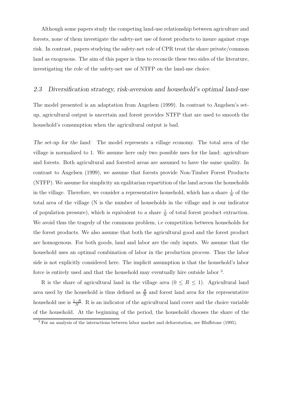Although some papers study the competing land-use relationship between agriculture and forests, none of them investigate the safety-net use of forest products to insure against crops risk. In contrast, papers studying the safety-net role of CPR treat the share private/common land as exogenous. The aim of this paper is thus to reconcile these two sides of the literature, investigating the role of the safety-net use of NTFP on the land-use choice.

# 2.3 Diversification strategy, risk-aversion and household's optimal land-use

The model presented is an adaptation from Angelsen (1999). In contrast to Angelsen's setup, agricultural output is uncertain and forest provides NTFP that are used to smooth the household's consumption when the agricultural output is bad.

The set-up for the land: The model represents a village economy. The total area of the village is normalized to 1. We assume here only two possible uses for the land: agriculture and forests. Both agricultural and forested areas are assumed to have the same quality. In contrast to Angelsen (1999), we assume that forests provide Non-Timber Forest Products (NTFP). We assume for simplicity an egalitarian repartition of the land across the households in the village. Therefore, we consider a representative household, which has a share  $\frac{1}{N}$  of the total area of the village (N is the number of households in the village and is our indicator of population pressure), which is equivalent to a share  $\frac{1}{N}$  of total forest product extraction. We avoid thus the tragedy of the commons problem, i.e competition between households for the forest products. We also assume that both the agricultural good and the forest product are homogenous. For both goods, land and labor are the only inputs. We assume that the household uses an optimal combination of labor in the production process. Thus the labor side is not explicitly considered here. The implicit assumption is that the household's labor force is entirely used and that the household may eventually hire outside labor <sup>3</sup>.

R is the share of agricultural land in the village area  $(0 \leq R \leq 1)$ . Agricultural land area used by the household is thus defined as  $\frac{R}{N}$  and forest land area for the representative household use is  $\frac{1-R}{N}$ . R is an indicator of the agricultural land cover and the choice variable of the household. At the beginning of the period, the household chooses the share of the

<sup>&</sup>lt;sup>3</sup> For an analysis of the interactions between labor market and deforestation, see Bluffstone (1995).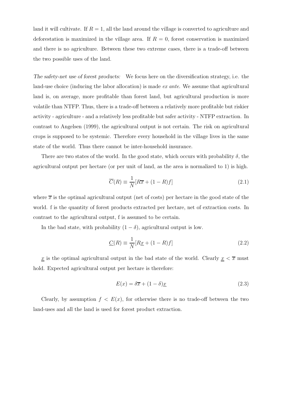land it will cultivate. If  $R = 1$ , all the land around the village is converted to agriculture and deforestation is maximized in the village area. If  $R = 0$ , forest conservation is maximized and there is no agriculture. Between these two extreme cases, there is a trade-off between the two possible uses of the land.

The safety-net use of forest products: We focus here on the diversification strategy, i.e. the land-use choice (inducing the labor allocation) is made ex ante. We assume that agricultural land is, on average, more profitable than forest land, but agricultural production is more volatile than NTFP. Thus, there is a trade-off between a relatively more profitable but riskier activity - agriculture - and a relatively less profitable but safer activity - NTFP extraction. In contrast to Angelsen (1999), the agricultural output is not certain. The risk on agricultural crops is supposed to be systemic. Therefore every household in the village lives in the same state of the world. Thus there cannot be inter-household insurance.

There are two states of the world. In the good state, which occurs with probability  $\delta$ , the agricultural output per hectare (or per unit of land, as the area is normalized to 1) is high.

$$
\overline{C}(R) \equiv \frac{1}{N} [R\overline{x} + (1 - R)f] \tag{2.1}
$$

where  $\bar{x}$  is the optimal agricultural output (net of costs) per hectare in the good state of the world. f is the quantity of forest products extracted per hectare, net of extraction costs. In contrast to the agricultural output, f is assumed to be certain.

In the bad state, with probability  $(1 - \delta)$ , agricultural output is low.

$$
\underline{C}(R) \equiv \frac{1}{N} [R\underline{x} + (1 - R)f] \tag{2.2}
$$

 $\underline{x}$  is the optimal agricultural output in the bad state of the world. Clearly  $\underline{x} < \overline{x}$  must hold. Expected agricultural output per hectare is therefore:

$$
E(x) = \delta \overline{x} + (1 - \delta)\underline{x} \tag{2.3}
$$

Clearly, by assumption  $f \leq E(x)$ , for otherwise there is no trade-off between the two land-uses and all the land is used for forest product extraction.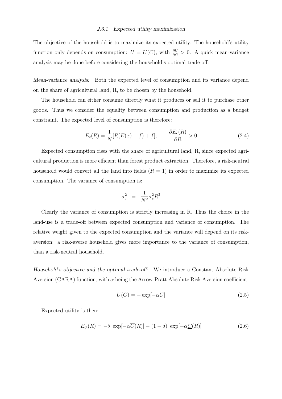The objective of the household is to maximize its expected utility. The household's utility function only depends on consumption:  $U = U(C)$ , with  $\frac{\partial U}{\partial C} > 0$ . A quick mean-variance analysis may be done before considering the household's optimal trade-off.

Mean-variance analysis: Both the expected level of consumption and its variance depend on the share of agricultural land, R, to be chosen by the household.

The household can either consume directly what it produces or sell it to purchase other goods. Thus we consider the equality between consumption and production as a budget constraint. The expected level of consumption is therefore:

$$
E_c(R) = \frac{1}{N} [R(E(x) - f) + f]; \qquad \frac{\partial E_c(R)}{\partial R} > 0
$$
\n(2.4)

Expected consumption rises with the share of agricultural land, R, since expected agricultural production is more efficient than forest product extraction. Therefore, a risk-neutral household would convert all the land into fields  $(R = 1)$  in order to maximize its expected consumption. The variance of consumption is:

$$
\sigma_c^2 = \frac{1}{N^2} \sigma_x^2 R^2
$$

Clearly the variance of consumption is strictly increasing in R. Thus the choice in the land-use is a trade-off between expected consumption and variance of consumption. The relative weight given to the expected consumption and the variance will depend on its riskaversion: a risk-averse household gives more importance to the variance of consumption, than a risk-neutral household.

Household's objective and the optimal trade-off: We introduce a Constant Absolute Risk Aversion (CARA) function, with  $\alpha$  being the Arrow-Pratt Absolute Risk Aversion coefficient:

$$
U(C) = -\exp[-\alpha C] \tag{2.5}
$$

Expected utility is then:

$$
E_U(R) = -\delta \exp[-\alpha \overline{C}(R)] - (1 - \delta) \exp[-\alpha \underline{C}(R)] \qquad (2.6)
$$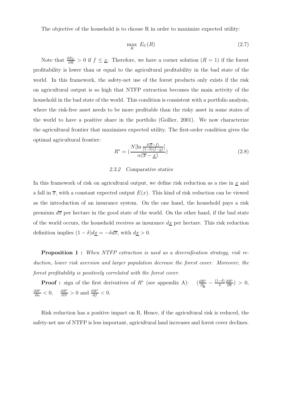The objective of the household is to choose R in order to maximize expected utility:

$$
\max_{R} E_U(R) \tag{2.7}
$$

Note that  $\frac{\partial E_U}{\partial R} > 0$  if  $f \leq \underline{x}$ . Therefore, we have a corner solution  $(R = 1)$  if the forest profitability is lower than or equal to the agricultural profitability in the bad state of the world. In this framework, the safety-net use of the forest products only exists if the risk on agricultural output is so high that NTFP extraction becomes the main activity of the household in the bad state of the world. This condition is consistent with a portfolio analysis, where the risk-free asset needs to be more profitable than the risky asset in some states of the world to have a positive share in the portfolio (Gollier, 2001). We now characterize the agricultural frontier that maximizes expected utility. The first-order condition gives the optimal agricultural frontier:

$$
R^* = \left(\frac{N[\ln \frac{\delta(\overline{x} - f)}{(1 - \delta)(f - \underline{x})}]}{\alpha(\overline{x} - \underline{x})}\right)
$$
\n(2.8)

#### 2.3.2 Comparative statics

In this framework of risk on agricultural output, we define risk reduction as a rise in  $\underline{x}$  and a fall in  $\overline{x}$ , with a constant expected output  $E(x)$ . This kind of risk reduction can be viewed as the introduction of an insurance system. On the one hand, the household pays a risk premium  $d\bar{x}$  per hectare in the good state of the world. On the other hand, if the bad state of the world occurs, the household receives as insurance  $d\underline{x}$  per hectare. This risk reduction definition implies  $(1 - \delta) d\underline{x} = -\delta d\overline{x}$ , with  $d\underline{x} > 0$ .

**Proposition 1 :** When NTFP extraction is used as a diversification strategy, risk reduction, lower risk aversion and larger population decrease the forest cover. Moreover, the forest profitability is positively correlated with the forest cover.

**Proof :** sign of the first derivatives of  $R^*$  (see appendix A):  $\frac{\partial R^*}{\partial x} - \frac{(1-\delta)}{\delta}$  $\frac{\partial R^*}{\partial \overline{x}}$  > 0,  $\frac{\partial R^*}{\partial \alpha} < 0$ ,  $\frac{\partial R^*}{\partial N} > 0$  and  $\frac{\partial R^*}{\partial f} < 0$ .

Risk reduction has a positive impact on R. Hence, if the agricultural risk is reduced, the safety-net use of NTFP is less important, agricultural land increases and forest cover declines.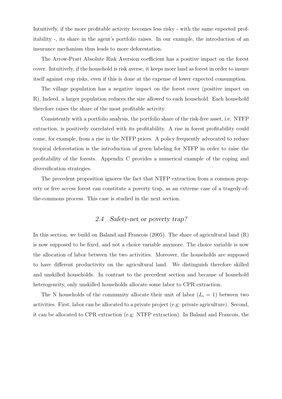Intuitively, if the more profitable activity becomes less risky - with the same expected profitability -, its share in the agent's portfolio raises. In our example, the introduction of an insurance mechanism thus leads to more deforestation.

The Arrow-Pratt Absolute Risk Aversion coefficient has a positive impact on the forest cover. Intuitively, if the household is risk averse, it keeps more land as forest in order to insure itself against crop risks, even if this is done at the expense of lower expected consumption.

The village population has a negative impact on the forest cover (positive impact on R). Indeed, a larger population reduces the size allowed to each household. Each household therefore raises the share of the most profitable activity.

Consistently with a portfolio analysis, the portfolio share of the risk-free asset, i.e. NTFP extraction, is positively correlated with its profitability. A rise in forest profitability could come, for example, from a rise in the NTFP prices. A policy frequently advocated to reduce tropical deforestation is the introduction of green labeling for NTFP in order to raise the profitability of the forests. Appendix C provides a numerical example of the coping and diversification strategies.

The precedent proposition ignores the fact that NTFP extraction from a common property or free access forest can constitute a poverty trap, as an extreme case of a tragedy-ofthe-commons process. This case is studied in the next section.

# 2.4 Safety-net or poverty trap?

In this section, we build on Baland and Francois (2005). The share of agricultural land (R) is now supposed to be fixed, and not a choice variable anymore. The choice variable is now the allocation of labor between the two activities. Moreover, the households are supposed to have different productivity on the agricultural land. We distinguish therefore skilled and unskilled households. In contrast to the precedent section and because of household heterogeneity, only unskilled households allocate some labor to CPR extraction.

The N households of the community allocate their unit of labor  $(L<sub>i</sub> = 1)$  between two activities. First, labor can be allocated to a private project (e.g: private agriculture). Second, it can be allocated to CPR extraction (e.g: NTFP extraction). In Baland and Francois, the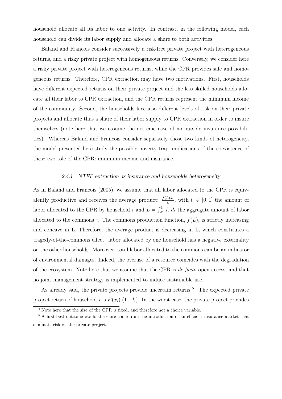household allocate all its labor to one activity. In contrast, in the following model, each household can divide its labor supply and allocate a share to both activities.

Baland and Francois consider successively a risk-free private project with heterogeneous returns, and a risky private project with homogeneous returns. Conversely, we consider here a risky private project with heterogeneous returns, while the CPR provides safe and homogeneous returns. Therefore, CPR extraction may have two motivations. First, households have different expected returns on their private project and the less skilled households allocate all their labor to CPR extraction, and the CPR returns represent the minimum income of the community. Second, the households face also different levels of risk on their private projects and allocate thus a share of their labor supply to CPR extraction in order to insure themselves (note here that we assume the extreme case of no outside insurance possibilities). Whereas Baland and Francois consider separately those two kinds of heterogeneity, the model presented here study the possible poverty-trap implications of the coexistence of these two role of the CPR: minimum income and insurance.

#### 2.4.1 NTFP extraction as insurance and households heterogeneity

As in Baland and Francois (2005), we assume that all labor allocated to the CPR is equivalently productive and receives the average product:  $\frac{f(L) \cdot l_i}{L}$ , with  $l_i \in [0,1]$  the amount of labor allocated to the CPR by household i and  $L = \int_N^1 l_i \, di$  the aggregate amount of labor allocated to the commons  $4$ . The commons production function,  $f(L)$ , is strictly increasing and concave in L. Therefore, the average product is decreasing in L, which constitutes a tragedy-of-the-commons effect: labor allocated by one household has a negative externality on the other households. Moreover, total labor allocated to the commons can be an indicator of environmental damages. Indeed, the overuse of a resource coincides with the degradation of the ecosystem. Note here that we assume that the CPR is de facto open access, and that no joint management strategy is implemented to induce sustainable use.

As already said, the private projects provide uncertain returns <sup>5</sup>. The expected private project return of household i is  $E(x_i)$ . (1-l<sub>i</sub>). In the worst case, the private project provides

<sup>4</sup> Note here that the size of the CPR is fixed, and therefore not a choice variable.

<sup>&</sup>lt;sup>5</sup> A first-best outcome would therefore come from the introduction of an efficient insurance market that eliminate risk on the private project.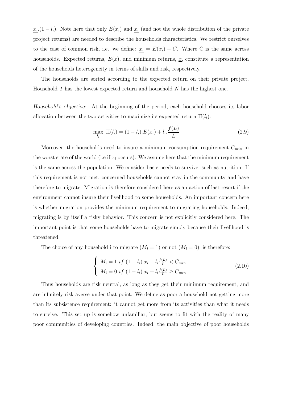$x_i(1 - l_i)$ . Note here that only  $E(x_i)$  and  $x_i$  (and not the whole distribution of the private project returns) are needed to describe the households characteristics. We restrict ourselves to the case of common risk, i.e. we define:  $x_i = E(x_i) - C$ . Where C is the same across households. Expected returns,  $E(x)$ , and minimum returns,  $\underline{x}$ , constitute a representation of the households heterogeneity in terms of skills and risk, respectively.

The households are sorted according to the expected return on their private project. Household 1 has the lowest expected return and household N has the highest one.

Household's objective: At the beginning of the period, each household chooses its labor allocation between the two activities to maximize its expected return  $\Pi(l_i)$ :

$$
\max_{l_i} \Pi(l_i) = (1 - l_i).E(x_i) + l_i.\frac{f(L)}{L}
$$
\n(2.9)

Moreover, the households need to insure a minimum consumption requirement  $C_{min}$  in the worst state of the world (i.e if  $x_i$  occurs). We assume here that the minimum requirement is the same across the population. We consider basic needs to survive, such as nutrition. If this requirement is not met, concerned households cannot stay in the community and have therefore to migrate. Migration is therefore considered here as an action of last resort if the environment cannot insure their livelihood to some households. An important concern here is whether migration provides the minimum requirement to migrating households. Indeed, migrating is by itself a risky behavior. This concern is not explicitly considered here. The important point is that some households have to migrate simply because their livelihood is threatened.

The choice of any household i to migrate  $(M<sub>i</sub> = 1)$  or not  $(M<sub>i</sub> = 0)$ , is therefore:

$$
\begin{cases}\nM_i = 1 \; if \; (1 - l_i) \cdot \underline{x_i} + l_i \frac{f(L)}{L} < C_{min} \\
M_i = 0 \; if \; (1 - l_i) \cdot \underline{x_i} + l_i \frac{f(L)}{L} \ge C_{min}\n\end{cases} \tag{2.10}
$$

Thus households are risk neutral, as long as they get their minimum requirement, and are infinitely risk averse under that point. We define as poor a household not getting more than its subsistence requirement: it cannot get more from its activities than what it needs to survive. This set up is somehow unfamiliar, but seems to fit with the reality of many poor communities of developing countries. Indeed, the main objective of poor households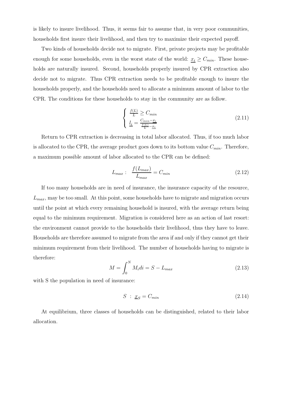is likely to insure livelihood. Thus, it seems fair to assume that, in very poor communities, households first insure their livelihood, and then try to maximize their expected payoff.

Two kinds of households decide not to migrate. First, private projects may be profitable enough for some households, even in the worst state of the world:  $x_i \geq C_{min}$ . These households are naturally insured. Second, households properly insured by CPR extraction also decide not to migrate. Thus CPR extraction needs to be profitable enough to insure the households properly, and the households need to allocate a minimum amount of labor to the CPR. The conditions for these households to stay in the community are as follow.

$$
\begin{cases}\n\frac{f(L)}{L} \ge C_{min} \\
\frac{L_i}{L} = \frac{C_{min} - x_i}{L} \\
\frac{f(L)}{L} - \frac{x_i}{L}\n\end{cases}
$$
\n(2.11)

Return to CPR extraction is decreasing in total labor allocated. Thus, if too much labor is allocated to the CPR, the average product goes down to its bottom value  $C_{min}$ . Therefore, a maximum possible amount of labor allocated to the CPR can be defined:

$$
L_{max}: \quad \frac{f(L_{max})}{L_{max}} = C_{min} \tag{2.12}
$$

If too many households are in need of insurance, the insurance capacity of the resource,  $L_{max}$ , may be too small. At this point, some households have to migrate and migration occurs until the point at which every remaining household is insured, with the average return being equal to the minimum requirement. Migration is considered here as an action of last resort: the environment cannot provide to the households their livelihood, thus they have to leave. Households are therefore assumed to migrate from the area if and only if they cannot get their minimum requirement from their livelihood. The number of households having to migrate is therefore:

$$
M = \int_{0}^{N} M_i \, di = S - L_{max} \tag{2.13}
$$

with S the population in need of insurance:

$$
S \; : \; \underline{x}_S = C_{min} \tag{2.14}
$$

At equilibrium, three classes of households can be distinguished, related to their labor allocation.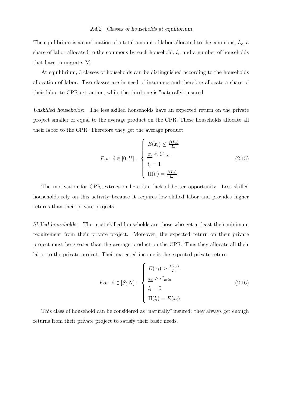The equilibrium is a combination of a total amount of labor allocated to the commons,  $L_c$ , a share of labor allocated to the commons by each household,  $l_i$ , and a number of households that have to migrate, M.

At equilibrium, 3 classes of households can be distinguished according to the households allocation of labor. Two classes are in need of insurance and therefore allocate a share of their labor to CPR extraction, while the third one is "naturally" insured.

Unskilled households: The less skilled households have an expected return on the private project smaller or equal to the average product on the CPR. These households allocate all their labor to the CPR. Therefore they get the average product.

$$
For \t i \in [0; U]: \begin{cases} E(x_i) \leq \frac{f(L_c)}{L_c} \\ \frac{x_i}{L_c} < C_{min} \\ l_i = 1 \\ \Pi(l_i) = \frac{f(L_c)}{L_c} \end{cases} \tag{2.15}
$$

The motivation for CPR extraction here is a lack of better opportunity. Less skilled households rely on this activity because it requires low skilled labor and provides higher returns than their private projects.

Skilled households: The most skilled households are those who get at least their minimum requirement from their private project. Moreover, the expected return on their private project must be greater than the average product on the CPR. Thus they allocate all their labor to the private project. Their expected income is the expected private return.

$$
For \t i \in [S; N]: \begin{cases} E(x_i) > \frac{f(L_c)}{L_c} \\ \frac{x_i}{L} \ge C_{min} \\ l_i = 0 \\ \Pi(l_i) = E(x_i) \end{cases} \tag{2.16}
$$

This class of household can be considered as "naturally" insured: they always get enough returns from their private project to satisfy their basic needs.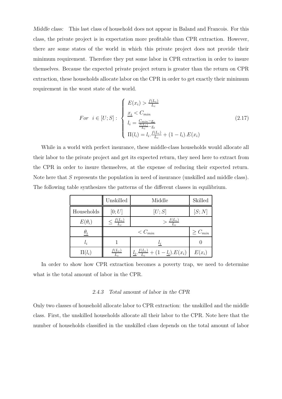Middle class: This last class of household does not appear in Baland and Francois. For this class, the private project is in expectation more profitable than CPR extraction. However, there are some states of the world in which this private project does not provide their minimum requirement. Therefore they put some labor in CPR extraction in order to insure themselves. Because the expected private project return is greater than the return on CPR extraction, these households allocate labor on the CPR in order to get exactly their minimum requirement in the worst state of the world.

$$
For \t i \in [U; S]: \begin{cases} E(x_i) > \frac{f(L_c)}{L_c} \\ \frac{x_i}{l_i} < C_{min} \\ l_i = \frac{C_{min} - x_i}{\frac{f(L_c)}{L_c} - x_i} \\ \Pi(l_i) = l_i \cdot \frac{f(L_c)}{L_c} + (1 - l_i) \cdot E(x_i) \end{cases} \tag{2.17}
$$

While in a world with perfect insurance, these middle-class households would allocate all their labor to the private project and get its expected return, they need here to extract from the CPR in order to insure themselves, at the expense of reducing their expected return. Note here that S represents the population in need of insurance (unskilled and middle class). The following table synthesizes the patterns of the different classes in equilibrium.

|               | Unskilled                 | Middle                                      | Skilled        |
|---------------|---------------------------|---------------------------------------------|----------------|
| Households    | [0;U]                     | [U;S]                                       | [S; N]         |
| $E(\theta_i)$ | $\leq \frac{f(L_c)}{L_c}$ | $\frac{f(L_c)}{L_c}$                        |                |
| $\theta_i$    |                           | $\langle C_{min}$                           | $\geq C_{min}$ |
| $l_i$         |                           |                                             |                |
| $\Pi(l_i)$    | $(L_c)$                   | $l_i.\frac{f(L_c)}{L_c} + (1 - l_i).E(x_i)$ | $E(x_i)$       |

In order to show how CPR extraction becomes a poverty trap, we need to determine what is the total amount of labor in the CPR.

#### 2.4.3 Total amount of labor in the CPR

Only two classes of household allocate labor to CPR extraction: the unskilled and the middle class. First, the unskilled households allocate all their labor to the CPR. Note here that the number of households classified in the unskilled class depends on the total amount of labor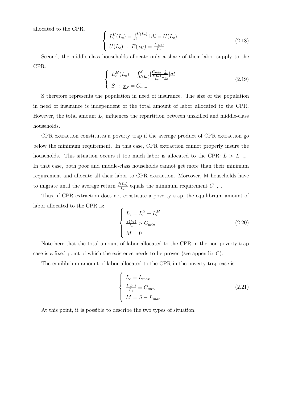allocated to the CPR.

$$
\begin{cases}\nL_c^U(L_c) = \int_1^{U(L_c)} 1di = U(L_c) \\
U(L_c) : E(x_U) = \frac{f(L_c)}{L_c}\n\end{cases} \tag{2.18}
$$

Second, the middle-class households allocate only a share of their labor supply to the CPR.

$$
\begin{cases}\nL_c^M(L_c) = \int_{U(L_c)}^S \left[\frac{C_{min} - \underline{\theta}_i}{\frac{f(L_c)}{L_c} - \underline{x}_i}\right] di \\
S: \ \underline{x}_S = C_{min}\n\end{cases} \tag{2.19}
$$

S therefore represents the population in need of insurance. The size of the population in need of insurance is independent of the total amount of labor allocated to the CPR. However, the total amount  $L_c$  influences the repartition between unskilled and middle-class households.

CPR extraction constitutes a poverty trap if the average product of CPR extraction go below the minimum requirement. In this case, CPR extraction cannot properly insure the households. This situation occurs if too much labor is allocated to the CPR:  $L > L_{max}$ . In that case, both poor and middle-class households cannot get more than their minimum requirement and allocate all their labor to CPR extraction. Moreover, M households have to migrate until the average return  $\frac{f(L_c)}{L_c}$  equals the minimum requirement  $C_{min}$ .

Thus, if CPR extraction does not constitute a poverty trap, the equilibrium amount of labor allocated to the CPR is:

$$
\begin{cases}\nL_c = L_c^U + L_c^M \\
\frac{f(L_c)}{L_c} > C_{min} \\
M = 0\n\end{cases} \tag{2.20}
$$

Note here that the total amount of labor allocated to the CPR in the non-poverty-trap case is a fixed point of which the existence needs to be proven (see appendix C).

The equilibrium amount of labor allocated to the CPR in the poverty trap case is:

$$
\begin{cases}\nL_c = L_{max} \\
\frac{f(L_c)}{L_c} = C_{min} \\
M = S - L_{max}\n\end{cases}
$$
\n(2.21)

At this point, it is possible to describe the two types of situation.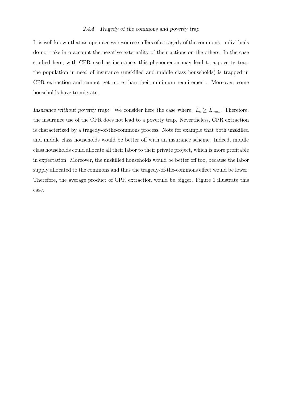It is well known that an open-access resource suffers of a tragedy of the commons: individuals do not take into account the negative externality of their actions on the others. In the case studied here, with CPR used as insurance, this phenomenon may lead to a poverty trap: the population in need of insurance (unskilled and middle class households) is trapped in CPR extraction and cannot get more than their minimum requirement. Moreover, some households have to migrate.

Insurance without poverty trap: We consider here the case where:  $L_c \ge L_{max}$ . Therefore, the insurance use of the CPR does not lead to a poverty trap. Nevertheless, CPR extraction is characterized by a tragedy-of-the-commons process. Note for example that both unskilled and middle class households would be better off with an insurance scheme. Indeed, middle class households could allocate all their labor to their private project, which is more profitable in expectation. Moreover, the unskilled households would be better off too, because the labor supply allocated to the commons and thus the tragedy-of-the-commons effect would be lower. Therefore, the average product of CPR extraction would be bigger. Figure 1 illustrate this case.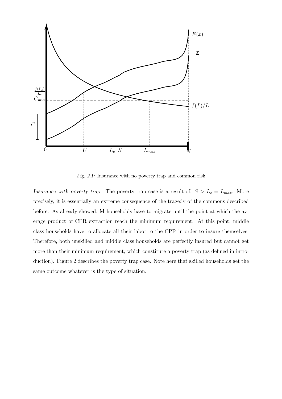

Fig. 2.1: Insurance with no poverty trap and common risk

Insurance with poverty trap The poverty-trap case is a result of:  $S > L_c = L_{max}$ . More precisely, it is essentially an extreme consequence of the tragedy of the commons described before. As already showed, M households have to migrate until the point at which the average product of CPR extraction reach the minimum requirement. At this point, middle class households have to allocate all their labor to the CPR in order to insure themselves. Therefore, both unskilled and middle class households are perfectly insured but cannot get more than their minimum requirement, which constitute a poverty trap (as defined in introduction). Figure 2 describes the poverty trap case. Note here that skilled households get the same outcome whatever is the type of situation.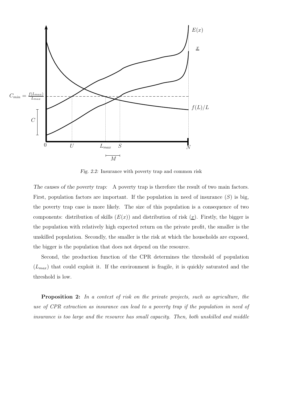

Fig. 2.2: Insurance with poverty trap and common risk

The causes of the poverty trap: A poverty trap is therefore the result of two main factors. First, population factors are important. If the population in need of insurance  $(S)$  is big, the poverty trap case is more likely. The size of this population is a consequence of two components: distribution of skills  $(E(x))$  and distribution of risk  $(x)$ . Firstly, the bigger is the population with relatively high expected return on the private profit, the smaller is the unskilled population. Secondly, the smaller is the risk at which the households are exposed, the bigger is the population that does not depend on the resource.

Second, the production function of the CPR determines the threshold of population  $(L_{max})$  that could exploit it. If the environment is fragile, it is quickly saturated and the threshold is low.

**Proposition 2:** In a context of risk on the private projects, such as agriculture, the use of CPR extraction as insurance can lead to a poverty trap if the population in need of insurance is too large and the resource has small capacity. Then, both unskilled and middle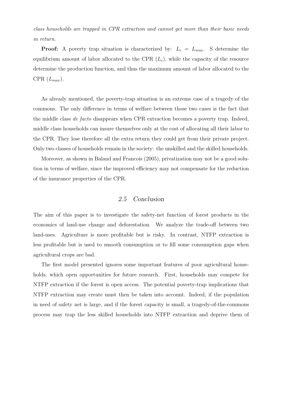class households are trapped in CPR extraction and cannot get more than their basic needs in return.

**Proof:** A poverty trap situation is characterized by:  $L_c = L_{max}$ . S determine the equilibrium amount of labor allocated to the CPR  $(L_c)$ , while the capacity of the resource determine the production function, and thus the maximum amount of labor allocated to the CPR  $(L_{max})$ .

As already mentioned, the poverty-trap situation is an extreme case of a tragedy of the commons. The only difference in terms of welfare between those two cases is the fact that the middle class de facto disappears when CPR extraction becomes a poverty trap. Indeed, middle class households can insure themselves only at the cost of allocating all their labor to the CPR. They lose therefore all the extra return they could get from their private project. Only two classes of households remain in the society: the unskilled and the skilled households.

Moreover, as shown in Baland and Francois (2005), privatization may not be a good solution in terms of welfare, since the improved efficiency may not compensate for the reduction of the insurance properties of the CPR.

# 2.5 Conclusion

The aim of this paper is to investigate the safety-net function of forest products in the economics of land-use change and deforestation. We analyze the trade-off between two land-uses. Agriculture is more profitable but is risky. In contrast, NTFP extraction is less profitable but is used to smooth consumption or to fill some consumption gaps when agricultural crops are bad.

The first model presented ignores some important features of poor agricultural households, which open opportunities for future research. First, households may compete for NTFP extraction if the forest is open access. The potential poverty-trap implications that NTFP extraction may create must then be taken into account. Indeed, if the population in need of safety net is large, and if the forest capacity is small, a tragedy-of-the-commons process may trap the less skilled households into NTFP extraction and deprive them of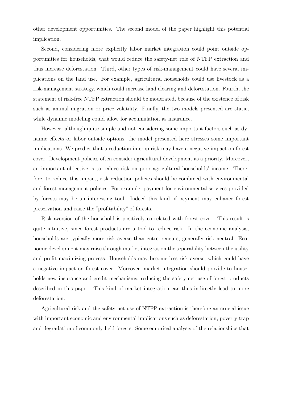other development opportunities. The second model of the paper highlight this potential implication.

Second, considering more explicitly labor market integration could point outside opportunities for households, that would reduce the safety-net role of NTFP extraction and thus increase deforestation. Third, other types of risk-management could have several implications on the land use. For example, agricultural households could use livestock as a risk-management strategy, which could increase land clearing and deforestation. Fourth, the statement of risk-free NTFP extraction should be moderated, because of the existence of risk such as animal migration or price volatility. Finally, the two models presented are static, while dynamic modeling could allow for accumulation as insurance.

However, although quite simple and not considering some important factors such as dynamic effects or labor outside options, the model presented here stresses some important implications. We predict that a reduction in crop risk may have a negative impact on forest cover. Development policies often consider agricultural development as a priority. Moreover, an important objective is to reduce risk on poor agricultural households' income. Therefore, to reduce this impact, risk reduction policies should be combined with environmental and forest management policies. For example, payment for environmental services provided by forests may be an interesting tool. Indeed this kind of payment may enhance forest preservation and raise the "profitability" of forests.

Risk aversion of the household is positively correlated with forest cover. This result is quite intuitive, since forest products are a tool to reduce risk. In the economic analysis, households are typically more risk averse than entrepreneurs, generally risk neutral. Economic development may raise through market integration the separability between the utility and profit maximizing process. Households may become less risk averse, which could have a negative impact on forest cover. Moreover, market integration should provide to households new insurance and credit mechanisms, reducing the safety-net use of forest products described in this paper. This kind of market integration can thus indirectly lead to more deforestation.

Agricultural risk and the safety-net use of NTFP extraction is therefore an crucial issue with important economic and environmental implications such as deforestation, poverty-trap and degradation of commonly-held forests. Some empirical analysis of the relationships that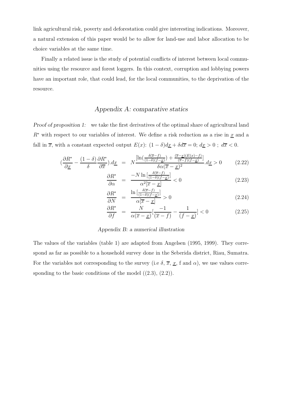link agricultural risk, poverty and deforestation could give interesting indications. Moreover, a natural extension of this paper would be to allow for land-use and labor allocation to be choice variables at the same time.

Finally a related issue is the study of potential conflicts of interest between local communities using the resource and forest loggers. In this context, corruption and lobbying powers have an important role, that could lead, for the local communities, to the deprivation of the resource.

## Appendix A: comparative statics

Proof of proposition 1: we take the first derivatives of the optimal share of agricultural land  $R^*$  with respect to our variables of interest. We define a risk reduction as a rise in x and a fall in  $\overline{x}$ , with a constant expected output  $E(x)$ :  $(1 - \delta)dx + \delta d\overline{x} = 0$ ;  $d\underline{x} > 0$ ;  $d\overline{x} < 0$ .

$$
\left(\frac{\partial R^*}{\partial \underline{x}} - \frac{(1-\delta)}{\delta} \frac{\partial R^*}{\partial \overline{x}}\right).d\underline{x} = N \frac{\left[\ln\left(\frac{\delta(\overline{x}-f)}{(1-\delta)(f-\underline{x})}\right) + \frac{(\overline{x}-\underline{x})(E(\underline{x})-f)}{(\overline{x}-f)(f-\underline{x})}\right]}{\delta \alpha (\overline{x}-\underline{x})^2}.d\underline{x} > 0 \tag{2.22}
$$

$$
\frac{\partial R^*}{\partial \alpha} = \frac{-N \ln \left[ \frac{\delta(\overline{x} - f)}{(1 - \delta)(f - \underline{x})} \right]}{\alpha^2 [\overline{x} - \underline{x}]} < 0 \tag{2.23}
$$

$$
\frac{\partial R^*}{\partial N} = \frac{\ln\left[\frac{\delta(\overline{x}-f)}{(1-\delta)(f-\underline{x})}\right]}{\alpha[\overline{x}-\underline{x}]} > 0
$$
\n(2.24)

$$
\frac{\partial R^*}{\partial f} = \frac{N}{\alpha(\overline{x} - \underline{x})} \left[ \frac{-1}{(\overline{x} - f)} - \frac{1}{(f - \underline{x})} \right] < 0 \tag{2.25}
$$

#### Appendix B: a numerical illustration

The values of the variables (table 1) are adapted from Angelsen (1995, 1999). They correspond as far as possible to a household survey done in the Seberida district, Riau, Sumatra. For the variables not corresponding to the survey (i.e  $\delta$ ,  $\overline{x}$ ,  $\underline{x}$ , f and  $\alpha$ ), we use values corresponding to the basic conditions of the model  $((2.3), (2.2))$ .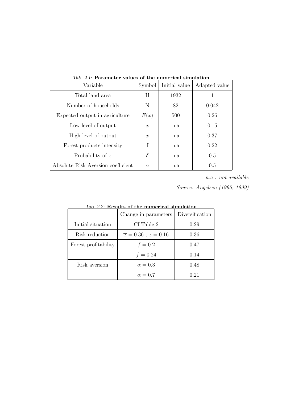| Variable                           | Symbol          | Initial value | Adapted value |
|------------------------------------|-----------------|---------------|---------------|
| Total land area                    | Н               | 1932          |               |
| Number of households               | N               | 82            | 0.042         |
| Expected output in agriculture     | E(x)            | 500           | 0.26          |
| Low level of output                | $\underline{x}$ | n.a           | 0.15          |
| High level of output               | $\overline{x}$  | n.a.          | 0.37          |
| Forest products intensity          | $\mathbf{f}$    | n.a.          | 0.22          |
| Probability of $\overline{x}$      | $\delta$        | n.a.          | 0.5           |
| Absolute Risk Aversion coefficient | $\alpha$        | n.a           | 0.5           |

Tab. 2.1: **Parameter values of the numerical simulation**

 $n.a$ : not available

Source: Angelsen (1995, 1999)

|                      | 100. 2.2. 10000100 от ене нашегная энциперия<br>Change in parameters | Diversification |
|----------------------|----------------------------------------------------------------------|-----------------|
| Initial situation    | Cf Table 2                                                           | 0.29            |
| Risk reduction       | $\overline{x} = 0.36$ ; $\underline{x} = 0.16$                       | 0.36            |
| Forest profitability | $f = 0.2$                                                            | 0.47            |
|                      | $f = 0.24$                                                           | 0.14            |
| Risk aversion        | $\alpha = 0.3$                                                       | 0.48            |
|                      | $\alpha = 0.7$                                                       | 0.21            |

Tab. 2.2: **Results of the numerical simulation**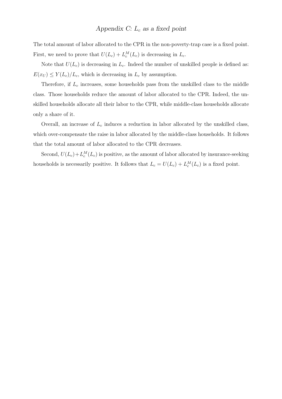# Appendix C:  $L_c$  as a fixed point

The total amount of labor allocated to the CPR in the non-poverty-trap case is a fixed point. First, we need to prove that  $U(L_c) + L_c^M(L_c)$  is decreasing in  $L_c$ .

Note that  $U(L_c)$  is decreasing in  $L_c$ . Indeed the number of unskilled people is defined as:  $E(x_U) \leq Y(L_c)/L_c$ , which is decreasing in  $L_c$  by assumption.

Therefore, if  $L_c$  increases, some households pass from the unskilled class to the middle class. Those households reduce the amount of labor allocated to the CPR. Indeed, the unskilled households allocate all their labor to the CPR, while middle-class households allocate only a share of it.

Overall, an increase of  $L_c$  induces a reduction in labor allocated by the unskilled class, which over-compensate the raise in labor allocated by the middle-class households. It follows that the total amount of labor allocated to the CPR decreases.

Second,  $U(L_c) + L_c^M(L_c)$  is positive, as the amount of labor allocated by insurance-seeking households is necessarily positive. It follows that  $L_c = U(L_c) + L_c^M(L_c)$  is a fixed point.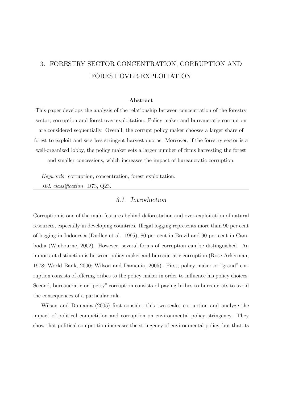# 3. FORESTRY SECTOR CONCENTRATION, CORRUPTION AND FOREST OVER-EXPLOITATION

#### **Abstract**

This paper develops the analysis of the relationship between concentration of the forestry sector, corruption and forest over-exploitation. Policy maker and bureaucratic corruption are considered sequentially. Overall, the corrupt policy maker chooses a larger share of forest to exploit and sets less stringent harvest quotas. Moreover, if the forestry sector is a well-organized lobby, the policy maker sets a larger number of firms harvesting the forest and smaller concessions, which increases the impact of bureaucratic corruption.

Keywords: corruption, concentration, forest exploitation.

JEL classification: D73, Q23.

# 3.1 Introduction

Corruption is one of the main features behind deforestation and over-exploitation of natural resources, especially in developing countries. Illegal logging represents more than 90 per cent of logging in Indonesia (Dudley et al., 1995), 80 per cent in Brazil and 90 per cent in Cambodia (Winbourne, 2002). However, several forms of corruption can be distinguished. An important distinction is between policy maker and bureaucratic corruption (Rose-Ackerman, 1978; World Bank, 2000; Wilson and Damania, 2005). First, policy maker or "grand" corruption consists of offering bribes to the policy maker in order to influence his policy choices. Second, bureaucratic or "petty" corruption consists of paying bribes to bureaucrats to avoid the consequences of a particular rule.

Wilson and Damania (2005) first consider this two-scales corruption and analyze the impact of political competition and corruption on environmental policy stringency. They show that political competition increases the stringency of environmental policy, but that its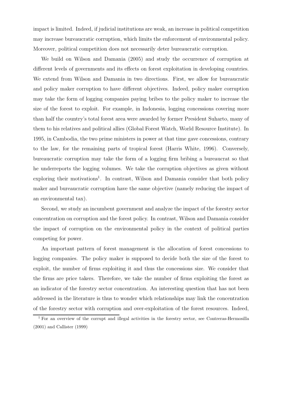impact is limited. Indeed, if judicial institutions are weak, an increase in political competition may increase bureaucratic corruption, which limits the enforcement of environmental policy. Moreover, political competition does not necessarily deter bureaucratic corruption.

We build on Wilson and Damania (2005) and study the occurrence of corruption at different levels of governments and its effects on forest exploitation in developing countries. We extend from Wilson and Damania in two directions. First, we allow for bureaucratic and policy maker corruption to have different objectives. Indeed, policy maker corruption may take the form of logging companies paying bribes to the policy maker to increase the size of the forest to exploit. For example, in Indonesia, logging concessions covering more than half the country's total forest area were awarded by former President Suharto, many of them to his relatives and political allies (Global Forest Watch, World Resource Institute). In 1995, in Cambodia, the two prime ministers in power at that time gave concessions, contrary to the law, for the remaining parts of tropical forest (Harris White, 1996). Conversely, bureaucratic corruption may take the form of a logging firm bribing a bureaucrat so that he underreports the logging volumes. We take the corruption objectives as given without exploring their motivations<sup>1</sup>. In contrast, Wilson and Damania consider that both policy maker and bureaucratic corruption have the same objective (namely reducing the impact of an environmental tax).

Second, we study an incumbent government and analyze the impact of the forestry sector concentration on corruption and the forest policy. In contrast, Wilson and Damania consider the impact of corruption on the environmental policy in the context of political parties competing for power.

An important pattern of forest management is the allocation of forest concessions to logging companies. The policy maker is supposed to decide both the size of the forest to exploit, the number of firms exploiting it and thus the concessions size. We consider that the firms are price takers. Therefore, we take the number of firms exploiting the forest as an indicator of the forestry sector concentration. An interesting question that has not been addressed in the literature is thus to wonder which relationships may link the concentration of the forestry sector with corruption and over-exploitation of the forest resources. Indeed,

<sup>1</sup> For an overview of the corrupt and illegal activities in the forestry sector, see Contreras-Hermosilla (2001) and Callister (1999)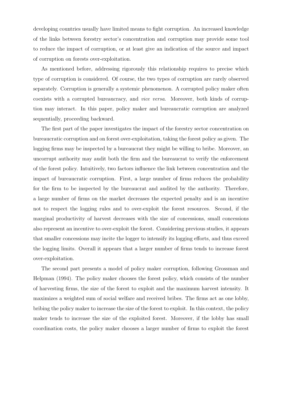developing countries usually have limited means to fight corruption. An increased knowledge of the links between forestry sector's concentration and corruption may provide some tool to reduce the impact of corruption, or at least give an indication of the source and impact of corruption on forests over-exploitation.

As mentioned before, addressing rigorously this relationship requires to precise which type of corruption is considered. Of course, the two types of corruption are rarely observed separately. Corruption is generally a systemic phenomenon. A corrupted policy maker often coexists with a corrupted bureaucracy, and vice versa. Moreover, both kinds of corruption may interact. In this paper, policy maker and bureaucratic corruption are analyzed sequentially, proceeding backward.

The first part of the paper investigates the impact of the forestry sector concentration on bureaucratic corruption and on forest over-exploitation, taking the forest policy as given. The logging firms may be inspected by a bureaucrat they might be willing to bribe. Moreover, an uncorrupt authority may audit both the firm and the bureaucrat to verify the enforcement of the forest policy. Intuitively, two factors influence the link between concentration and the impact of bureaucratic corruption. First, a large number of firms reduces the probability for the firm to be inspected by the bureaucrat and audited by the authority. Therefore, a large number of firms on the market decreases the expected penalty and is an incentive not to respect the logging rules and to over-exploit the forest resources. Second, if the marginal productivity of harvest decreases with the size of concessions, small concessions also represent an incentive to over-exploit the forest. Considering previous studies, it appears that smaller concessions may incite the logger to intensify its logging efforts, and thus exceed the logging limits. Overall it appears that a larger number of firms tends to increase forest over-exploitation.

The second part presents a model of policy maker corruption, following Grossman and Helpman (1994). The policy maker chooses the forest policy, which consists of the number of harvesting firms, the size of the forest to exploit and the maximum harvest intensity. It maximizes a weighted sum of social welfare and received bribes. The firms act as one lobby, bribing the policy maker to increase the size of the forest to exploit. In this context, the policy maker tends to increase the size of the exploited forest. Moreover, if the lobby has small coordination costs, the policy maker chooses a larger number of firms to exploit the forest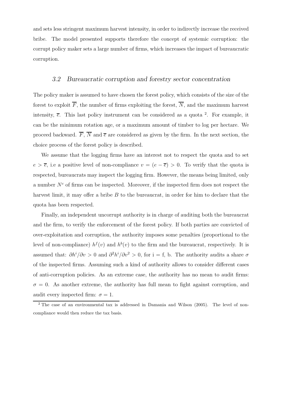and sets less stringent maximum harvest intensity, in order to indirectly increase the received bribe. The model presented supports therefore the concept of systemic corruption: the corrupt policy maker sets a large number of firms, which increases the impact of bureaucratic corruption.

### 3.2 Bureaucratic corruption and forestry sector concentration

The policy maker is assumed to have chosen the forest policy, which consists of the size of the forest to exploit  $\overline{F}$ , the number of firms exploiting the forest,  $\overline{N}$ , and the maximum harvest intensity,  $\overline{e}$ . This last policy instrument can be considered as a quota  $\overline{e}$ . For example, it can be the minimum rotation age, or a maximum amount of timber to log per hectare. We proceed backward.  $\overline{F}$ ,  $\overline{N}$  and  $\overline{e}$  are considered as given by the firm. In the next section, the choice process of the forest policy is described.

We assume that the logging firms have an interest not to respect the quota and to set  $e > \overline{e}$ , i.e a positive level of non-compliance  $v = (e - \overline{e}) > 0$ . To verify that the quota is respected, bureaucrats may inspect the logging firm. However, the means being limited, only a number  $N<sup>c</sup>$  of firms can be inspected. Moreover, if the inspected firm does not respect the harvest limit, it may offer a bribe  $B$  to the bureaucrat, in order for him to declare that the quota has been respected.

Finally, an independent uncorrupt authority is in charge of auditing both the bureaucrat and the firm, to verify the enforcement of the forest policy. If both parties are convicted of over-exploitation and corruption, the authority imposes some penalties (proportional to the level of non-compliance)  $h^f(v)$  and  $h^b(v)$  to the firm and the bureaucrat, respectively. It is assumed that:  $\partial h^i/\partial v > 0$  and  $\partial^2 h^i/\partial v^2 > 0$ , for i = f, b. The authority audits a share  $\sigma$ of the inspected firms. Assuming such a kind of authority allows to consider different cases of anti-corruption policies. As an extreme case, the authority has no mean to audit firms:  $\sigma = 0$ . As another extreme, the authority has full mean to fight against corruption, and audit every inspected firm:  $\sigma = 1$ .

<sup>&</sup>lt;sup>2</sup> The case of an environmental tax is addressed in Damania and Wilson (2005). The level of noncompliance would then reduce the tax basis.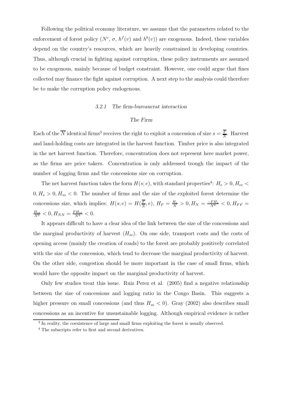Following the political economy literature, we assume that the parameters related to the enforcement of forest policy  $(N^c, \sigma, h^f(v))$  and  $h^b(v)$  are exogenous. Indeed, these variables depend on the country's resources, which are heavily constrained in developing countries. Thus, although crucial in fighting against corruption, these policy instruments are assumed to be exogenous, mainly because of budget constraint. However, one could argue that fines collected may finance the fight against corruption. A next step to the analysis could therefore be to make the corruption policy endogenous.

#### 3.2.1 The firm-bureaucrat interaction

#### The Firm

Each of the  $\overline{N}$  identical firms<sup>3</sup> receives the right to exploit a concession of size  $s = \frac{\overline{F}}{N}$ . Harvest and land-holding costs are integrated in the harvest function. Timber price is also integrated in the net harvest function. Therefore, concentration does not represent here market power, as the firms are price takers. Concentration is only addressed trough the impact of the number of logging firms and the concessions size on corruption.

The net harvest function takes the form  $H(s; e)$ , with standard properties<sup>4</sup>:  $H_e > 0$ ,  $H_{ee} <$  $0, H_s > 0, H_{ss} < 0$ . The number of firms and the size of the exploited forest determine the concessions size, which implies:  $H(s; e) = H(\frac{F}{N}, e)$ ,  $H_F = \frac{H_s}{N} > 0$ ,  $H_N = \frac{-FH_s}{N^2} < 0$ ,  $H_{FF} =$  $\frac{H_{ss}}{N^2} < 0, H_{NN} = \frac{FH_{ss}}{N^4} < 0.$ 

It appears difficult to have a clear idea of the link between the size of the concessions and the marginal productivity of harvest  $(H_{se})$ . On one side, transport costs and the costs of opening access (mainly the creation of roads) to the forest are probably positively correlated with the size of the concession, which tend to decrease the marginal productivity of harvest. On the other side, congestion should be more important in the case of small firms, which would have the opposite impact on the marginal productivity of harvest.

Only few studies treat this issue. Ruiz Perez et al. (2005) find a negative relationship between the size of concessions and logging ratio in the Congo Basin. This suggests a higher pressure on small concessions (and thus  $H_{se} < 0$ ). Gray (2002) also describes small concessions as an incentive for unsustainable logging. Although empirical evidence is rather

<sup>&</sup>lt;sup>3</sup> In reality, the coexistence of large and small firms exploiting the forest is usually observed.

<sup>4</sup> The subscripts refer to first and second derivatives.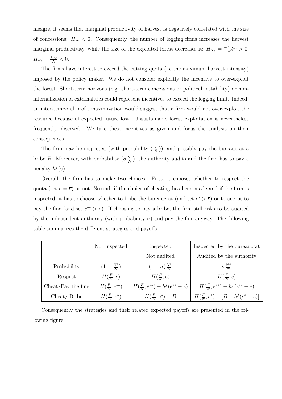meagre, it seems that marginal productivity of harvest is negatively correlated with the size of concessions:  $H_{se}$  < 0. Consequently, the number of logging firms increases the harvest marginal productivity, while the size of the exploited forest decreases it:  $H_{Ne} = \frac{-FH_{se}}{N^2} > 0$ ,  $H_{Fe} = \frac{H_{se}}{N} < 0.$ 

The firms have interest to exceed the cutting quota (i.e the maximum harvest intensity) imposed by the policy maker. We do not consider explicitly the incentive to over-exploit the forest. Short-term horizons (e.g: short-term concessions or political instability) or noninternalization of externalities could represent incentives to exceed the logging limit. Indeed, an inter-temporal profit maximization would suggest that a firm would not over-exploit the resource because of expected future lost. Unsustainable forest exploitation is nevertheless frequently observed. We take these incentives as given and focus the analysis on their consequences.

The firm may be inspected (with probability  $(\frac{N^c}{N})$ ), and possibly pay the bureaucrat a bribe B. Moreover, with probability  $(\sigma \frac{N^c}{N})$ , the authority audits and the firm has to pay a penalty  $h^f(v)$ .

Overall, the firm has to make two choices. First, it chooses whether to respect the quota (set  $e = \overline{e}$ ) or not. Second, if the choice of cheating has been made and if the firm is inspected, it has to choose whether to bribe the bureaucrat (and set  $e^* > \overline{e}$ ) or to accept to pay the fine (and set  $e^{**} > \overline{e}$ ). If choosing to pay a bribe, the firm still risks to be audited by the independent authority (with probability  $\sigma$ ) and pay the fine anyway. The following table summarizes the different strategies and payoffs.

|                    | Not inspected                                       | Inspected                                                   | Inspected by the bureaucrat                                                |
|--------------------|-----------------------------------------------------|-------------------------------------------------------------|----------------------------------------------------------------------------|
|                    |                                                     | Not audited                                                 | Audited by the authority                                                   |
| Probability        | $\left(1-\frac{N^{c}}{N}\right)$                    | $(1-\sigma)\frac{N^c}{\overline{N}}$                        | $\sigma \frac{N^c}{N}$                                                     |
| Respect            | $H(\frac{\overline{F}}{\overline{N}};\overline{e})$ | $H(\frac{\overline{F}}{\overline{N}};\overline{e})$         | $H(\frac{F}{\overline{M}};\overline{e})$                                   |
| Check/Pay the fine | $H(\frac{\overline{F}}{N};e^{**})$                  | $H(\frac{\overline{F}}{N};e^{**})-h^f(e^{**}-\overline{e})$ | $H(\frac{\overline{F}}{N};e^{**})-h^f(e^{**}-\overline{e})$                |
| Cheat/Bribe        | $H(\frac{\overline{F}}{\overline{N}};e^*)$          | $H(\frac{\overline{F}}{\overline{N}};e^*)-B$                | $H(\frac{\overline{F}}{\overline{N}};e^*) - [B + h^f(e^* - \overline{e})]$ |

Consequently the strategies and their related expected payoffs are presented in the following figure.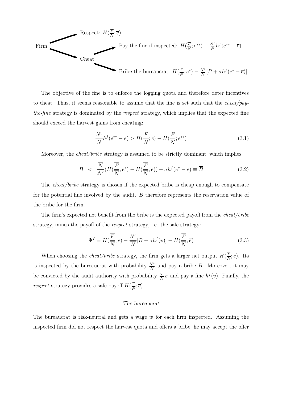

The objective of the fine is to enforce the logging quota and therefore deter incentives to cheat. Thus, it seems reasonable to assume that the fine is set such that the  $cheat/pay$ the-fine strategy is dominated by the respect strategy, which implies that the expected fine should exceed the harvest gains from cheating:

$$
\frac{N^c}{\overline{N}}h^f(e^{**}-\overline{e}) > H(\frac{\overline{F}}{\overline{N}};\overline{e}) - H(\frac{\overline{F}}{\overline{N}};e^{**})
$$
\n(3.1)

Moreover, the *cheat/bribe* strategy is assumed to be strictly dominant, which implies:

$$
B \quad < \quad \frac{\overline{N}}{N^c} \left( H(\frac{\overline{F}}{\overline{N}}; e^*) - H(\frac{\overline{F}}{\overline{N}}; \overline{e}) \right) - \sigma h^f(e^* - \overline{e}) \equiv \overline{B} \tag{3.2}
$$

The cheat/bribe strategy is chosen if the expected bribe is cheap enough to compensate for the potential fine involved by the audit.  $\overline{B}$  therefore represents the reservation value of the bribe for the firm.

The firm's expected net benefit from the bribe is the expected payoff from the cheat/bribe strategy, minus the payoff of the respect strategy, i.e. the safe strategy:

$$
\Psi^f = H(\frac{\overline{F}}{\overline{N}}; e) - \frac{N^c}{\overline{N}}[B + \sigma h^f(v)] - H(\frac{\overline{F}}{\overline{N}}; \overline{e})
$$
\n(3.3)

When choosing the *cheat/bribe* strategy, the firm gets a larger net output  $H(\frac{F}{N}; e)$ . Its is inspected by the bureaucrat with probability  $\frac{N^c}{\overline{N}}$  and pay a bribe B. Moreover, it may be convicted by the audit authority with probability  $\frac{N^c}{\overline{N}}\sigma$  and pay a fine  $h^f(v)$ . Finally, the respect strategy provides a safe payoff  $H(\frac{F}{N}; \overline{e})$ .

#### The bureaucrat

The bureaucrat is risk-neutral and gets a wage  $w$  for each firm inspected. Assuming the inspected firm did not respect the harvest quota and offers a bribe, he may accept the offer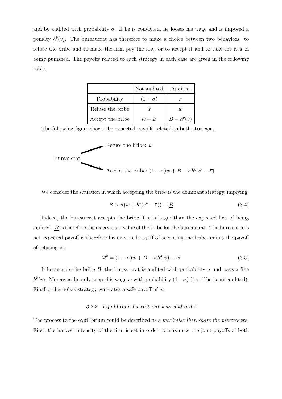and be audited with probability  $\sigma$ . If he is convicted, he looses his wage and is imposed a penalty  $h^b(v)$ . The bureaucrat has therefore to make a choice between two behaviors: to refuse the bribe and to make the firm pay the fine, or to accept it and to take the risk of being punished. The payoffs related to each strategy in each case are given in the following table.

|                  | Not audited    | Audited    |
|------------------|----------------|------------|
| Probability      | $(1-\sigma)$   |            |
| Refuse the bribe | $\overline{w}$ | $\eta$     |
| Accept the bribe | $w + B$        | $B-h^b(v)$ |

The following figure shows the expected payoffs related to both strategies.



We consider the situation in which accepting the bribe is the dominant strategy, implying:

$$
B > \sigma(w + h^b(e^* - \overline{e})) \equiv \underline{B}
$$
\n(3.4)

Indeed, the bureaucrat accepts the bribe if it is larger than the expected loss of being audited.  $\underline{B}$  is therefore the reservation value of the bribe for the bureaucrat. The bureaucrat's net expected payoff is therefore his expected payoff of accepting the bribe, minus the payoff of refusing it:

$$
\Psi^b = (1 - \sigma)w + B - \sigma h^b(v) - w \tag{3.5}
$$

If he accepts the bribe B, the bureaucrat is audited with probability  $\sigma$  and pays a fine  $h^{b}(v)$ . Moreover, he only keeps his wage w with probability  $(1-\sigma)$  (i.e. if he is not audited). Finally, the refuse strategy generates a safe payoff of w.

#### 3.2.2 Equilibrium harvest intensity and bribe

The process to the equilibrium could be described as a *maximize-then-share-the-pie* process. First, the harvest intensity of the firm is set in order to maximize the joint payoffs of both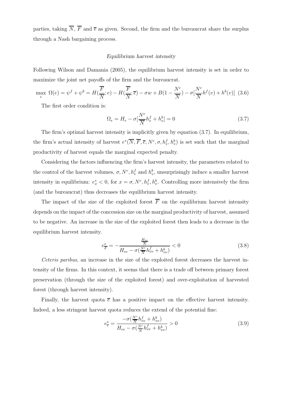parties, taking  $\overline{N}$ ,  $\overline{F}$  and  $\overline{e}$  as given. Second, the firm and the bureaucrat share the surplus through a Nash bargaining process.

#### Equilibrium harvest intensity

Following Wilson and Damania (2005), the equilibrium harvest intensity is set in order to maximize the joint net payoffs of the firm and the bureaucrat.

$$
\max_{e} \ \Omega(e) = \psi^f + \psi^b = H(\frac{\overline{F}}{\overline{N}}; e) - H(\frac{\overline{F}}{\overline{N}}; \overline{e}) - \sigma w + B(1 - \frac{N^c}{\overline{N}}) - \sigma[\frac{N^c}{\overline{N}}h^f(v) + h^b(v)] \tag{3.6}
$$

The first order condition is:

$$
\Omega_e = H_e - \sigma \left[\frac{N^c}{\overline{N}} h_v^f + h_v^b\right] = 0\tag{3.7}
$$

The firm's optimal harvest intensity is implicitly given by equation (3.7). In equilibrium, the firm's actual intensity of harvest  $e^*(\overline{N}, \overline{F}, \overline{e}, N^c, \sigma, h_v^f, h_v^b)$  is set such that the marginal productivity of harvest equals the marginal expected penalty.

Considering the factors influencing the firm's harvest intensity, the parameters related to the control of the harvest volumes,  $\sigma$ ,  $N^c$ ,  $h_v^f$  and  $h_v^b$ , unsurprisingly induce a smaller harvest intensity in equilibrium:  $e_x^* < 0$ , for  $x = \sigma, N^c, h_v^f, h_v^b$ . Controlling more intensively the firm (and the bureaucrat) thus decreases the equilibrium harvest intensity.

The impact of the size of the exploited forest  $\overline{F}$  on the equilibrium harvest intensity depends on the impact of the concession size on the marginal productivity of harvest, assumed to be negative. An increase in the size of the exploited forest then leads to a decrease in the equilibrium harvest intensity.

$$
e_{\overline{F}}^{*} = -\frac{\frac{H_{se}}{\overline{N}}}{H_{ee} - \sigma(\frac{N^c}{\overline{N}}h_{vv}^f + h_{vv}^b)} < 0
$$
\n(3.8)

Ceteris paribus, an increase in the size of the exploited forest decreases the harvest intensity of the firms. In this context, it seems that there is a trade off between primary forest preservation (through the size of the exploited forest) and over-exploitation of harvested forest (through harvest intensity).

Finally, the harvest quota  $\bar{e}$  has a positive impact on the effective harvest intensity. Indeed, a less stringent harvest quota reduces the extend of the potential fine:

$$
e_{\overline{e}}^* = \frac{-\sigma(\frac{N^c}{N}h_{vv}^f + h_{vv}^b)}{H_{ee} - \sigma(\frac{N^c}{N}h_{vv}^f + h_{vv}^b)} > 0
$$
\n(3.9)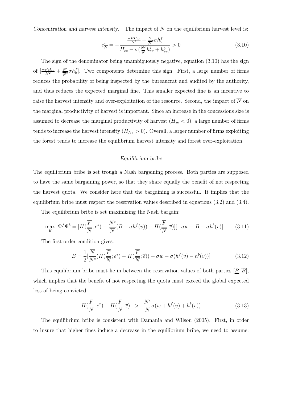Concentration and harvest intensity: The impact of  $\overline{N}$  on the equilibrium harvest level is:

$$
e^*_{\overline{N}} = -\frac{\frac{-FH_{se}}{N^2} + \frac{N^c}{\overline{N}^2} \sigma h_v^f}{H_{ee} - \sigma(\frac{N^c}{\overline{N}} h_{vv}^f + h_{vv}^b)} > 0
$$
\n(3.10)

The sign of the denominator being unambiguously negative, equation (3.10) has the sign of  $\left[\frac{-FH_{se}}{N^2} + \frac{N^c}{N^2} \sigma h_v^f\right]$ . Two components determine this sign. First, a large number of firms reduces the probability of being inspected by the bureaucrat and audited by the authority, and thus reduces the expected marginal fine. This smaller expected fine is an incentive to raise the harvest intensity and over-exploitation of the resource. Second, the impact of  $\overline{N}$  on the marginal productivity of harvest is important. Since an increase in the concessions size is assumed to decrease the marginal productivity of harvest  $(H_{se} < 0)$ , a large number of firms tends to increase the harvest intensity  $(H_{Ne} > 0)$ . Overall, a larger number of firms exploiting the forest tends to increase the equilibrium harvest intensity and forest over-exploitation.

#### Equilibrium bribe

The equilibrium bribe is set trough a Nash bargaining process. Both parties are supposed to have the same bargaining power, so that they share equally the benefit of not respecting the harvest quota. We consider here that the bargaining is successful. It implies that the equilibrium bribe must respect the reservation values described in equations (3.2) and (3.4).

The equilibrium bribe is set maximizing the Nash bargain:

$$
\max_{B} \ \Psi^f \Psi^b = [H(\frac{\overline{F}}{\overline{N}}; e^*) - \frac{N^c}{\overline{N}}(B + \sigma h^f(v)) - H(\frac{\overline{F}}{\overline{N}}; \overline{e})] [-\sigma w + B - \sigma h^b(v)] \tag{3.11}
$$

The first order condition gives:

$$
B = \frac{1}{2} \left[ \frac{\overline{N}}{N^c} (H(\frac{\overline{F}}{\overline{N}}; e^*) - H(\frac{\overline{F}}{\overline{N}}; \overline{e})) + \sigma w - \sigma (h^f(v) - h^b(v)) \right]
$$
(3.12)

This equilibrium bribe must lie in between the reservation values of both parties  $[\underline{B}, \overline{B}]$ , which implies that the benefit of not respecting the quota must exceed the global expected loss of being convicted:

$$
H(\frac{\overline{F}}{\overline{N}};e^*) - H(\frac{\overline{F}}{\overline{N}};\overline{e}) > \frac{N^c}{\overline{N}}\sigma(w + h^f(v) + h^b(v))
$$
\n(3.13)

The equilibrium bribe is consistent with Damania and Wilson (2005). First, in order to insure that higher fines induce a decrease in the equilibrium bribe, we need to assume: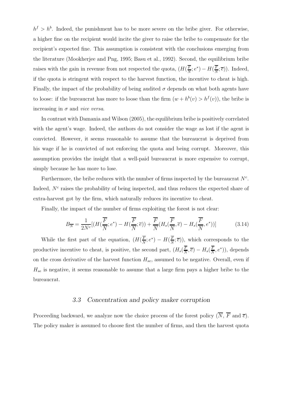$h^f > h^b$ . Indeed, the punishment has to be more severe on the bribe giver. For otherwise, a higher fine on the recipient would incite the giver to raise the bribe to compensate for the recipient's expected fine. This assumption is consistent with the conclusions emerging from the literature (Mookherjee and Png, 1995; Basu et al., 1992). Second, the equilibrium bribe raises with the gain in revenue from not respected the quota,  $(H(\frac{F}{N}; e^*) - H(\frac{F}{N}; \overline{e}))$ . Indeed, if the quota is stringent with respect to the harvest function, the incentive to cheat is high. Finally, the impact of the probability of being audited  $\sigma$  depends on what both agents have to loose: if the bureaucrat has more to loose than the firm  $(w + h^b(v) > h^f(v))$ , the bribe is increasing in  $\sigma$  and *vice versa*.

In contrast with Damania and Wilson (2005), the equilibrium bribe is positively correlated with the agent's wage. Indeed, the authors do not consider the wage as lost if the agent is convicted. However, it seems reasonable to assume that the bureaucrat is deprived from his wage if he is convicted of not enforcing the quota and being corrupt. Moreover, this assumption provides the insight that a well-paid bureaucrat is more expensive to corrupt, simply because he has more to lose.

Furthermore, the bribe reduces with the number of firms inspected by the bureaucrat  $N<sup>c</sup>$ . Indeed,  $N<sup>c</sup>$  raises the probability of being inspected, and thus reduces the expected share of extra-harvest got by the firm, which naturally reduces its incentive to cheat.

Finally, the impact of the number of firms exploiting the forest is not clear:

$$
B_{\overline{N}} = \frac{1}{2N^c} [(H(\frac{\overline{F}}{\overline{N}};e^*) - H(\frac{\overline{F}}{\overline{N}};\overline{e})) + \frac{\overline{F}}{\overline{N}} (H_s(\frac{\overline{F}}{\overline{N}},\overline{e}) - H_s(\frac{\overline{F}}{\overline{N}},e^*))]
$$
(3.14)

While the first part of the equation,  $(H(\frac{F}{N};e^*) - H(\frac{F}{N};\overline{e}))$ , which corresponds to the productive incentive to cheat, is positive, the second part,  $(H_s(\frac{F}{N}, \overline{e}) - H_s(\frac{F}{N}, e^*))$ , depends on the cross derivative of the harvest function  $H_{se}$ , assumed to be negative. Overall, even if  $H_{se}$  is negative, it seems reasonable to assume that a large firm pays a higher bribe to the bureaucrat.

### 3.3 Concentration and policy maker corruption

Proceeding backward, we analyze now the choice process of the forest policy  $(\overline{N}, \overline{F}$  and  $\overline{e})$ . The policy maker is assumed to choose first the number of firms, and then the harvest quota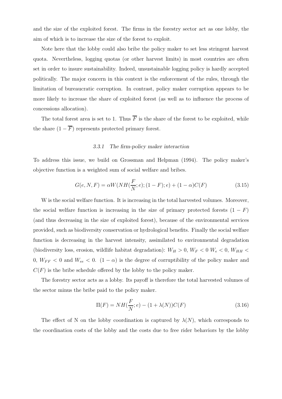and the size of the exploited forest. The firms in the forestry sector act as one lobby, the aim of which is to increase the size of the forest to exploit.

Note here that the lobby could also bribe the policy maker to set less stringent harvest quota. Nevertheless, logging quotas (or other harvest limits) in most countries are often set in order to insure sustainability. Indeed, unsustainable logging policy is hardly accepted politically. The major concern in this context is the enforcement of the rules, through the limitation of bureaucratic corruption. In contrast, policy maker corruption appears to be more likely to increase the share of exploited forest (as well as to influence the process of concessions allocation).

The total forest area is set to 1. Thus  $\overline{F}$  is the share of the forest to be exploited, while the share  $(1 - \overline{F})$  represents protected primary forest.

#### 3.3.1 The firm-policy maker interaction

To address this issue, we build on Grossman and Helpman (1994). The policy maker's objective function is a weighted sum of social welfare and bribes.

$$
G(e, N, F) = \alpha W(NH(\frac{F}{N}; e); (1 - F); e) + (1 - \alpha)C(F)
$$
\n(3.15)

W is the social welfare function. It is increasing in the total harvested volumes. Moreover, the social welfare function is increasing in the size of primary protected forests  $(1 - F)$ (and thus decreasing in the size of exploited forest), because of the environmental services provided, such as biodiversity conservation or hydrological benefits. Finally the social welfare function is decreasing in the harvest intensity, assimilated to environmental degradation (biodiversity loss, erosion, wildlife habitat degradation):  $W_H > 0$ ,  $W_F < 0$   $W_e < 0$ ,  $W_{HH} <$ 0,  $W_{FF}$  < 0 and  $W_{ee}$  < 0.  $(1 - \alpha)$  is the degree of corruptibility of the policy maker and  $C(F)$  is the bribe schedule offered by the lobby to the policy maker.

The forestry sector acts as a lobby. Its payoff is therefore the total harvested volumes of the sector minus the bribe paid to the policy maker.

$$
\Pi(F) = NH(\frac{F}{N}; e) - (1 + \lambda(N))C(F)
$$
\n(3.16)

The effect of N on the lobby coordination is captured by  $\lambda(N)$ , which corresponds to the coordination costs of the lobby and the costs due to free rider behaviors by the lobby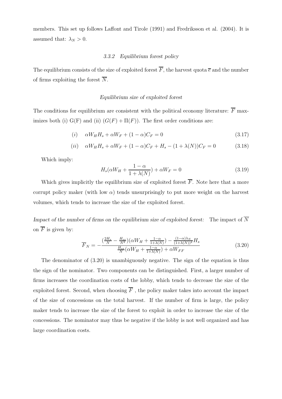members. This set up follows Laffont and Tirole (1991) and Fredriksson et al. (2004). It is assumed that:  $\lambda_N > 0$ .

#### 3.3.2 Equilibrium forest policy

The equilibrium consists of the size of exploited forest  $\overline{F}$ , the harvest quota  $\overline{e}$  and the number of firms exploiting the forest  $\overline{N}$ .

#### Equilibrium size of exploited forest

The conditions for equilibrium are consistent with the political economy literature:  $\overline{F}$  maximizes both (i)  $G(F)$  and (ii)  $(G(F) + \Pi(F))$ . The first order conditions are:

$$
(i) \quad \alpha W_H H_s + \alpha W_F + (1 - \alpha)C_F = 0 \tag{3.17}
$$

(*ii*) 
$$
\alpha W_H H_s + \alpha W_F + (1 - \alpha)C_F + H_s - (1 + \lambda(N))C_F = 0
$$
 (3.18)

Which imply:

$$
H_s(\alpha W_H + \frac{1-\alpha}{1+\lambda(N)}) + \alpha W_F = 0
$$
\n(3.19)

Which gives implicitly the equilibrium size of exploited forest  $\overline{F}$ . Note here that a more corrupt policy maker (with low  $\alpha$ ) tends unsurprisingly to put more weight on the harvest volumes, which tends to increase the size of the exploited forest.

Impact of the number of firms on the equilibrium size of exploited forest: The impact of  $\overline{N}$ on  $\overline{F}$  is given by:

$$
\overline{F}_N = -\frac{\left(\frac{2H_s}{N} - \frac{H_{ss}}{N^2}\right)(\alpha W_H + \frac{1-\alpha}{1+\lambda(N)}) - \frac{(1-\alpha)\lambda_N}{(1+\lambda(N))^2}H_s}{\frac{H_{ss}}{N}(\alpha W_H + \frac{1-\alpha}{1+\lambda(N)}) + \alpha W_{FF}}\tag{3.20}
$$

The denominator of (3.20) is unambiguously negative. The sign of the equation is thus the sign of the nominator. Two components can be distinguished. First, a larger number of firms increases the coordination costs of the lobby, which tends to decrease the size of the exploited forest. Second, when choosing  $\overline{F}$ , the policy maker takes into account the impact of the size of concessions on the total harvest. If the number of firm is large, the policy maker tends to increase the size of the forest to exploit in order to increase the size of the concessions. The nominator may thus be negative if the lobby is not well organized and has large coordination costs.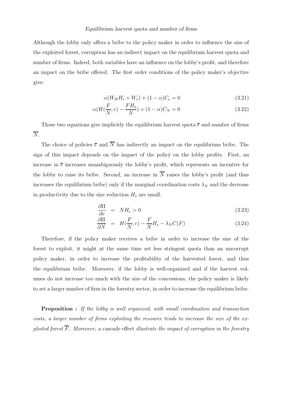#### Equilibrium harvest quota and number of firms

Although the lobby only offers a bribe to the policy maker in order to influence the size of the exploited forest, corruption has an indirect impact on the equilibrium harvest quota and number of firms. Indeed, both variables have an influence on the lobby's profit, and therefore an impact on the bribe offered. The first order conditions of the policy maker's objective give:

$$
\alpha(W_H H_e + W_e) + (1 - \alpha)C_e = 0 \tag{3.21}
$$

$$
\alpha(H(\frac{F}{N};e) - \frac{FH_s}{N}) + (1 - \alpha)C_N = 0
$$
\n(3.22)

Those two equations give implicitly the equilibrium harvest quota  $\bar{e}$  and number of firms  $\overline{N}$ .

The choice of policies  $\overline{e}$  and  $\overline{N}$  has indirectly an impact on the equilibrium bribe. The sign of this impact depends on the impact of the policy on the lobby profits. First, an increase in  $\bar{e}$  increases unambiguously the lobby's profit, which represents an incentive for the lobby to raise its bribe. Second, an increase in  $\overline{N}$  raises the lobby's profit (and thus increases the equilibrium bribe) only if the marginal coordination costs  $\lambda_N$  and the decrease in productivity due to the size reduction  $H_s$  are small:

$$
\frac{\partial \Pi}{\partial e} = NH_e > 0 \tag{3.23}
$$

$$
\frac{\partial \Pi}{\partial N} = H(\frac{F}{N}; e) - \frac{F}{N}H_s - \lambda_N C(F) \tag{3.24}
$$

Therefore, if the policy maker receives a bribe in order to increase the size of the forest to exploit, it might at the same time set less stringent quota than an uncorrupt policy maker, in order to increase the profitability of the harvested forest, and thus the equilibrium bribe. Moreover, if the lobby is well-organized and if the harvest volumes do not increase too much with the size of the concessions, the policy maker is likely to set a larger number of firm in the forestry sector, in order to increase the equilibrium bribe.

**Proposition :** If the lobby is well organized, with small coordination and transaction costs, a larger number of firms exploiting the resource tends to increase the size of the exploited forest  $\overline{F}$ . Moreover, a cascade effect illustrate the impact of corruption in the forestry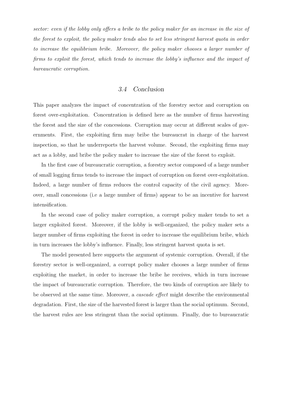sector: even if the lobby only offers a bribe to the policy maker for an increase in the size of the forest to exploit, the policy maker tends also to set less stringent harvest quota in order to increase the equilibrium bribe. Moreover, the policy maker chooses a larger number of firms to exploit the forest, which tends to increase the lobby's influence and the impact of bureaucratic corruption.

### 3.4 Conclusion

This paper analyzes the impact of concentration of the forestry sector and corruption on forest over-exploitation. Concentration is defined here as the number of firms harvesting the forest and the size of the concessions. Corruption may occur at different scales of governments. First, the exploiting firm may bribe the bureaucrat in charge of the harvest inspection, so that he underreports the harvest volume. Second, the exploiting firms may act as a lobby, and bribe the policy maker to increase the size of the forest to exploit.

In the first case of bureaucratic corruption, a forestry sector composed of a large number of small logging firms tends to increase the impact of corruption on forest over-exploitation. Indeed, a large number of firms reduces the control capacity of the civil agency. Moreover, small concessions (i.e a large number of firms) appear to be an incentive for harvest intensification.

In the second case of policy maker corruption, a corrupt policy maker tends to set a larger exploited forest. Moreover, if the lobby is well-organized, the policy maker sets a larger number of firms exploiting the forest in order to increase the equilibrium bribe, which in turn increases the lobby's influence. Finally, less stringent harvest quota is set.

The model presented here supports the argument of systemic corruption. Overall, if the forestry sector is well-organized, a corrupt policy maker chooses a large number of firms exploiting the market, in order to increase the bribe he receives, which in turn increase the impact of bureaucratic corruption. Therefore, the two kinds of corruption are likely to be observed at the same time. Moreover, a cascade effect might describe the environmental degradation. First, the size of the harvested forest is larger than the social optimum. Second, the harvest rules are less stringent than the social optimum. Finally, due to bureaucratic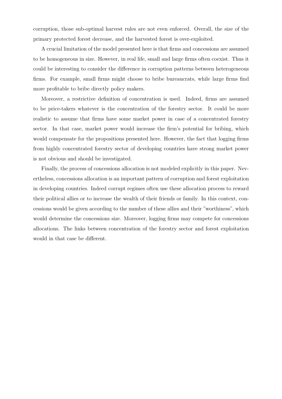corruption, those sub-optimal harvest rules are not even enforced. Overall, the size of the primary protected forest decrease, and the harvested forest is over-exploited.

A crucial limitation of the model presented here is that firms and concessions are assumed to be homogeneous in size. However, in real life, small and large firms often coexist. Thus it could be interesting to consider the difference in corruption patterns between heterogeneous firms. For example, small firms might choose to bribe bureaucrats, while large firms find more profitable to bribe directly policy makers.

Moreover, a restrictive definition of concentration is used. Indeed, firms are assumed to be price-takers whatever is the concentration of the forestry sector. It could be more realistic to assume that firms have some market power in case of a concentrated forestry sector. In that case, market power would increase the firm's potential for bribing, which would compensate for the propositions presented here. However, the fact that logging firms from highly concentrated forestry sector of developing countries have strong market power is not obvious and should be investigated.

Finally, the process of concessions allocation is not modeled explicitly in this paper. Nevertheless, concessions allocation is an important pattern of corruption and forest exploitation in developing countries. Indeed corrupt regimes often use these allocation process to reward their political allies or to increase the wealth of their friends or family. In this context, concessions would be given according to the number of these allies and their "worthiness", which would determine the concessions size. Moreover, logging firms may compete for concessions allocations. The links between concentration of the forestry sector and forest exploitation would in that case be different.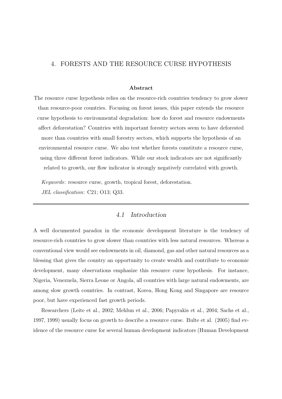# 4. FORESTS AND THE RESOURCE CURSE HYPOTHESIS

#### **Abstract**

The resource curse hypothesis relies on the resource-rich countries tendency to grow slower than resource-poor countries. Focusing on forest issues, this paper extends the resource curse hypothesis to environmental degradation: how do forest and resource endowments affect deforestation? Countries with important forestry sectors seem to have deforested more than countries with small forestry sectors, which supports the hypothesis of an environmental resource curse. We also test whether forests constitute a resource curse, using three different forest indicators. While our stock indicators are not significantly related to growth, our flow indicator is strongly negatively correlated with growth.

Keywords: resource curse, growth, tropical forest, deforestation. JEL classification: C21; O13; Q33.

### 4.1 Introduction

A well documented paradox in the economic development literature is the tendency of resource-rich countries to grow slower than countries with less natural resources. Whereas a conventional view would see endowments in oil, diamond, gas and other natural resources as a blessing that gives the country an opportunity to create wealth and contribute to economic development, many observations emphasize this resource curse hypothesis. For instance, Nigeria, Venezuela, Sierra Leone or Angola, all countries with large natural endowments, are among slow growth countries. In contrast, Korea, Hong Kong and Singapore are resource poor, but have experienced fast growth periods.

Researchers (Leite et al., 2002; Mehlun et al., 2006; Papyrakis et al., 2004; Sachs et al., 1997, 1999) usually focus on growth to describe a resource curse. Bulte et al. (2005) find evidence of the resource curse for several human development indicators (Human Development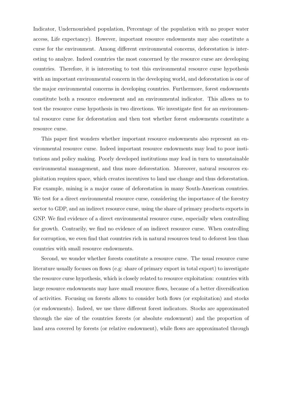Indicator, Undernourished population, Percentage of the population with no proper water access, Life expectancy). However, important resource endowments may also constitute a curse for the environment. Among different environmental concerns, deforestation is interesting to analyze. Indeed countries the most concerned by the resource curse are developing countries. Therefore, it is interesting to test this environmental resource curse hypothesis with an important environmental concern in the developing world, and deforestation is one of the major environmental concerns in developing countries. Furthermore, forest endowments constitute both a resource endowment and an environmental indicator. This allows us to test the resource curse hypothesis in two directions. We investigate first for an environmental resource curse for deforestation and then test whether forest endowments constitute a resource curse.

This paper first wonders whether important resource endowments also represent an environmental resource curse. Indeed important resource endowments may lead to poor institutions and policy making. Poorly developed institutions may lead in turn to unsustainable environmental management, and thus more deforestation. Moreover, natural resources exploitation requires space, which creates incentives to land use change and thus deforestation. For example, mining is a major cause of deforestation in many South-American countries. We test for a direct environmental resource curse, considering the importance of the forestry sector to GDP, and an indirect resource curse, using the share of primary products exports in GNP. We find evidence of a direct environmental resource curse, especially when controlling for growth. Contrarily, we find no evidence of an indirect resource curse. When controlling for corruption, we even find that countries rich in natural resources tend to deforest less than countries with small resource endowments.

Second, we wonder whether forests constitute a resource curse. The usual resource curse literature usually focuses on flows (e.g: share of primary export in total export) to investigate the resource curse hypothesis, which is closely related to resource exploitation: countries with large resource endowments may have small resource flows, because of a better diversification of activities. Focusing on forests allows to consider both flows (or exploitation) and stocks (or endowments). Indeed, we use three different forest indicators. Stocks are approximated through the size of the countries forests (or absolute endowment) and the proportion of land area covered by forests (or relative endowment), while flows are approximated through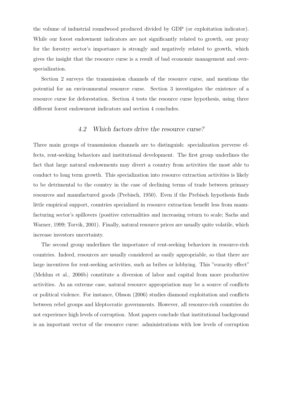the volume of industrial roundwood produced divided by GDP (or exploitation indicator). While our forest endowment indicators are not significantly related to growth, our proxy for the forestry sector's importance is strongly and negatively related to growth, which gives the insight that the resource curse is a result of bad economic management and overspecialization.

Section 2 surveys the transmission channels of the resource curse, and mentions the potential for an environmental resource curse. Section 3 investigates the existence of a resource curse for deforestation. Section 4 tests the resource curse hypothesis, using three different forest endowment indicators and section 4 concludes.

# 4.2 Which factors drive the resource curse?

Three main groups of transmission channels are to distinguish: specialization perverse effects, rent-seeking behaviors and institutional development. The first group underlines the fact that large natural endowments may divert a country from activities the most able to conduct to long term growth. This specialization into resource extraction activities is likely to be detrimental to the country in the case of declining terms of trade between primary resources and manufactured goods (Prebisch, 1950). Even if the Prebisch hypothesis finds little empirical support, countries specialized in resource extraction benefit less from manufacturing sector's spillovers (positive externalities and increasing return to scale; Sachs and Warner, 1999; Torvik, 2001). Finally, natural resource prices are usually quite volatile, which increase investors uncertainty.

The second group underlines the importance of rent-seeking behaviors in resource-rich countries. Indeed, resources are usually considered as easily appropriable, so that there are large incentives for rent-seeking activities, such as bribes or lobbying. This "voracity effect" (Mehlun et al., 2006b) constitute a diversion of labor and capital from more productive activities. As an extreme case, natural resource appropriation may be a source of conflicts or political violence. For instance, Olsson (2006) studies diamond exploitation and conflicts between rebel groups and kleptocratic governments. However, all resource-rich countries do not experience high levels of corruption. Most papers conclude that institutional background is an important vector of the resource curse: administrations with low levels of corruption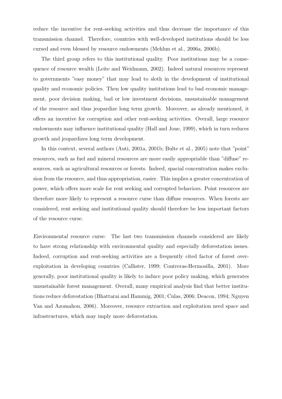reduce the incentive for rent-seeking activities and thus decrease the importance of this transmission channel. Therefore, countries with well-developed institutions should be less cursed and even blessed by resource endowments (Mehlun et al., 2006a, 2006b).

The third group refers to this institutional quality. Poor institutions may be a consequence of resource wealth (Leite and Weidmann, 2002). Indeed natural resources represent to governments "easy money" that may lead to sloth in the development of institutional quality and economic policies. Then low quality institutions lead to bad economic management, poor decision making, bad or low investment decisions, unsustainable management of the resource and thus jeopardize long term growth. Moreover, as already mentioned, it offers an incentive for corruption and other rent-seeking activities. Overall, large resource endowments may influence institutional quality (Hall and Jone, 1999), which in turn reduces growth and jeopardizes long term development.

In this context, several authors (Auti, 2001a, 2001b; Bulte et al., 2005) note that "point" resources, such as fuel and mineral resources are more easily appropriable than "diffuse" resources, such as agricultural resources or forests. Indeed, spacial concentration makes exclusion from the resource, and thus appropriation, easier. This implies a greater concentration of power, which offers more scale for rent seeking and corrupted behaviors. Point resources are therefore more likely to represent a resource curse than diffuse resources. When forests are considered, rent seeking and institutional quality should therefore be less important factors of the resource curse.

Environmental resource curse: The last two transmission channels considered are likely to have strong relationship with environmental quality and especially deforestation issues. Indeed, corruption and rent-seeking activities are a frequently cited factor of forest overexploitation in developing countries (Callister, 1999; Contreras-Hermosilla, 2001). More generally, poor institutional quality is likely to induce poor policy making, which generates unsustainable forest management. Overall, many empirical analysis find that better institutions reduce deforestation (Bhattarai and Hammig, 2001; Culas, 2006; Deacon, 1994; Nguyen Van and Azomahou, 2006). Moreover, resource extraction and exploitation need space and infrastructures, which may imply more deforestation.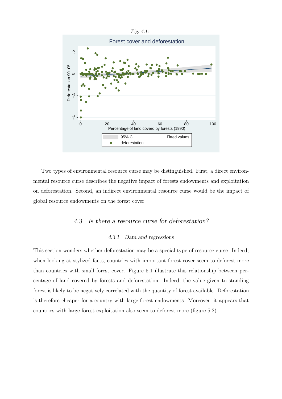

Two types of environmental resource curse may be distinguished. First, a direct environmental resource curse describes the negative impact of forests endowments and exploitation on deforestation. Second, an indirect environmental resource curse would be the impact of global resource endowments on the forest cover.

# 4.3 Is there a resource curse for deforestation?

#### 4.3.1 Data and regressions

This section wonders whether deforestation may be a special type of resource curse. Indeed, when looking at stylized facts, countries with important forest cover seem to deforest more than countries with small forest cover. Figure 5.1 illustrate this relationship between percentage of land covered by forests and deforestation. Indeed, the value given to standing forest is likely to be negatively correlated with the quantity of forest available. Deforestation is therefore cheaper for a country with large forest endowments. Moreover, it appears that countries with large forest exploitation also seem to deforest more (figure 5.2).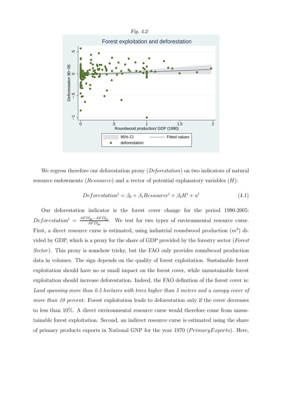

We regress therefore our deforestation proxy (*Deforestation*) on two indicators of natural resource endowments (*Ressource*) and a vector of potential explanatory variables  $(H)$ :

$$
Defore stationi = \beta_0 + \beta_1 Ressourcei + \beta_2 Hi + ui
$$
\n(4.1)

Our deforestation indicator is the forest cover change for the period 1990-2005:  $Deforestation^i = \frac{AFD_{90}^i - AFD_{05}^i}{AFD_{90}^i}$ . We test for two types of environmental resource curse. First, a direct resource curse is estimated, using industrial roundwood production  $(m<sup>3</sup>)$  divided by GDP, which is a proxy for the share of GDP provided by the forestry sector (Forest Sector). This proxy is somehow tricky, but the FAO only provides roundwood production data in volumes. The sign depends on the quality of forest exploitation. Sustainable forest exploitation should have no or small impact on the forest cover, while unsustainable forest exploitation should increase deforestation. Indeed, the FAO definition of the forest cover is: Land spanning more than 0.5 hectares with trees higher than 5 meters and a canopy cover of more than 10 percent. Forest exploitation leads to deforestation only if the cover decreases to less than 10%. A direct environmental resource curse would therefore come from unsustainable forest exploitation. Second, an indirect resource curse is estimated using the share of primary products exports in National GNP for the year 1970 ( $PrimaryExpress$ ). Here,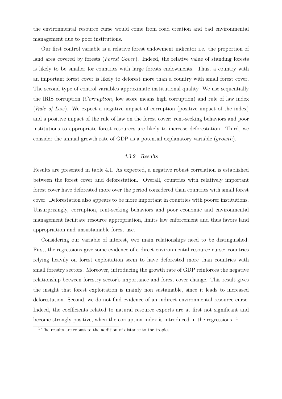the environmental resource curse would come from road creation and bad environmental management due to poor institutions.

Our first control variable is a relative forest endowment indicator i.e. the proportion of land area covered by forests (*Forest Cover*). Indeed, the relative value of standing forests is likely to be smaller for countries with large forests endowments. Thus, a country with an important forest cover is likely to deforest more than a country with small forest cover. The second type of control variables approximate institutional quality. We use sequentially the IRIS corruption (Corruption, low score means high corruption) and rule of law index (Rule of Law). We expect a negative impact of corruption (positive impact of the index) and a positive impact of the rule of law on the forest cover: rent-seeking behaviors and poor institutions to appropriate forest resources are likely to increase deforestation. Third, we consider the annual growth rate of GDP as a potential explanatory variable (growth).

#### 4.3.2 Results

Results are presented in table 4.1. As expected, a negative robust correlation is established between the forest cover and deforestation. Overall, countries with relatively important forest cover have deforested more over the period considered than countries with small forest cover. Deforestation also appears to be more important in countries with poorer institutions. Unsurprisingly, corruption, rent-seeking behaviors and poor economic and environmental management facilitate resource appropriation, limits law enforcement and thus favors land appropriation and unsustainable forest use.

Considering our variable of interest, two main relationships need to be distinguished. First, the regressions give some evidence of a direct environmental resource curse: countries relying heavily on forest exploitation seem to have deforested more than countries with small forestry sectors. Moreover, introducing the growth rate of GDP reinforces the negative relationship between forestry sector's importance and forest cover change. This result gives the insight that forest exploitation is mainly non sustainable, since it leads to increased deforestation. Second, we do not find evidence of an indirect environmental resource curse. Indeed, the coefficients related to natural resource exports are at first not significant and become strongly positive, when the corruption index is introduced in the regressions.<sup>1</sup>

 $1$ <sup>1</sup> The results are robust to the addition of distance to the tropics.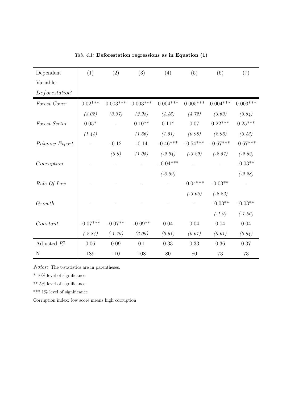| Dependent                   | (1)        | (2)        | (3)        | (4)        | (5)        | (6)        | (7)        |
|-----------------------------|------------|------------|------------|------------|------------|------------|------------|
| Variable:                   |            |            |            |            |            |            |            |
| Defore station <sup>i</sup> |            |            |            |            |            |            |            |
| Forest Cover                | $0.02***$  | $0.003***$ | $0.003***$ | $0.004***$ | $0.005***$ | $0.004***$ | $0.003***$ |
|                             | (3.02)     | (3.37)     | (2.98)     | (4.46)     | (4.72)     | (3.63)     | (3.64)     |
| Forest Sector               | $0.05*$    |            | $0.10**$   | $0.11*$    | 0.07       | $0.22***$  | $0.25***$  |
|                             | (1.44)     |            | (1.66)     | (1.51)     | (0.98)     | (2.96)     | (3.43)     |
| Primary Export              |            | $-0.12$    | $-0.14$    | $-0.46***$ | $-0.54***$ | $-0.67***$ | $-0.67***$ |
|                             |            | (0.9)      | (1.05)     | $(-2.94)$  | $(-3.29)$  | $(-2.57)$  | $(-2.62)$  |
| Corruption                  |            |            |            | $-0.04***$ |            |            | $-0.03**$  |
|                             |            |            |            | $(-3.59)$  |            |            | $(-2.28)$  |
| Rule Of Law                 |            |            |            |            | $-0.04***$ | $-0.03**$  |            |
|                             |            |            |            |            | $(-3.65)$  | $(-2.22)$  |            |
| Growth                      |            |            |            |            |            | $-0.03**$  | $-0.03**$  |
|                             |            |            |            |            |            | $(-1.9)$   | $(-1.86)$  |
| Constant                    | $-0.07***$ | $-0.07**$  | $-0.09**$  | 0.04       | 0.04       | 0.04       | $0.04\,$   |
|                             | $(-2.84)$  | $(-1.79)$  | (2.09)     | (0.61)     | (0.61)     | (0.61)     | (0.64)     |
| Adjusted $R^2$              | $0.06\,$   | 0.09       | 0.1        | 0.33       | 0.33       | 0.36       | 0.37       |
| N                           | 189        | 110        | 108        | $80\,$     | $80\,$     | $73\,$     | 73         |

Tab. 4.1: **Deforestation regressions as in Equation (1)**

 $*$  10% level of significance

\*\* 5% level of significance

\*\*\* 1% level of significance

Corruption index: low score means high corruption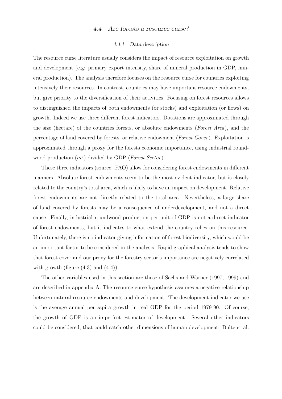## 4.4 Are forests a resource curse?

#### 4.4.1 Data description

The resource curse literature usually considers the impact of resource exploitation on growth and development (e.g: primary export intensity, share of mineral production in GDP, mineral production). The analysis therefore focuses on the resource curse for countries exploiting intensively their resources. In contrast, countries may have important resource endowments, but give priority to the diversification of their activities. Focusing on forest resources allows to distinguished the impacts of both endowments (or stocks) and exploitation (or flows) on growth. Indeed we use three different forest indicators. Dotations are approximated through the size (hectare) of the countries forests, or absolute endowments (Forest Area), and the percentage of land covered by forests, or relative endowment (Forest Cover ). Exploitation is approximated through a proxy for the forests economic importance, using industrial roundwood production  $(m^3)$  divided by GDP (*Forest Sector*).

These three indicators (source: FAO) allow for considering forest endowments in different manners. Absolute forest endowments seem to be the most evident indicator, but is closely related to the country's total area, which is likely to have an impact on development. Relative forest endowments are not directly related to the total area. Nevertheless, a large share of land covered by forests may be a consequence of underdevelopment, and not a direct cause. Finally, industrial roundwood production per unit of GDP is not a direct indicator of forest endowments, but it indicates to what extend the country relies on this resource. Unfortunately, there is no indicator giving information of forest biodiversity, which would be an important factor to be considered in the analysis. Rapid graphical analysis tends to show that forest cover and our proxy for the forestry sector's importance are negatively correlated with growth (figure  $(4.3)$  and  $(4.4)$ ).

The other variables used in this section are those of Sachs and Warner (1997, 1999) and are described in appendix A. The resource curse hypothesis assumes a negative relationship between natural resource endowments and development. The development indicator we use is the average annual per-capita growth in real GDP for the period 1979-90. Of course, the growth of GDP is an imperfect estimator of development. Several other indicators could be considered, that could catch other dimensions of human development. Bulte et al.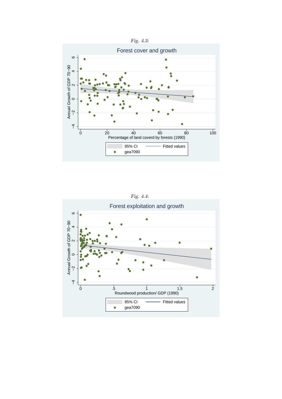

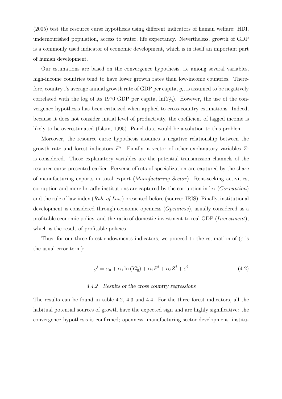(2005) test the resource curse hypothesis using different indicators of human welfare: HDI, undernourished population, access to water, life expectancy. Nevertheless, growth of GDP is a commonly used indicator of economic development, which is in itself an important part of human development.

Our estimations are based on the convergence hypothesis, i.e among several variables, high-income countries tend to have lower growth rates than low-income countries. Therefore, country i's average annual growth rate of GDP per capita,  $g_i$ , is assumed to be negatively correlated with the log of its 1970 GDP per capita,  $\ln(Y_{70}^i)$ . However, the use of the convergence hypothesis has been criticized when applied to cross-country estimations. Indeed, because it does not consider initial level of productivity, the coefficient of lagged income is likely to be overestimated (Islam, 1995). Panel data would be a solution to this problem.

Moreover, the resource curse hypothesis assumes a negative relationship between the growth rate and forest indicators  $F^i$ . Finally, a vector of other explanatory variables  $Z^i$ is considered. Those explanatory variables are the potential transmission channels of the resource curse presented earlier. Perverse effects of specialization are captured by the share of manufacturing exports in total export (Manufacturing Sector ). Rent-seeking activities, corruption and more broadly institutions are captured by the corruption index (*Corruption*) and the rule of law index (Rule of Law) presented before (source: IRIS). Finally, institutional development is considered through economic openness (*Openness*), usually considered as a profitable economic policy, and the ratio of domestic investment to real GDP (Investment), which is the result of profitable policies.

Thus, for our three forest endowments indicators, we proceed to the estimation of ( $\varepsilon$  is the usual error term):

$$
g^i = \alpha_0 + \alpha_1 \ln(Y_{70}^i) + \alpha_2 F^i + \alpha_3 Z^i + \varepsilon^i
$$
\n
$$
(4.2)
$$

#### 4.4.2 Results of the cross country regressions

The results can be found in table 4.2, 4.3 and 4.4. For the three forest indicators, all the habitual potential sources of growth have the expected sign and are highly significative: the convergence hypothesis is confirmed; openness, manufacturing sector development, institu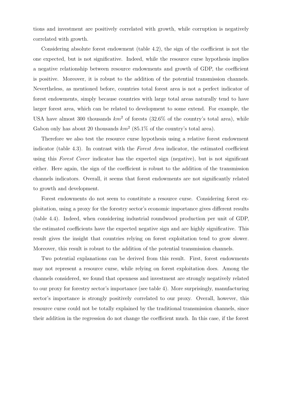tions and investment are positively correlated with growth, while corruption is negatively correlated with growth.

Considering absolute forest endowment (table 4.2), the sign of the coefficient is not the one expected, but is not significative. Indeed, while the resource curse hypothesis implies a negative relationship between resource endowments and growth of GDP, the coefficient is positive. Moreover, it is robust to the addition of the potential transmission channels. Nevertheless, as mentioned before, countries total forest area is not a perfect indicator of forest endowments, simply because countries with large total areas naturally tend to have larger forest area, which can be related to development to some extend. For example, the USA have almost 300 thousands  $km^2$  of forests (32.6% of the country's total area), while Gabon only has about 20 thousands  $km^2$  (85.1% of the country's total area).

Therefore we also test the resource curse hypothesis using a relative forest endowment indicator (table 4.3). In contrast with the Forest Area indicator, the estimated coefficient using this Forest Cover indicator has the expected sign (negative), but is not significant either. Here again, the sign of the coefficient is robust to the addition of the transmission channels indicators. Overall, it seems that forest endowments are not significantly related to growth and development.

Forest endowments do not seem to constitute a resource curse. Considering forest exploitation, using a proxy for the forestry sector's economic importance gives different results (table 4.4). Indeed, when considering industrial roundwood production per unit of GDP, the estimated coefficients have the expected negative sign and are highly significative. This result gives the insight that countries relying on forest exploitation tend to grow slower. Moreover, this result is robust to the addition of the potential transmission channels.

Two potential explanations can be derived from this result. First, forest endowments may not represent a resource curse, while relying on forest exploitation does. Among the channels considered, we found that openness and investment are strongly negatively related to our proxy for forestry sector's importance (see table 4). More surprisingly, manufacturing sector's importance is strongly positively correlated to our proxy. Overall, however, this resource curse could not be totally explained by the traditional transmission channels, since their addition in the regression do not change the coefficient much. In this case, if the forest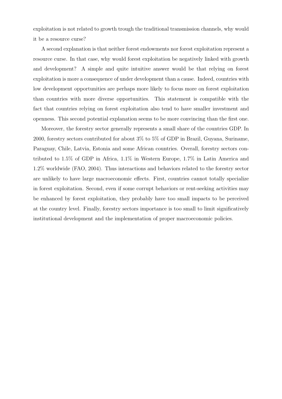exploitation is not related to growth trough the traditional transmission channels, why would it be a resource curse?

A second explanation is that neither forest endowments nor forest exploitation represent a resource curse. In that case, why would forest exploitation be negatively linked with growth and development? A simple and quite intuitive answer would be that relying on forest exploitation is more a consequence of under development than a cause. Indeed, countries with low development opportunities are perhaps more likely to focus more on forest exploitation than countries with more diverse opportunities. This statement is compatible with the fact that countries relying on forest exploitation also tend to have smaller investment and openness. This second potential explanation seems to be more convincing than the first one.

Moreover, the forestry sector generally represents a small share of the countries GDP. In 2000, forestry sectors contributed for about 3% to 5% of GDP in Brazil, Guyana, Suriname, Paraguay, Chile, Latvia, Estonia and some African countries. Overall, forestry sectors contributed to 1.5% of GDP in Africa, 1.1% in Western Europe, 1.7% in Latin America and 1.2% worldwide (FAO, 2004). Thus interactions and behaviors related to the forestry sector are unlikely to have large macroeconomic effects. First, countries cannot totally specialize in forest exploitation. Second, even if some corrupt behaviors or rent-seeking activities may be enhanced by forest exploitation, they probably have too small impacts to be perceived at the country level. Finally, forestry sectors importance is too small to limit significatively institutional development and the implementation of proper macroeconomic policies.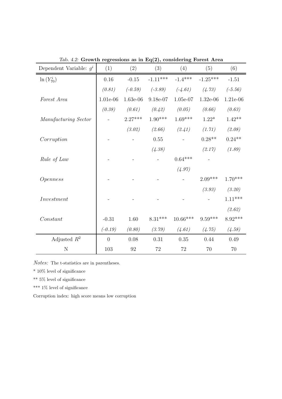| $1av. 4.2.$ Growth regressions as in Eq. 2), considering<br>Dependent Variable: $q^i$ | (1)       | (2)       | (3)        | (4)        | TOTOS THOU<br>(5) | (6)       |
|---------------------------------------------------------------------------------------|-----------|-----------|------------|------------|-------------------|-----------|
| $\ln(Y_{70}^i)$                                                                       | $0.16\,$  | $-0.15$   | $-1.11***$ | $-1.4***$  | $-1.25***$        | $-1.51$   |
|                                                                                       | (0.81)    | $(-0.59)$ | $(-3.89)$  | $(-4.61)$  | (4.73)            | $(-5.56)$ |
| Forest Area                                                                           | 1.01e-06  | 1.63e-06  | 9.18e-07   | 1.05e-07   | $1.32e-06$        | 1.21e-06  |
|                                                                                       | (0.38)    | (0.61)    | (0.42)     | (0.05)     | (0.66)            | (0.63)    |
| Manufacturing Sector                                                                  |           | $2.27***$ | $1.90***$  | $1.69***$  | $1.22*$           | $1.42**$  |
|                                                                                       |           | (3.02)    | (2.66)     | (2.41)     | (1.71)            | (2.08)    |
| Corruption                                                                            |           |           | 0.55       |            | $0.28**$          | $0.24**$  |
|                                                                                       |           |           | (4.38)     |            | (2.17)            | (1.89)    |
| Rule of Law                                                                           |           |           |            | $0.64***$  |                   |           |
|                                                                                       |           |           |            | (4.97)     |                   |           |
| <i>Openness</i>                                                                       |           |           |            |            | $2.09***$         | $1.70***$ |
|                                                                                       |           |           |            |            | (3.93)            | (3.20)    |
| Investment                                                                            |           |           |            |            |                   | $1.11***$ |
|                                                                                       |           |           |            |            |                   | (2.62)    |
| Constant                                                                              | $-0.31$   | 1.60      | $8.31***$  | $10.66***$ | $9.59***$         | $8.92***$ |
|                                                                                       | $(-0.19)$ | (0.80)    | (3.79)     | (4.61)     | (4.75)            | (4.58)    |
| Adjusted $R^2$                                                                        | $\theta$  | 0.08      | 0.31       | $0.35\,$   | 0.44              | 0.49      |
| $\mathbf N$                                                                           | $103\,$   | $92\,$    | 72         | $72\,$     | $70\,$            | $70\,$    |

Tab. 4.2: **Growth regressions as in Eq(2), considering Forest Area**

 $^*$  10% level of significance

\*\* 5% level of significance

\*\*\* 1% level of significance

Corruption index: high score means low corruption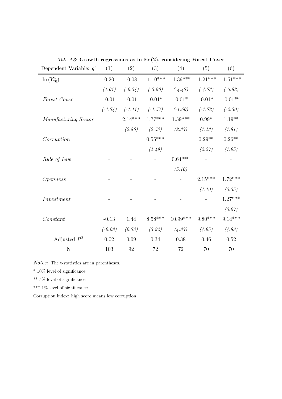| Dependent Variable: $g^i$ | (1)       | (2)       | (3)                  | (4)        | (5)                    | (6)        |
|---------------------------|-----------|-----------|----------------------|------------|------------------------|------------|
| $\ln(Y_{70}^i)$           | $0.20\,$  | $-0.08$   | $\text{-}1.10^{***}$ | $-1.39***$ | $-1.21***$             | $-1.51***$ |
|                           | (1.01)    | $(-0.34)$ | $(-3.90)$            | $(-4.47)$  | $(-4.73)$              | $(-5.82)$  |
| Forest Cover              | $-0.01$   | $-0.01$   | $-0.01*$             | $-0.01*$   | $\textnormal{-}0.01^*$ | $-0.01**$  |
|                           | $(-1.74)$ | $(-1.11)$ | $(-1.57)$            | $(-1.60)$  | $(-1.72)$              | $(-2.30)$  |
| Manufacturing Sector      |           | $2.14***$ | $1.77***$            | $1.59***$  | $0.99^{\ast}$          | $1.19**$   |
|                           |           | (2.86)    | (2.53)               | (2.33)     | (1.43)                 | (1.81)     |
| Corruption                |           |           | $0.55***$            |            | $0.29**$               | $0.26**$   |
|                           |           |           | (4.49)               |            | (2.27)                 | (1.95)     |
| Rule of Law               |           |           |                      | $0.64***$  |                        |            |
|                           |           |           |                      | (5.10)     |                        |            |
| <i>Openness</i>           |           |           |                      |            | $2.15***$              | $1.72***$  |
|                           |           |           |                      |            | (4.10)                 | (3.35)     |
| Investment                |           |           |                      |            |                        | $1.27***$  |
|                           |           |           |                      |            |                        | (3.07)     |
| Constant                  | $-0.13$   | 1.44      | $8.58***$            | $10.99***$ | $9.80***$              | $9.14***$  |
|                           | $(-0.08)$ | (0.73)    | (3.92)               | (4.83)     | (4.95)                 | (4.88)     |
| Adjusted $R^2$            | $0.02\,$  | 0.09      | 0.34                 | 0.38       | 0.46                   | 0.52       |
| N                         | 103       | 92        | 72                   | 72         | 70                     | $70\,$     |

Tab. 4.3: **Growth regressions as in Eq(2), considering Forest Cover**

 $^*$  10% level of significance

\*\* 5% level of significance

\*\*\* 1% level of significance

Corruption index: high score means low corruption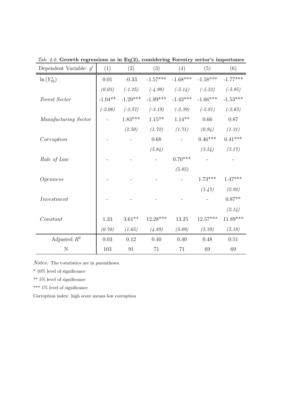| Dependent Variable: $g^i$ | (1)       | (2)        | (3)        | (4)        | (5)        | (6)        |
|---------------------------|-----------|------------|------------|------------|------------|------------|
| $\ln(Y_{70}^i)$           | $0.01\,$  | $-0.33$    | $-1.57***$ | $-1.68***$ | $-1.58***$ | $-1.77***$ |
|                           | (0.03)    | $(-1.25)$  | $(-4.98)$  | $(-5.14)$  | $(-5.52)$  | $(-5.85)$  |
| Forest Sector             | $-1.04**$ | $-1.29***$ | $-1.99***$ | $-1.43***$ | $-1.66***$ | $-1.53***$ |
|                           | $(-2.06)$ | $(-2.57)$  | $(-3.19)$  | $(-2.39)$  | $(-2.81)$  | $(-2.65)$  |
| Manufacturing Sector      |           | $1.83***$  | $1.15***$  | $1.14**$   | 0.66       | $0.87\,$   |
|                           |           | (2.50)     | (1.72)     | (1.71)     | (0.94)     | (1.31)     |
| Corruption                |           |            | 0.68       |            | $0.46***$  | $0.41***$  |
|                           |           |            | (5.84)     |            | (3.54)     | (3.17)     |
| Rule of Law               |           |            |            | $0.70***$  |            |            |
|                           |           |            |            | (5.85)     |            |            |
| <i>Openness</i>           |           |            |            |            | $1.73***$  | $1.47***$  |
|                           |           |            |            |            | (3.47)     | (2.92)     |
| Investment                |           |            |            |            |            | $0.87**$   |
|                           |           |            |            |            |            | (2.14)     |
| Constant                  | 1.33      | $3.61**$   | $12.28***$ | 13.25      | $12.57***$ | $11.89***$ |
|                           | (0.70)    | (1.65)     | (4.89)     | (5.09)     | (5.39)     | (5.18)     |
| Adjusted $R^2$            | $0.03\,$  | 0.12       | 0.40       | 0.40       | 0.48       | 0.51       |
| N                         | 103       | 91         | 71         | 71         | 69         | 69         |

Tab. 4.4: **Growth regressions as in Eq(2), considering Forestry sector's importance**

 $^*$  10% level of significance

\*\* 5% level of significance

\*\*\* 1% level of significance

Corruption index: high score means low corruption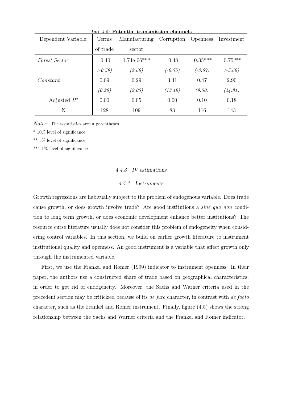| Dependent Variable: | Terms     | Manufacturing | Corruption | <b>Openness</b> | Investment |
|---------------------|-----------|---------------|------------|-----------------|------------|
|                     | of trade  | sector        |            |                 |            |
| Forest Sector       | $-0.40$   | $1.74e-06***$ | $-0.48$    | $-0.35***$      | $-0.75***$ |
|                     | $(-0.59)$ | (2.66)        | $(-0.75)$  | $(-3.67)$       | $(-5.66)$  |
| Constant            | 0.09      | 0.29          | 3.41       | 0.47            | 2.90       |
|                     | (0.26)    | (9.03)        | (13.16)    | (9.50)          | (44.81)    |
| Adjusted $R^2$      | 0.00      | 0.05          | 0.00       | 0.10            | 0.18       |
| N                   | 128       | 109           | 83         | 116             | 143        |

Tab. 4.5: **Potential transmission channels**

Notes: The t-statistics are in parentheses.

\* 10% level of significance

\*\* 5% level of significance

\*\*\* 1% level of significance

#### 4.4.3 IV estimations

#### 4.4.4 Instruments

Growth regressions are habitually subject to the problem of endogenous variable. Does trade cause growth, or does growth involve trade? Are good institutions a sine qua non condition to long term growth, or does economic development enhance better institutions? The resource curse literature usually does not consider this problem of endogeneity when considering control variables. In this section, we build on earlier growth literature to instrument institutional quality and openness. An good instrument is a variable that affect growth only through the instrumented variable.

First, we use the Frankel and Romer (1999) indicator to instrument openness. In their paper, the authors use a constructed share of trade based on geographical characteristics, in order to get rid of endogeneity. Moreover, the Sachs and Warner criteria used in the precedent section may be criticized because of its de jure character, in contrast with de facto character, such as the Frankel and Romer instrument. Finally, figure (4.5) shows the strong relationship between the Sachs and Warner criteria and the Frankel and Romer indicator.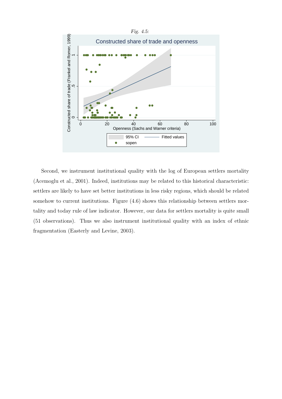

Second, we instrument institutional quality with the log of European settlers mortality (Acemoglu et al., 2001). Indeed, institutions may be related to this historical characteristic: settlers are likely to have set better institutions in less risky regions, which should be related somehow to current institutions. Figure (4.6) shows this relationship between settlers mortality and today rule of law indicator. However, our data for settlers mortality is quite small (51 observations). Thus we also instrument institutional quality with an index of ethnic fragmentation (Easterly and Levine, 2003).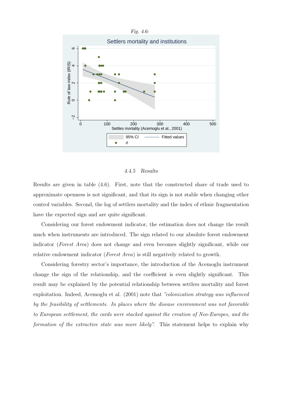

#### 4.4.5 Results

Results are given in table (4.6). First, note that the constructed share of trade used to approximate openness is not significant, and that its sign is not stable when changing other control variables. Second, the log of settlers mortality and the index of ethnic fragmentation have the expected sign and are quite significant.

Considering our forest endowment indicator, the estimation does not change the result much when instruments are introduced. The sign related to our absolute forest endowment indicator (Forest Area) does not change and even becomes slightly significant, while our relative endowment indicator (Forest Area) is still negatively related to growth.

Considering forestry sector's importance, the introduction of the Acemoglu instrument change the sign of the relationship, and the coefficient is even slightly significant. This result may be explained by the potential relationship between settlers mortality and forest exploitation. Indeed, Acemoglu et al. (2001) note that "colonization strategy was influenced by the feasibility of settlements. In places where the disease environment was not favorable to European settlement, the cards were stacked against the creation of Neo-Europes, and the formation of the extractive state was more likely". This statement helps to explain why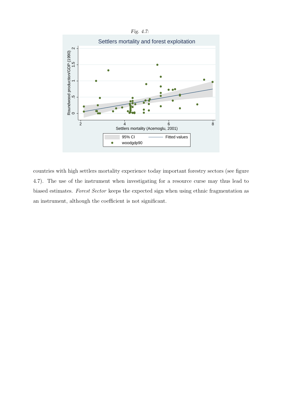

countries with high settlers mortality experience today important forestry sectors (see figure 4.7). The use of the instrument when investigating for a resource curse may thus lead to biased estimates. Forest Sector keeps the expected sign when using ethnic fragmentation as an instrument, although the coefficient is not significant.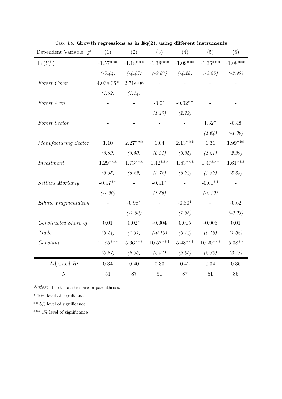| Dependent Variable: $g^i$ | (1)         | (2)        | (3)        | (4)        | (5)        | (6)        |
|---------------------------|-------------|------------|------------|------------|------------|------------|
| $\ln(Y_{70}^i)$           | $-1.57***$  | $-1.18***$ | $-1.38***$ | $-1.09***$ | $-1.36***$ | $-1.08***$ |
|                           | $(-5.44)$   | $(-4.45)$  | $(-3.87)$  | $(-4.28)$  | $(-3.85)$  | $(-3.93)$  |
| Forest Cover              | $4.03e-06*$ | 2.71e-06   |            |            |            |            |
|                           | (1.52)      | (1.14)     |            |            |            |            |
| Forest Area               |             |            | $-0.01$    | $-0.02**$  |            |            |
|                           |             |            | (1.27)     | (2.29)     |            |            |
| Forest Sector             |             |            |            |            | $1.32*$    | $-0.48$    |
|                           |             |            |            |            | (1.64)     | $(-1.00)$  |
| Manufacturing Sector      | 1.10        | $2.27***$  | 1.04       | $2.13***$  | 1.31       | $1.99***$  |
|                           | (0.99)      | (3.50)     | (0.91)     | (3.35)     | (1.21)     | (2.99)     |
| Investment                | $1.29***$   | $1.73***$  | $1.42***$  | $1.83***$  | $1.47***$  | $1.61***$  |
|                           | (3.35)      | (6.22)     | (3.72)     | (6.72)     | (3.87)     | (5.53)     |
| Settlers Mortality        | $-0.47**$   |            | $-0.41*$   |            | $-0.61**$  |            |
|                           | $(-1.90)$   |            | (1.66)     |            | $(-2.30)$  |            |
| Ethnic Fragmentation      |             | $-0.98*$   |            | $-0.80*$   |            | $-0.62$    |
|                           |             | $(-1.60)$  |            | (1.35)     |            | $(-0.93)$  |
| Constructed Share of      | 0.01        | $0.02*$    | $-0.004$   | 0.005      | $-0.003$   | $0.01\,$   |
| Trade                     | (0.44)      | (1.31)     | $(-0.18)$  | (0.42)     | (0.15)     | (1.02)     |
| Constant                  | $11.85***$  | $5.66***$  | $10.57***$ | $5.48***$  | $10.20***$ | $5.38**$   |
|                           | (3.27)      | (2.85)     | (2.91)     | (2.85)     | (2.83)     | (2.48)     |
| Adjusted $R^2$            | 0.34        | 0.40       | 0.33       | 0.42       | 0.34       | 0.36       |
| $\mathbf N$               | 51          | 87         | 51         | 87         | 51         | 86         |

Tab. 4.6: **Growth regressions as in Eq(2), using different instruments**

Notes: The t-statistics are in parentheses.

 $*$  10% level of significance

\*\* 5% level of significance

\*\*\* 1% level of significance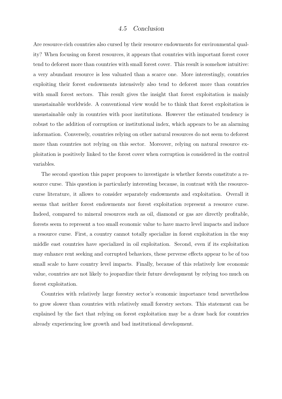# 4.5 Conclusion

Are resource-rich countries also cursed by their resource endowments for environmental quality? When focusing on forest resources, it appears that countries with important forest cover tend to deforest more than countries with small forest cover. This result is somehow intuitive: a very abundant resource is less valuated than a scarce one. More interestingly, countries exploiting their forest endowments intensively also tend to deforest more than countries with small forest sectors. This result gives the insight that forest exploitation is mainly unsustainable worldwide. A conventional view would be to think that forest exploitation is unsustainable only in countries with poor institutions. However the estimated tendency is robust to the addition of corruption or institutional index, which appears to be an alarming information. Conversely, countries relying on other natural resources do not seem to deforest more than countries not relying on this sector. Moreover, relying on natural resource exploitation is positively linked to the forest cover when corruption is considered in the control variables.

The second question this paper proposes to investigate is whether forests constitute a resource curse. This question is particularly interesting because, in contrast with the resourcecurse literature, it allows to consider separately endowments and exploitation. Overall it seems that neither forest endowments nor forest exploitation represent a resource curse. Indeed, compared to mineral resources such as oil, diamond or gas are directly profitable, forests seem to represent a too small economic value to have macro level impacts and induce a resource curse. First, a country cannot totally specialize in forest exploitation in the way middle east countries have specialized in oil exploitation. Second, even if its exploitation may enhance rent seeking and corrupted behaviors, these perverse effects appear to be of too small scale to have country level impacts. Finally, because of this relatively low economic value, countries are not likely to jeopardize their future development by relying too much on forest exploitation.

Countries with relatively large forestry sector's economic importance tend nevertheless to grow slower than countries with relatively small forestry sectors. This statement can be explained by the fact that relying on forest exploitation may be a draw back for countries already experiencing low growth and bad institutional development.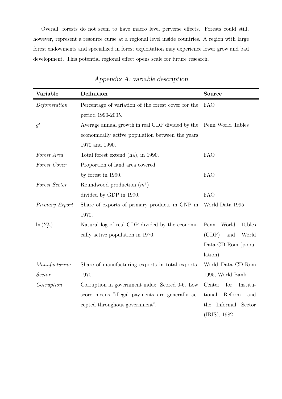Overall, forests do not seem to have macro level perverse effects. Forests could still, however, represent a resource curse at a regional level inside countries. A region with large forest endowments and specialized in forest exploitation may experience lower grow and bad development. This potential regional effect opens scale for future research.

| Variable        | Definition                                          | <b>Source</b>                  |  |  |
|-----------------|-----------------------------------------------------|--------------------------------|--|--|
| Deforestation   | Percentage of variation of the forest cover for the | FAO                            |  |  |
|                 | period 1990-2005.                                   |                                |  |  |
| $g^i$           | Average annual growth in real GDP divided by the    | Penn World Tables              |  |  |
|                 | economically active population between the years    |                                |  |  |
|                 | 1970 and 1990.                                      |                                |  |  |
| Forest Area     | Total forest extend (ha), in 1990.                  | <b>FAO</b>                     |  |  |
| Forest Cover    | Proportion of land area covered                     |                                |  |  |
|                 | by forest in 1990.                                  | <b>FAO</b>                     |  |  |
| Forest Sector   | Roundwood production $(m^3)$                        |                                |  |  |
|                 | divided by GDP in 1990.                             | <b>FAO</b>                     |  |  |
| Primary Export  | Share of exports of primary products in GNP in      | World Data 1995                |  |  |
|                 | 1970.                                               |                                |  |  |
| $\ln(Y_{70}^i)$ | Natural log of real GDP divided by the economi-     | Penn<br>World<br><b>Tables</b> |  |  |
|                 | cally active population in 1970.                    | (GDP)<br>World<br>and          |  |  |
|                 |                                                     | Data CD Rom (popu-             |  |  |
|                 |                                                     | lation)                        |  |  |
| Manufacturing   | Share of manufacturing exports in total exports,    | World Data CD-Rom              |  |  |
| Sector          | 1970.                                               | 1995, World Bank               |  |  |
| Corruption      | Corruption in government index. Scored 0-6. Low     | Center<br>for<br>Institu-      |  |  |
|                 | score means "illegal payments are generally ac-     | Reform<br>tional<br>and        |  |  |
|                 | cepted throughout government".                      | Informal<br>Sector<br>the      |  |  |
|                 |                                                     | (IRIS), 1982                   |  |  |

Appendix A: variable description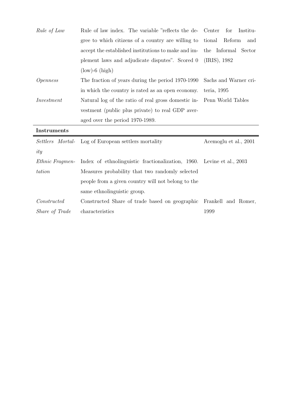| <i>Rule of Law</i>     | Rule of law index. The variable "reflects the de-                          | Center<br>Institu-<br>for |  |  |
|------------------------|----------------------------------------------------------------------------|---------------------------|--|--|
|                        | gree to which citizens of a country are willing to                         | tional<br>Reform<br>and   |  |  |
|                        | accept the established institutions to make and im-                        | Informal Sector<br>the    |  |  |
|                        | plement laws and adjudicate disputes". Scored 0                            | (IRIS), 1982              |  |  |
|                        | $(low)-6$ (high)                                                           |                           |  |  |
| <i>Openness</i>        | The fraction of years during the period 1970-1990<br>Sachs and Warner cri- |                           |  |  |
|                        | in which the country is rated as an open economy.<br>teria, $1995$         |                           |  |  |
| Investment             | Natural log of the ratio of real gross domestic in-<br>Penn World Tables   |                           |  |  |
|                        | vestment (public plus private) to real GDP aver-                           |                           |  |  |
|                        | aged over the period 1970-1989.                                            |                           |  |  |
|                        |                                                                            |                           |  |  |
| <b>Instruments</b>     |                                                                            |                           |  |  |
| Settlers Mortal-       | Log of European settlers mortality                                         | Acemoglu et al., 2001     |  |  |
| ity                    |                                                                            |                           |  |  |
| <i>Ethnic Fragmen-</i> | Index of ethnolinguistic fractionalization, 1960. Levine et al., 2003      |                           |  |  |
| tation                 | Measures probability that two randomly selected                            |                           |  |  |
|                        | people from a given country will not belong to the                         |                           |  |  |
|                        | same ethnolinguistic group.                                                |                           |  |  |
| Constructed            | Constructed Share of trade based on geographic                             | Frankell and Romer,       |  |  |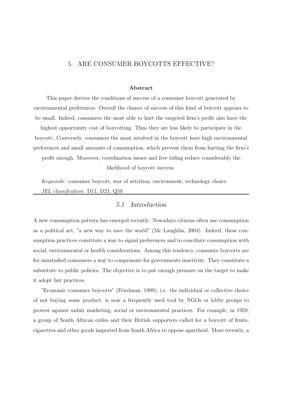# 5. ARE CONSUMER BOYCOTTS EFFECTIVE?

#### **Abstract**

This paper derives the conditions of success of a consumer boycott generated by environmental preferences. Overall the chance of success of this kind of boycott appears to be small. Indeed, consumers the most able to hurt the targeted firm's profit also have the highest opportunity cost of boycotting. Thus they are less likely to participate in the boycott. Conversely, consumers the most involved in the boycott have high environmental preferences and small amounts of consumption, which prevent them from hurting the firm's profit enough. Moreover, coordination issues and free riding reduce considerably the

likelihood of boycott success.

Keywords: consumer boycott, war of attrition, environment, technology choice. JEL classification: D11, D21, Q59.

# 5.1 Introduction

A new consumption pattern has emerged recently. Nowadays citizens often use consumption as a political act, "a new way to save the world" (Mc Laughlin, 2004). Indeed, these consumption practices constitute a way to signal preferences and to conciliate consumption with social, environmental or health considerations. Among this tendency, consumer boycotts are for unsatisfied consumers a way to compensate for governments inactivity. They constitute a substitute to public policies. The objective is to put enough pressure on the target to make it adopt fair practices.

"Economic consumer boycotts" (Friedman, 1999), i.e. the individual or collective choice of not buying some product, is now a frequently used tool by NGOs or lobby groups to protest against unfair marketing, social or environmental practices. For example, in 1959, a group of South African exiles and their British supporters called for a boycott of fruits, cigarettes and other goods imported from South Africa to oppose apartheid. More recently, a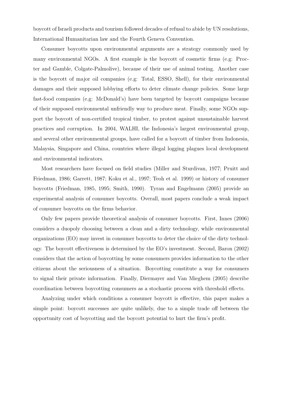boycott of Israeli products and tourism followed decades of refusal to abide by UN resolutions, International Humanitarian law and the Fourth Geneva Convention.

Consumer boycotts upon environmental arguments are a strategy commonly used by many environmental NGOs. A first example is the boycott of cosmetic firms (e.g: Procter and Gamble, Colgate-Palmolive), because of their use of animal testing. Another case is the boycott of major oil companies (e.g: Total, ESSO, Shell), for their environmental damages and their supposed lobbying efforts to deter climate change policies. Some large fast-food companies (e.g: McDonald's) have been targeted by boycott campaigns because of their supposed environmental unfriendly way to produce meat. Finally, some NGOs support the boycott of non-certified tropical timber, to protest against unsustainable harvest practices and corruption. In 2004, WALHI, the Indonesia's largest environmental group, and several other environmental groups, have called for a boycott of timber from Indonesia, Malaysia, Singapore and China, countries where illegal logging plagues local development and environmental indicators.

Most researchers have focused on field studies (Miller and Sturdivan, 1977; Pruitt and Friedman, 1986; Garrett, 1987; Koku et al., 1997; Teoh et al. 1999) or history of consumer boycotts (Friedman, 1985, 1995; Smith, 1990). Tyran and Engelmann (2005) provide an experimental analysis of consumer boycotts. Overall, most papers conclude a weak impact of consumer boycotts on the firms behavior.

Only few papers provide theoretical analysis of consumer boycotts. First, Innes (2006) considers a duopoly choosing between a clean and a dirty technology, while environmental organizations (EO) may invest in consumer boycotts to deter the choice of the dirty technology. The boycott effectiveness is determined by the EO's investment. Second, Baron (2002) considers that the action of boycotting by some consumers provides information to the other citizens about the seriousness of a situation. Boycotting constitute a way for consumers to signal their private information. Finally, Diermayer and Van Mieghem (2005) describe coordination between boycotting consumers as a stochastic process with threshold effects.

Analyzing under which conditions a consumer boycott is effective, this paper makes a simple point: boycott successes are quite unlikely, due to a simple trade off between the opportunity cost of boycotting and the boycott potential to hurt the firm's profit.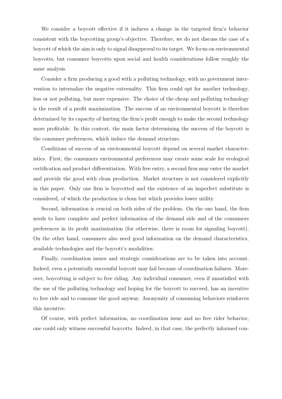We consider a boycott effective if it induces a change in the targeted firm's behavior consistent with the boycotting group's objective. Therefore, we do not discuss the case of a boycott of which the aim is only to signal disapproval to its target. We focus on environmental boycotts, but consumer boycotts upon social and health considerations follow roughly the same analysis.

Consider a firm producing a good with a polluting technology, with no government intervention to internalize the negative externality. This firm could opt for another technology, less or not polluting, but more expensive. The choice of the cheap and polluting technology is the result of a profit maximization. The success of an environmental boycott is therefore determined by its capacity of hurting the firm's profit enough to make the second technology more profitable. In this context, the main factor determining the success of the boycott is the consumer preferences, which induce the demand structure.

Conditions of success of an environmental boycott depend on several market characteristics. First, the consumers environmental preferences may create some scale for ecological certification and product differentiation. With free entry, a second firm may enter the market and provide the good with clean production. Market structure is not considered explicitly in this paper. Only one firm is boycotted and the existence of an imperfect substitute is considered, of which the production is clean but which provides lower utility.

Second, information is crucial on both sides of the problem. On the one hand, the firm needs to have complete and perfect information of the demand side and of the consumers preferences in its profit maximization (for otherwise, there is room for signaling boycott). On the other hand, consumers also need good information on the demand characteristics, available technologies and the boycott's modalities.

Finally, coordination issues and strategic considerations are to be taken into account. Indeed, even a potentially successful boycott may fail because of coordination failures. Moreover, boycotting is subject to free riding. Any individual consumer, even if unsatisfied with the use of the polluting technology and hoping for the boycott to succeed, has an incentive to free ride and to consume the good anyway. Anonymity of consuming behaviors reinforces this incentive.

Of course, with perfect information, no coordination issue and no free rider behavior, one could only witness successful boycotts. Indeed, in that case, the perfectly informed con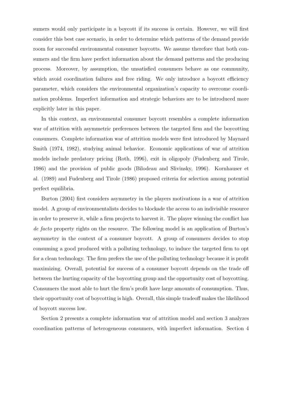sumers would only participate in a boycott if its success is certain. However, we will first consider this best case scenario, in order to determine which patterns of the demand provide room for successful environmental consumer boycotts. We assume therefore that both consumers and the firm have perfect information about the demand patterns and the producing process. Moreover, by assumption, the unsatisfied consumers behave as one community, which avoid coordination failures and free riding. We only introduce a boycott efficiency parameter, which considers the environmental organization's capacity to overcome coordination problems. Imperfect information and strategic behaviors are to be introduced more explicitly later in this paper.

In this context, an environmental consumer boycott resembles a complete information war of attrition with asymmetric preferences between the targeted firm and the boycotting consumers. Complete information war of attrition models were first introduced by Maynard Smith (1974, 1982), studying animal behavior. Economic applications of war of attrition models include predatory pricing (Roth, 1996), exit in oligopoly (Fudenberg and Tirole, 1986) and the provision of public goods (Bilodeau and Slivinsky, 1996). Kornhauser et al. (1989) and Fudenberg and Tirole (1986) proposed criteria for selection among potential perfect equilibria.

Burton (2004) first considers asymmetry in the players motivations in a war of attrition model. A group of environmentalists decides to blockade the access to an indivisible resource in order to preserve it, while a firm projects to harvest it. The player winning the conflict has de facto property rights on the resource. The following model is an application of Burton's asymmetry in the context of a consumer boycott. A group of consumers decides to stop consuming a good produced with a polluting technology, to induce the targeted firm to opt for a clean technology. The firm prefers the use of the polluting technology because it is profit maximizing. Overall, potential for success of a consumer boycott depends on the trade off between the hurting capacity of the boycotting group and the opportunity cost of boycotting. Consumers the most able to hurt the firm's profit have large amounts of consumption. Thus, their opportunity cost of boycotting is high. Overall, this simple tradeoff makes the likelihood of boycott success low.

Section 2 presents a complete information war of attrition model and section 3 analyzes coordination patterns of heterogeneous consumers, with imperfect information. Section 4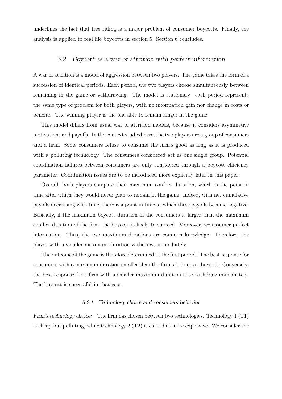underlines the fact that free riding is a major problem of consumer boycotts. Finally, the analysis is applied to real life boycotts in section 5. Section 6 concludes.

### 5.2 Boycott as a war of attrition with perfect information

A war of attrition is a model of aggression between two players. The game takes the form of a succession of identical periods. Each period, the two players choose simultaneously between remaining in the game or withdrawing. The model is stationary: each period represents the same type of problem for both players, with no information gain nor change in costs or benefits. The winning player is the one able to remain longer in the game.

This model differs from usual war of attrition models, because it considers asymmetric motivations and payoffs. In the context studied here, the two players are a group of consumers and a firm. Some consumers refuse to consume the firm's good as long as it is produced with a polluting technology. The consumers considered act as one single group. Potential coordination failures between consumers are only considered through a boycott efficiency parameter. Coordination issues are to be introduced more explicitly later in this paper.

Overall, both players compare their maximum conflict duration, which is the point in time after which they would never plan to remain in the game. Indeed, with net cumulative payoffs decreasing with time, there is a point in time at which these payoffs become negative. Basically, if the maximum boycott duration of the consumers is larger than the maximum conflict duration of the firm, the boycott is likely to succeed. Moreover, we assumer perfect information. Thus, the two maximum durations are common knowledge. Therefore, the player with a smaller maximum duration withdraws immediately.

The outcome of the game is therefore determined at the first period. The best response for consumers with a maximum duration smaller than the firm's is to never boycott. Conversely, the best response for a firm with a smaller maximum duration is to withdraw immediately. The boycott is successful in that case.

#### 5.2.1 Technology choice and consumers behavior

Firm's technology choice: The firm has chosen between two technologies. Technology 1 (T1) is cheap but polluting, while technology 2 (T2) is clean but more expensive. We consider the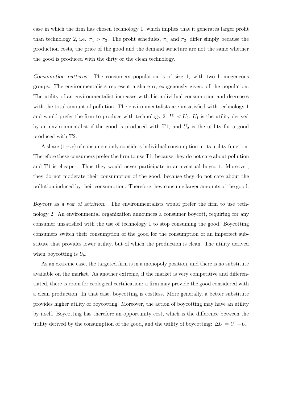case in which the firm has chosen technology 1, which implies that it generates larger profit than technology 2, i.e.  $\pi_1 > \pi_2$ . The profit schedules,  $\pi_1$  and  $\pi_2$ , differ simply because the production costs, the price of the good and the demand structure are not the same whether the good is produced with the dirty or the clean technology.

Consumption patterns: The consumers population is of size 1, with two homogeneous groups. The environmentalists represent a share  $\alpha$ , exogenously given, of the population. The utility of an environmentalist increases with his individual consumption and decreases with the total amount of pollution. The environmentalists are unsatisfied with technology 1 and would prefer the firm to produce with technology 2:  $U_1 < U_2$ .  $U_1$  is the utility derived by an environmentalist if the good is produced with  $T1$ , and  $U_2$  is the utility for a good produced with T2.

A share  $(1-\alpha)$  of consumers only considers individual consumption in its utility function. Therefore these consumers prefer the firm to use T1, because they do not care about pollution and T1 is cheaper. Thus they would never participate in an eventual boycott. Moreover, they do not moderate their consumption of the good, because they do not care about the pollution induced by their consumption. Therefore they consume larger amounts of the good.

Boycott as a war of attrition: The environmentalists would prefer the firm to use technology 2. An environmental organization announces a consumer boycott, requiring for any consumer unsatisfied with the use of technology 1 to stop consuming the good. Boycotting consumers switch their consumption of the good for the consumption of an imperfect substitute that provides lower utility, but of which the production is clean. The utility derived when boycotting is  $U_b$ .

As an extreme case, the targeted firm is in a monopoly position, and there is no substitute available on the market. As another extreme, if the market is very competitive and differentiated, there is room for ecological certification: a firm may provide the good considered with a clean production. In that case, boycotting is costless. More generally, a better substitute provides higher utility of boycotting. Moreover, the action of boycotting may have an utility by itself. Boycotting has therefore an opportunity cost, which is the difference between the utility derived by the consumption of the good, and the utility of boycotting:  $\Delta U = U_1 - U_b$ .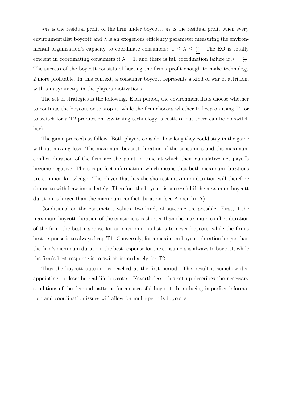$\lambda_{\overline{n_1}}$  is the residual profit of the firm under boycott.  $\overline{n_1}$  is the residual profit when every environmentalist boycott and  $\lambda$  is an exogenous efficiency parameter measuring the environmental organization's capacity to coordinate consumers:  $1 \leq \lambda \leq \frac{\pi_1}{\pi_1}$ . The EO is totally efficient in coordinating consumers if  $\lambda = 1$ , and there is full coordination failure if  $\lambda = \frac{\pi_1}{\pi_1}$ . The success of the boycott consists of hurting the firm's profit enough to make technology 2 more profitable. In this context, a consumer boycott represents a kind of war of attrition, with an asymmetry in the players motivations.

The set of strategies is the following. Each period, the environmentalists choose whether to continue the boycott or to stop it, while the firm chooses whether to keep on using T1 or to switch for a T2 production. Switching technology is costless, but there can be no switch back.

The game proceeds as follow. Both players consider how long they could stay in the game without making loss. The maximum boycott duration of the consumers and the maximum conflict duration of the firm are the point in time at which their cumulative net payoffs become negative. There is perfect information, which means that both maximum durations are common knowledge. The player that has the shortest maximum duration will therefore choose to withdraw immediately. Therefore the boycott is successful if the maximum boycott duration is larger than the maximum conflict duration (see Appendix A).

Conditional on the parameters values, two kinds of outcome are possible. First, if the maximum boycott duration of the consumers is shorter than the maximum conflict duration of the firm, the best response for an environmentalist is to never boycott, while the firm's best response is to always keep T1. Conversely, for a maximum boycott duration longer than the firm's maximum duration, the best response for the consumers is always to boycott, while the firm's best response is to switch immediately for T2.

Thus the boycott outcome is reached at the first period. This result is somehow disappointing to describe real life boycotts. Nevertheless, this set up describes the necessary conditions of the demand patterns for a successful boycott. Introducing imperfect information and coordination issues will allow for multi-periods boycotts.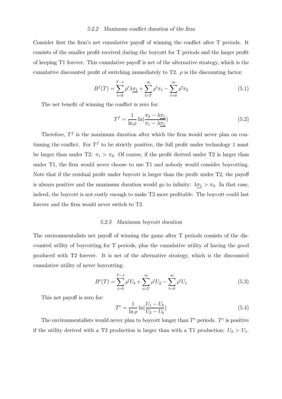#### 5.2.2 Maximum conflict duration of the firm

Consider first the firm's net cumulative payoff of winning the conflict after T periods. It consists of the smaller profit received during the boycott for T periods and the larger profit of keeping T1 forever. This cumulative payoff is net of the alternative strategy, which is the cumulative discounted profit of switching immediately to T2.  $\rho$  is the discounting factor.

$$
Bf(T) = \sum_{t=0}^{T-1} \rho^t \lambda \pi_1 + \sum_{t=T}^{\infty} \rho^t \pi_1 - \sum_{t=0}^{\infty} \rho^t \pi_2
$$
 (5.1)

The net benefit of winning the conflict is zero for:

$$
T^f = \frac{1}{\ln \rho} \ln(\frac{\pi_2 - \lambda \pi_1}{\pi_1 - \lambda \pi_1})
$$
\n(5.2)

Therefore,  $T<sup>f</sup>$  is the maximum duration after which the firm would never plan on continuing the conflict. For  $T<sup>f</sup>$  to be strictly positive, the full profit under technology 1 must be larger than under T2:  $\pi_1 > \pi_2$ . Of course, if the profit derived under T2 is larger than under T1, the firm would never choose to use T1 and nobody would consider boycotting. Note that if the residual profit under boycott is larger than the profit under T2, the payoff is always positive and the maximum duration would go to infinity:  $\lambda \underline{\pi_1} > \pi_2$ . In that case, indeed, the boycott is not costly enough to make T2 more profitable. The boycott could last forever and the firm would never switch to T2.

#### 5.2.3 Maximum boycott duration

The environmentalists net payoff of winning the game after T periods consists of the discounted utility of boycotting for T periods, plus the cumulative utility of having the good produced with T2 forever. It is net of the alternative strategy, which is the discounted cumulative utility of never boycotting:

$$
B^{c}(T) = \sum_{t=0}^{T-1} \rho^{t} U_{b} + \sum_{t=T}^{\infty} \rho^{t} U_{2} - \sum_{t=0}^{\infty} \rho^{t} U_{1}
$$
\n(5.3)

This net payoff is zero for:

$$
T^{c} = \frac{1}{\ln \rho} \ln(\frac{U_{1} - U_{b}}{U_{2} - U_{b}})
$$
\n(5.4)

The environmentalists would never plan to boycott longer than  $T<sup>c</sup>$  periods.  $T<sup>c</sup>$  is positive if the utility derived with a T2 production is larger than with a T1 production:  $U_2 > U_1$ .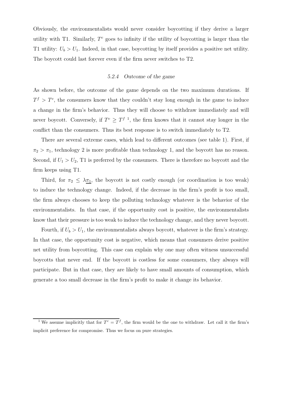Obviously, the environmentalists would never consider boycotting if they derive a larger utility with T1. Similarly,  $T<sup>c</sup>$  goes to infinity if the utility of boycotting is larger than the T1 utility:  $U_b > U_1$ . Indeed, in that case, boycotting by itself provides a positive net utility. The boycott could last forever even if the firm never switches to T2.

#### 5.2.4 Outcome of the game

As shown before, the outcome of the game depends on the two maximum durations. If  $T<sup>f</sup> > T<sup>c</sup>$ , the consumers know that they couldn't stay long enough in the game to induce a change in the firm's behavior. Thus they will choose to withdraw immediately and will never boycott. Conversely, if  $T^c \geq T^{f-1}$ , the firm knows that it cannot stay longer in the conflict than the consumers. Thus its best response is to switch immediately to T2.

There are several extreme cases, which lead to different outcomes (see table 1). First, if  $\pi_2 > \pi_1$ , technology 2 is more profitable than technology 1, and the boycott has no reason. Second, if  $U_1 > U_2$ , T1 is preferred by the consumers. There is therefore no boycott and the firm keeps using T1.

Third, for  $\pi_2 \leq \lambda \pi_1$ , the boycott is not costly enough (or coordination is too weak) to induce the technology change. Indeed, if the decrease in the firm's profit is too small, the firm always chooses to keep the polluting technology whatever is the behavior of the environmentalists. In that case, if the opportunity cost is positive, the environmentalists know that their pressure is too weak to induce the technology change, and they never boycott.

Fourth, if  $U_b > U_1$ , the environmentalists always boycott, whatever is the firm's strategy. In that case, the opportunity cost is negative, which means that consumers derive positive net utility from boycotting. This case can explain why one may often witness unsuccessful boycotts that never end. If the boycott is costless for some consumers, they always will participate. But in that case, they are likely to have small amounts of consumption, which generate a too small decrease in the firm's profit to make it change its behavior.

<sup>&</sup>lt;sup>1</sup> We assume implicitly that for  $T^c = T^f$ , the firm would be the one to withdraw. Let call it the firm's implicit preference for compromise. Thus we focus on pure strategies.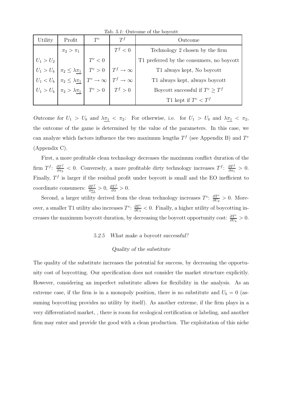| Utility     | Profit                                                                                                                                                                                                                                                                                                                                                               | $T^c$     | $T^f$     | Outcome                                   |
|-------------|----------------------------------------------------------------------------------------------------------------------------------------------------------------------------------------------------------------------------------------------------------------------------------------------------------------------------------------------------------------------|-----------|-----------|-------------------------------------------|
|             | $\pi_2 > \pi_1$                                                                                                                                                                                                                                                                                                                                                      |           | $T^f < 0$ | Technology 2 chosen by the firm           |
| $U_1 > U_2$ |                                                                                                                                                                                                                                                                                                                                                                      | $T^c < 0$ |           | T1 preferred by the consumers, no boycott |
|             | $U_1 > U_b$ $\begin{array}{c} \pi_2 \leq \lambda \frac{\pi_1}{2} \\ \pi_2 \leq \lambda \frac{\pi_1}{2} \end{array}$ $\begin{array}{c} T^c > 0 \\ T^f \to \infty \\ T^f \to \infty \end{array}$<br>$U_1 > U_b$ $\begin{array}{c} \pi_2 \leq \lambda \frac{\pi_1}{2} \\ \pi_2 > \lambda \frac{\pi_1}{2} \end{array}$ $\begin{array}{c} T^c > 0 \\ T^f > 0 \end{array}$ |           |           | T1 always kept, No boycott                |
|             |                                                                                                                                                                                                                                                                                                                                                                      |           |           | T1 always kept, always boycott            |
|             |                                                                                                                                                                                                                                                                                                                                                                      |           |           | Boycott successful if $T^c \geq T^f$      |
|             |                                                                                                                                                                                                                                                                                                                                                                      |           |           | T1 kept if $T^c < T^f$                    |

Tab. 5.1: Outcome of the boycott

Outcome for  $U_1 > U_b$  and  $\lambda \underline{\pi_1} < \pi_2$ : For otherwise, i.e. for  $U_1 > U_b$  and  $\lambda \underline{\pi_1} < \pi_2$ , the outcome of the game is determined by the value of the parameters. In this case, we can analyze which factors influence the two maximum lengths  $T<sup>f</sup>$  (see Appendix B) and  $T<sup>c</sup>$ (Appendix C).

First, a more profitable clean technology decreases the maximum conflict duration of the firm  $T^f$ :  $\frac{\partial T^f}{\partial \pi_2}$  < 0. Conversely, a more profitable dirty technology increases  $T^f$ :  $\frac{\partial T^f}{\partial \pi_1}$  > 0. Finally,  $T<sup>f</sup>$  is larger if the residual profit under boycott is small and the EO inefficient to coordinate consumers:  $\frac{\partial T^f}{\partial \pi_1} > 0$ ,  $\frac{\partial T^f}{\partial \lambda} > 0$ .

Second, a larger utility derived from the clean technology increases  $T^c$ :  $\frac{\partial T^c}{\partial U_2} > 0$ . Moreover, a smaller T1 utility also increases  $T^c$ :  $\frac{\partial T^c}{\partial U_1} < 0$ . Finally, a higher utility of boycotting increases the maximum boycott duration, by decreasing the boycott opportunity cost:  $\frac{\partial T^c}{\partial U_b} > 0$ .

#### 5.2.5 What make a boycott successful?

#### Quality of the substitute

The quality of the substitute increases the potential for success, by decreasing the opportunity cost of boycotting. Our specification does not consider the market structure explicitly. However, considering an imperfect substitute allows for flexibility in the analysis. As an extreme case, if the firm is in a monopoly position, there is no substitute and  $U_b = 0$  (assuming boycotting provides no utility by itself). As another extreme, if the firm plays in a very differentiated market, , there is room for ecological certification or labeling, and another firm may enter and provide the good with a clean production. The exploitation of this niche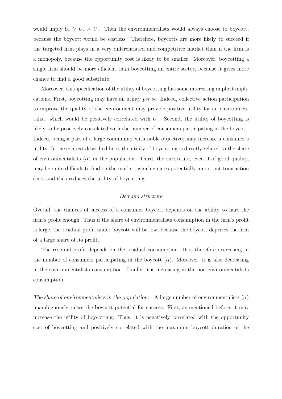would imply  $U_b \ge U_2 > U_1$ . Then the environmentalists would always choose to boycott, because the boycott would be costless. Therefore, boycotts are more likely to succeed if the targeted firm plays in a very differentiated and competitive market than if the firm is a monopoly, because the opportunity cost is likely to be smaller. Moreover, boycotting a single firm should be more efficient than boycotting an entire sector, because it gives more chance to find a good substitute.

Moreover, this specification of the utility of boycotting has some interesting implicit implications. First, boycotting may have an utility per se. Indeed, collective action participation to improve the quality of the environment may provide positive utility for an environmentalist, which would be positively correlated with  $U_b$ . Second, the utility of boycotting is likely to be positively correlated with the number of consumers participating in the boycott. Indeed, being a part of a large community with noble objectives may increase a consumer's utility. In the context described here, the utility of boycotting is directly related to the share of environmentalists  $(\alpha)$  in the population. Third, the substitute, even if of good quality, may be quite difficult to find on the market, which creates potentially important transaction costs and thus reduces the utility of boycotting.

#### Demand structure

Overall, the chances of success of a consumer boycott depends on the ability to hurt the firm's profit enough. Thus if the share of environmentalists consumption in the firm's profit is large, the residual profit under boycott will be low, because the boycott deprives the firm of a large share of its profit.

The residual profit depends on the residual consumption. It is therefore decreasing in the number of consumers participating in the boycott  $(\alpha)$ . Moreover, it is also decreasing in the environmentalists consumption. Finally, it is increasing in the non-environmentalists consumption.

The share of environmentalists in the population: A large number of environmentalists  $(\alpha)$ unambiguously raises the boycott potential for success. First, as mentioned before, it may increase the utility of boycotting. Thus, it is negatively correlated with the opportunity cost of boycotting and positively correlated with the maximum boycott duration of the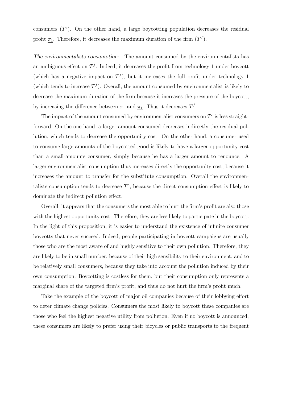consumers  $(T<sup>c</sup>)$ . On the other hand, a large boycotting population decreases the residual profit  $\pi_1$ . Therefore, it decreases the maximum duration of the firm  $(T^f)$ .

The environmentalists consumption: The amount consumed by the environmentalists has an ambiguous effect on  $T<sup>f</sup>$ . Indeed, it decreases the profit from technology 1 under boycott (which has a negative impact on  $T<sup>f</sup>$ ), but it increases the full profit under technology 1 (which tends to increase  $T<sup>f</sup>$ ). Overall, the amount consumed by environmentalist is likely to decrease the maximum duration of the firm because it increases the pressure of the boycott, by increasing the difference between  $\pi_1$  and  $\underline{\pi_1}$ . Thus it decreases  $T^f$ .

The impact of the amount consumed by environmentalist consumers on  $T<sup>c</sup>$  is less straightforward. On the one hand, a larger amount consumed decreases indirectly the residual pollution, which tends to decrease the opportunity cost. On the other hand, a consumer used to consume large amounts of the boycotted good is likely to have a larger opportunity cost than a small-amounts consumer, simply because he has a larger amount to renounce. A larger environmentalist consumption thus increases directly the opportunity cost, because it increases the amount to transfer for the substitute consumption. Overall the environmentalists consumption tends to decrease  $T<sup>c</sup>$ , because the direct consumption effect is likely to dominate the indirect pollution effect.

Overall, it appears that the consumers the most able to hurt the firm's profit are also those with the highest opportunity cost. Therefore, they are less likely to participate in the boycott. In the light of this proposition, it is easier to understand the existence of infinite consumer boycotts that never succeed. Indeed, people participating in boycott campaigns are usually those who are the most aware of and highly sensitive to their own pollution. Therefore, they are likely to be in small number, because of their high sensibility to their environment, and to be relatively small consumers, because they take into account the pollution induced by their own consumption. Boycotting is costless for them, but their consumption only represents a marginal share of the targeted firm's profit, and thus do not hurt the firm's profit much.

Take the example of the boycott of major oil companies because of their lobbying effort to deter climate change policies. Consumers the most likely to boycott these companies are those who feel the highest negative utility from pollution. Even if no boycott is announced, these consumers are likely to prefer using their bicycles or public transports to the frequent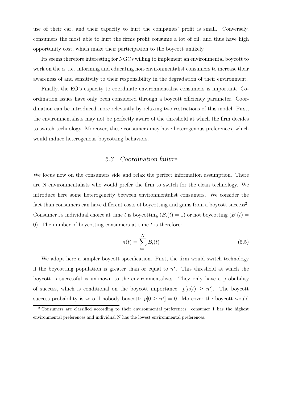use of their car, and their capacity to hurt the companies' profit is small. Conversely, consumers the most able to hurt the firms profit consume a lot of oil, and thus have high opportunity cost, which make their participation to the boycott unlikely.

Its seems therefore interesting for NGOs willing to implement an environmental boycott to work on the  $\alpha$ , i.e. informing and educating non-environmentalist consumers to increase their awareness of and sensitivity to their responsibility in the degradation of their environment.

Finally, the EO's capacity to coordinate environmentalist consumers is important. Coordination issues have only been considered through a boycott efficiency parameter. Coordination can be introduced more relevantly by relaxing two restrictions of this model. First, the environmentalists may not be perfectly aware of the threshold at which the firm decides to switch technology. Moreover, these consumers may have heterogenous preferences, which would induce heterogenous boycotting behaviors.

# 5.3 Coordination failure

We focus now on the consumers side and relax the perfect information assumption. There are N environmentalists who would prefer the firm to switch for the clean technology. We introduce here some heterogeneity between environmentalist consumers. We consider the fact than consumers can have different costs of boycotting and gains from a boycott success<sup>2</sup>. Consumer i's individual choice at time t is boycotting  $(B_i(t) = 1)$  or not boycotting  $(B_i(t) =$ 0). The number of boycotting consumers at time  $t$  is therefore:

$$
n(t) = \sum_{i=1}^{N} B_i(t)
$$
\n(5.5)

We adopt here a simpler boycott specification. First, the firm would switch technology if the boycotting population is greater than or equal to  $n<sup>s</sup>$ . This threshold at which the boycott is successful is unknown to the environmentalists. They only have a probability of success, which is conditional on the boycott importance:  $p[n(t) \geq n^s]$ . The boycott success probability is zero if nobody boycott:  $p[0 \geq n^s] = 0$ . Moreover the boycott would

<sup>&</sup>lt;sup>2</sup> Consumers are classified according to their environmental preferences: consumer 1 has the highest environmental preferences and individual N has the lowest environmental preferences.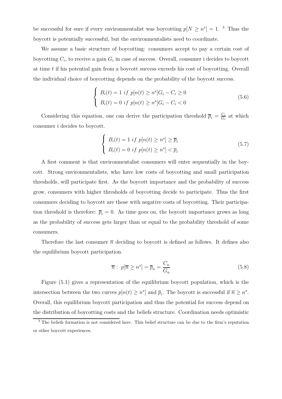be successful for sure if every environmentalist was boycotting  $p[N \geq n^s] = 1$ . <sup>3</sup> Thus the boycott is potentially successful, but the environmentalists need to coordinate.

We assume a basic structure of boycotting: consumers accept to pay a certain cost of boycotting  $C_i$ , to receive a gain  $G_i$  in case of success. Overall, consumer i decides to boycott at time  $t$  if his potential gain from a boycott success exceeds his cost of boycotting. Overall the individual choice of boycotting depends on the probability of the boycott success.

$$
\begin{cases}\nB_i(t) = 1 \text{ if } p[n(t) \ge n^s] G_i - C_i \ge 0 \\
B_i(t) = 0 \text{ if } p[n(t) \ge n^s] G_i - C_i < 0\n\end{cases} \tag{5.6}
$$

Considering this equation, one can derive the participation threshold  $\overline{p}_i = \frac{C_i}{G_i}$  at which consumer i decides to boycott.

$$
\begin{cases}\nB_i(t) = 1 \text{ if } p[n(t) \ge n^s] \ge \overline{p}_i \\
B_i(t) = 0 \text{ if } p[n(t) \ge n^s] < \overline{p}_i\n\end{cases} \tag{5.7}
$$

A first comment is that environmentalist consumers will enter sequentially in the boycott. Strong environmentalists, who have low costs of boycotting and small participation thresholds, will participate first. As the boycott importance and the probability of success grow, consumers with higher thresholds of boycotting decide to participate. Thus the first consumers deciding to boycott are those with negative costs of boycotting. Their participation threshold is therefore:  $\bar{p}_i = 0$ . As time goes on, the boycott importance grows as long as the probability of success gets larger than or equal to the probability threshold of some consumers.

Therefore the last consumer  $\bar{n}$  deciding to boycott is defined as follows. It defines also the equilibrium boycott participation.

$$
\overline{n}: \ p[\overline{n} \ge n^s] = \overline{p}_n = \frac{C_n}{G_n} \tag{5.8}
$$

Figure (5.1) gives a representation of the equilibrium boycott population, which is the intersection between the two curves  $p[n(t) \geq n^s]$  and  $\overline{p}_i$ . The boycott is successful if  $\overline{n} \geq n^s$ . Overall, this equilibrium boycott participation and thus the potential for success depend on the distribution of boycotting costs and the beliefs structure. Coordination needs optimistic

<sup>&</sup>lt;sup>3</sup> The beliefs formation is not considered here. This belief structure can be due to the firm's reputation or other boycott experiences.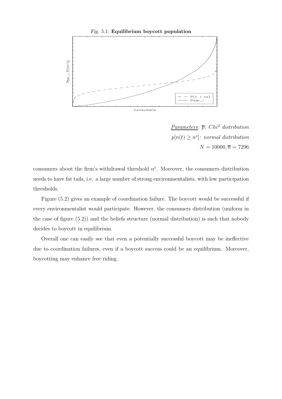

Parameters:  $\bar{p}$ : Chi<sup>2</sup> distribution  $p[n(t) \geq n^s]$ : normal distribution  $N = 10000, \overline{n} = 7296$ 

consumers about the firm's withdrawal threshold  $n<sup>s</sup>$ . Moreover, the consumers distribution needs to have fat tails, i.e. a large number of strong environmentalists, with low participation thresholds.

Figure (5.2) gives an example of coordination failure. The boycott would be successful if every environmentalist would participate. However, the consumers distribution (uniform in the case of figure (5.2)) and the beliefs structure (normal distribution) is such that nobody decides to boycott in equilibrium.

Overall one can easily see that even a potentially successful boycott may be ineffective due to coordination failures, even if a boycott success could be an equilibrium. Moreover, boycotting may enhance free riding.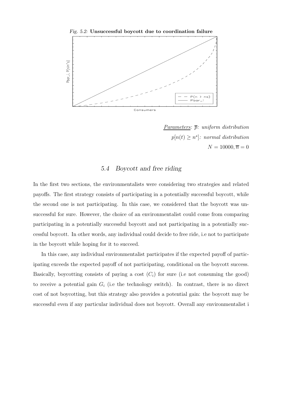

Parameters:  $\bar{p}$ : uniform distribution  $p[n(t) \geq n^s]$ : normal distribution  $N = 10000, \bar{n} = 0$ 

# 5.4 Boycott and free riding

In the first two sections, the environmentalists were considering two strategies and related payoffs. The first strategy consists of participating in a potentially successful boycott, while the second one is not participating. In this case, we considered that the boycott was unsuccessful for sure. However, the choice of an environmentalist could come from comparing participating in a potentially successful boycott and not participating in a potentially successful boycott. In other words, any individual could decide to free ride, i.e not to participate in the boycott while hoping for it to succeed.

In this case, any individual environmentalist participates if the expected payoff of participating exceeds the expected payoff of not participating, conditional on the boycott success. Basically, boycotting consists of paying a cost  $(C_i)$  for sure (i.e not consuming the good) to receive a potential gain  $G_i$  (i.e the technology switch). In contrast, there is no direct cost of not boycotting, but this strategy also provides a potential gain: the boycott may be successful even if any particular individual does not boycott. Overall any environmentalist i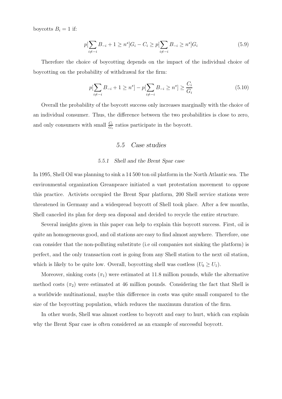boycotts  $B_i = 1$  if:

$$
p[\sum_{i \neq -i} B_{-i} + 1 \geq n^s]G_i - C_i \geq p[\sum_{i \neq -i} B_{-i} \geq n^s]G_i
$$
\n(5.9)

Therefore the choice of boycotting depends on the impact of the individual choice of boycotting on the probability of withdrawal for the firm:

$$
p[\sum_{i \neq -i} B_{-i} + 1 \ge n^s] - p[\sum_{i \neq -i} B_{-i} \ge n^s] \ge \frac{C_i}{G_i}
$$
(5.10)

Overall the probability of the boycott success only increases marginally with the choice of an individual consumer. Thus, the difference between the two probabilities is close to zero, and only consumers with small  $\frac{C_i}{G_i}$  ratios participate in the boycott.

# 5.5 Case studies

#### 5.5.1 Shell and the Brent Spar case

In 1995, Shell Oil was planning to sink a 14 500 ton oil platform in the North Atlantic sea. The environmental organization Greanpeace initiated a vast protestation movement to oppose this practice. Activists occupied the Brent Spar platform, 200 Shell service stations were threatened in Germany and a widespread boycott of Shell took place. After a few months, Shell canceled its plan for deep sea disposal and decided to recycle the entire structure.

Several insights given in this paper can help to explain this boycott success. First, oil is quite an homogeneous good, and oil stations are easy to find almost anywhere. Therefore, one can consider that the non-polluting substitute (i.e oil companies not sinking the platform) is perfect, and the only transaction cost is going from any Shell station to the next oil station, which is likely to be quite low. Overall, boycotting shell was costless  $(U_b \ge U_1)$ .

Moreover, sinking costs  $(\pi_1)$  were estimated at 11.8 million pounds, while the alternative method costs  $(\pi_2)$  were estimated at 46 million pounds. Considering the fact that Shell is a worldwide multinational, maybe this difference in costs was quite small compared to the size of the boycotting population, which reduces the maximum duration of the firm.

In other words, Shell was almost costless to boycott and easy to hurt, which can explain why the Brent Spar case is often considered as an example of successful boycott.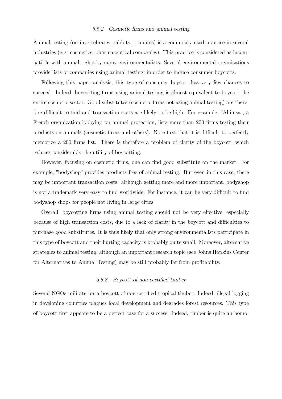#### 5.5.2 Cosmetic firms and animal testing

Animal testing (on invertebrates, rabbits, primates) is a commonly used practice in several industries (e.g: cosmetics, pharmaceutical companies). This practice is considered as incompatible with animal rights by many environmentalists. Several environmental organizations provide lists of companies using animal testing, in order to induce consumer boycotts.

Following this paper analysis, this type of consumer boycott has very few chances to succeed. Indeed, boycotting firms using animal testing is almost equivalent to boycott the entire cosmetic sector. Good substitutes (cosmetic firms not using animal testing) are therefore difficult to find and transaction costs are likely to be high. For example, "Ahimsa", a French organization lobbying for animal protection, lists more than 200 firms testing their products on animals (cosmetic firms and others). Note first that it is difficult to perfectly memorize a 200 firms list. There is therefore a problem of clarity of the boycott, which reduces considerably the utility of boycotting.

However, focusing on cosmetic firms, one can find good substitute on the market. For example, "bodyshop" provides products free of animal testing. But even in this case, there may be important transaction costs: although getting more and more important, bodyshop is not a trademark very easy to find worldwide. For instance, it can be very difficult to find bodyshop shops for people not living in large cities.

Overall, boycotting firms using animal testing should not be very effective, especially because of high transaction costs, due to a lack of clarity in the boycott and difficulties to purchase good substitutes. It is thus likely that only strong environmentalists participate in this type of boycott and their hurting capacity is probably quite small. Moreover, alternative strategies to animal testing, although an important research topic (see Johns Hopkins Center for Alternatives to Animal Testing) may be still probably far from profitability.

#### 5.5.3 Boycott of non-certified timber

Several NGOs militate for a boycott of non-certified tropical timber. Indeed, illegal logging in developing countries plagues local development and degrades forest resources. This type of boycott first appears to be a perfect case for a success. Indeed, timber is quite an homo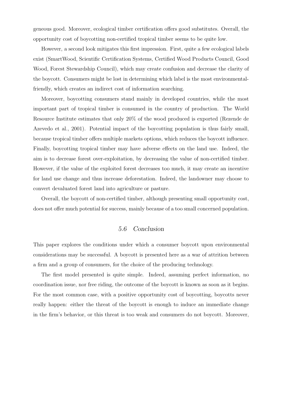geneous good. Moreover, ecological timber certification offers good substitutes. Overall, the opportunity cost of boycotting non-certified tropical timber seems to be quite low.

However, a second look mitigates this first impression. First, quite a few ecological labels exist (SmartWood, Scientific Certification Systems, Certified Wood Products Council, Good Wood, Forest Stewardship Council), which may create confusion and decrease the clarity of the boycott. Consumers might be lost in determining which label is the most environmentalfriendly, which creates an indirect cost of information searching.

Moreover, boycotting consumers stand mainly in developed countries, while the most important part of tropical timber is consumed in the country of production. The World Resource Institute estimates that only 20% of the wood produced is exported (Rezende de Azevedo et al., 2001). Potential impact of the boycotting population is thus fairly small, because tropical timber offers multiple markets options, which reduces the boycott influence. Finally, boycotting tropical timber may have adverse effects on the land use. Indeed, the aim is to decrease forest over-exploitation, by decreasing the value of non-certified timber. However, if the value of the exploited forest decreases too much, it may create an incentive for land use change and thus increase deforestation. Indeed, the landowner may choose to convert devaluated forest land into agriculture or pasture.

Overall, the boycott of non-certified timber, although presenting small opportunity cost, does not offer much potential for success, mainly because of a too small concerned population.

## 5.6 Conclusion

This paper explores the conditions under which a consumer boycott upon environmental considerations may be successful. A boycott is presented here as a war of attrition between a firm and a group of consumers, for the choice of the producing technology.

The first model presented is quite simple. Indeed, assuming perfect information, no coordination issue, nor free riding, the outcome of the boycott is known as soon as it begins. For the most common case, with a positive opportunity cost of boycotting, boycotts never really happen: either the threat of the boycott is enough to induce an immediate change in the firm's behavior, or this threat is too weak and consumers do not boycott. Moreover,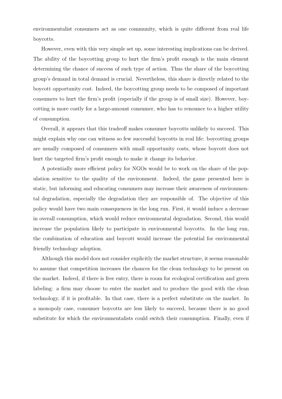environmentalist consumers act as one community, which is quite different from real life boycotts.

However, even with this very simple set up, some interesting implications can be derived. The ability of the boycotting group to hurt the firm's profit enough is the main element determining the chance of success of such type of action. Thus the share of the boycotting group's demand in total demand is crucial. Nevertheless, this share is directly related to the boycott opportunity cost. Indeed, the boycotting group needs to be composed of important consumers to hurt the firm's profit (especially if the group is of small size). However, boycotting is more costly for a large-amount consumer, who has to renounce to a higher utility of consumption.

Overall, it appears that this tradeoff makes consumer boycotts unlikely to succeed. This might explain why one can witness so few successful boycotts in real life: boycotting groups are usually composed of consumers with small opportunity costs, whose boycott does not hurt the targeted firm's profit enough to make it change its behavior.

A potentially more efficient policy for NGOs would be to work on the share of the population sensitive to the quality of the environment. Indeed, the game presented here is static, but informing and educating consumers may increase their awareness of environmental degradation, especially the degradation they are responsible of. The objective of this policy would have two main consequences in the long run. First, it would induce a decrease in overall consumption, which would reduce environmental degradation. Second, this would increase the population likely to participate in environmental boycotts. In the long run, the combination of education and boycott would increase the potential for environmental friendly technology adoption.

Although this model does not consider explicitly the market structure, it seems reasonable to assume that competition increases the chances for the clean technology to be present on the market. Indeed, if there is free entry, there is room for ecological certification and green labeling: a firm may choose to enter the market and to produce the good with the clean technology, if it is profitable. In that case, there is a perfect substitute on the market. In a monopoly case, consumer boycotts are less likely to succeed, because there is no good substitute for which the environmentalists could switch their consumption. Finally, even if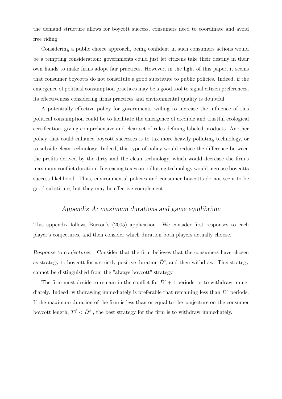the demand structure allows for boycott success, consumers need to coordinate and avoid free riding.

Considering a public choice approach, being confident in such consumers actions would be a tempting consideration: governments could just let citizens take their destiny in their own hands to make firms adopt fair practices. However, in the light of this paper, it seems that consumer boycotts do not constitute a good substitute to public policies. Indeed, if the emergence of political consumption practices may be a good tool to signal citizen preferences, its effectiveness considering firms practices and environmental quality is doubtful.

A potentially effective policy for governments willing to increase the influence of this political consumption could be to facilitate the emergence of credible and trustful ecological certification, giving comprehensive and clear set of rules defining labeled products. Another policy that could enhance boycott successes is to tax more heavily polluting technology, or to subside clean technology. Indeed, this type of policy would reduce the difference between the profits derived by the dirty and the clean technology, which would decrease the firm's maximum conflict duration. Increasing taxes on polluting technology would increase boycotts success likelihood. Thus, environmental policies and consumer boycotts do not seem to be good substitute, but they may be effective complement.

### Appendix A: maximum durations and game equilibrium

This appendix follows Burton's (2005) application. We consider first responses to each player's conjectures, and then consider which duration both players actually choose.

Response to conjectures: Consider that the firm believes that the consumers have chosen as strategy to boycott for a strictly positive duration  $\hat{D}^c$ , and then withdraw. This strategy cannot be distinguished from the "always boycott" strategy.

The firm must decide to remain in the conflict for  $\hat{D}^c + 1$  periods, or to withdraw immediately. Indeed, withdrawing immediately is preferable that remaining less than  $\hat{D}^c$  periods. If the maximum duration of the firm is less than or equal to the conjecture on the consumer boycott length,  $T^f \leq \hat{D}^c$ , the best strategy for the firm is to withdraw immediately.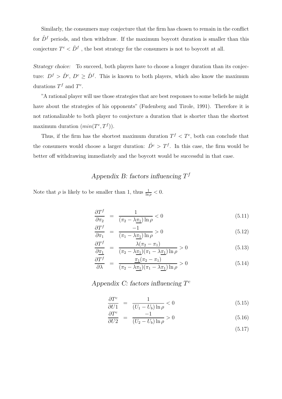Similarly, the consumers may conjecture that the firm has chosen to remain in the conflict for  $\hat{D}^f$  periods, and then withdraw. If the maximum boycott duration is smaller than this conjecture  $T^c<\hat D^f$  , the best strategy for the consumers is not to boycott at all.

Strategy choice: To succeed, both players have to choose a longer duration than its conjecture:  $D^f > \hat{D}^c$ ,  $D^c \geq \hat{D}^f$ . This is known to both players, which also know the maximum durations  $T^f$  and  $T^c$ .

"A rational player will use those strategies that are best responses to some beliefs he might have about the strategies of his opponents" (Fudenberg and Tirole, 1991). Therefore it is not rationalizable to both player to conjecture a duration that is shorter than the shortest maximum duration  $(min(T^c, T^f))$ .

Thus, if the firm has the shortest maximum duration  $T^f < T^c$ , both can conclude that the consumers would choose a larger duration:  $\hat{D}^c > T^f$ . In this case, the firm would be better off withdrawing immediately and the boycott would be successful in that case.

# Appendix B: factors influencing  $T^f$

Note that  $\rho$  is likely to be smaller than 1, thus  $\frac{1}{\ln \rho} < 0$ .

$$
\frac{\partial T^f}{\partial \pi_2} = \frac{1}{(\pi_2 - \lambda \underline{\pi_1}) \ln \rho} < 0 \tag{5.11}
$$

$$
\frac{\partial T^f}{\partial \pi_1} = \frac{-1}{(\pi_1 - \lambda \underline{\pi_1}) \ln \rho} > 0 \tag{5.12}
$$

$$
\frac{\partial T^f}{\partial \underline{\pi_1}} = \frac{\lambda(\pi_2 - \pi_1)}{(\pi_2 - \lambda \underline{\pi_1})(\pi_1 - \lambda \underline{\pi_1}) \ln \rho} > 0 \tag{5.13}
$$

$$
\frac{\partial T^f}{\partial \lambda} = \frac{\pi_1(\pi_2 - \pi_1)}{(\pi_2 - \lambda \underline{\pi_1})(\pi_1 - \lambda \underline{\pi_1}) \ln \rho} > 0
$$
\n(5.14)

Appendix C: factors influencing  $T^c$ 

$$
\frac{\partial T^c}{\partial U_1} = \frac{1}{(U_1 - U_b) \ln \rho} < 0 \tag{5.15}
$$

$$
\frac{\partial T^c}{\partial U^2} = \frac{-1}{(U_2 - U_b)\ln \rho} > 0 \tag{5.16}
$$

(5.17)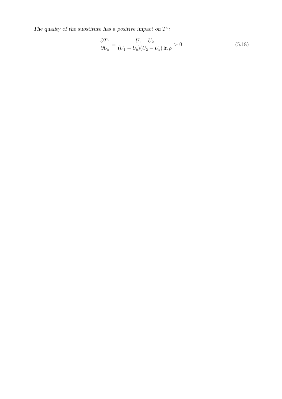The quality of the substitute has a positive impact on  $T^c$ :

$$
\frac{\partial T^c}{\partial U_b} = \frac{U_1 - U_2}{(U_1 - U_b)(U_2 - U_b)\ln \rho} > 0
$$
\n(5.18)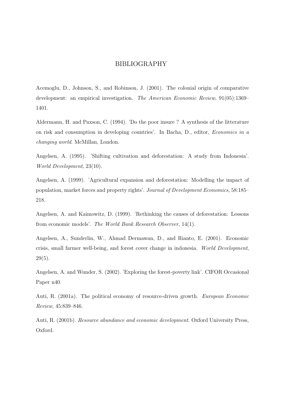# BIBLIOGRAPHY

Acemoglu, D., Johnson, S., and Robinson, J. (2001). The colonial origin of comparative development: an empirical investigation. The American Economic Review, 91(05):1369– 1401.

Aldermann, H. and Paxson, C. (1994). 'Do the poor insure ? A synthesis of the litterature on risk and consumption in developing countries'. In Bacha, D., editor, Economics in a changing world. McMillan, London.

Angelsen, A. (1995). 'Shifting cultivation and deforestation: A study from Indonesia'. World Development, 23(10).

Angelsen, A. (1999). 'Agricultural expansion and deforestation: Modelling the impact of population, market forces and property rights'. Journal of Development Economics, 58:185– 218.

Angelsen, A. and Kaimowitz, D. (1999). 'Rethinking the causes of deforestation: Lessons from economic models'. The World Bank Research Observer, 14(1).

Angelsen, A., Sunderlin, W., Ahmad Dermawan, D., and Rianto, E. (2001). Economic crisis, small farmer well-being, and forest cover change in indonesia. World Development,  $29(5)$ .

Angelsen, A. and Wunder, S. (2002). 'Exploring the forest-poverty link'. CIFOR Occasional Paper n40.

Auti, R. (2001a). The political economy of resource-driven growth. European Economic Review, 45:839–846.

Auti, R. (2001b). Resource abundance and economic development. Oxford University Press, Oxford.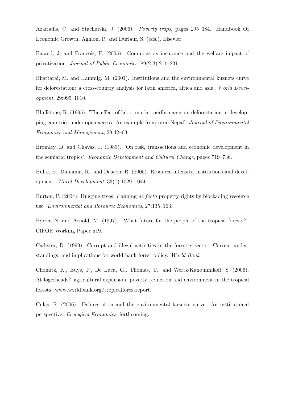Azariadis, C. and Stachurski, J. (2006). Poverty traps, pages 295–384. Handbook Of Economic Growth, Aghion, P. and Durlauf, S. (eds.), Elsevier.

Baland, J. and Francois, P. (2005). Commons as insurance and the welfare impact of privatization. Journal of Public Economics, 89(2-3):211–231.

Bhattarai, M. and Hammig, M. (2001). Institutions and the environmental kuznets curve for deforestation: a cross-country analysis for latin america, africa and asia. World Development, 29:995–1010.

Bluffstone, R. (1995). 'The effect of labor market performance on deforestation in developping countries under open access: An example from rural Nepal'. Journal of Environmental Economics and Management, 29:42–63.

Bromley, D. and Chavas, J. (1989). 'On risk, transactions and economic development in the semiarid tropics'. Economic Development and Cultural Change, pages 719–736.

Bulte, E., Damania, R., and Deacon, R. (2005). Resource intensity, institutions and development. World Development, 33(7):1029–1044.

Burton, P. (2004). Hugging trees: claiming de facto property rights by blockading resource use. Environmental and Resource Economics, 27:135–163.

Byron, N. and Arnold, M. (1997). 'What future for the people of the tropical forests?'. CIFOR Working Paper n19.

Callister, D. (1999). Corrupt and illegal activities in the forestry sector: Current understandings, and implications for world bank forest policy. World Bank.

Chomitz, K., Buys, P., De Luca, G., Thomas, T., and Wertz-Kanounnikoff, S. (2006). At logerheads? agricultural expansion, poverty reduction and environment in the tropical forests. www.worldbank.org/tropicalforestreport.

Culas, R. (2006). Deforestation and the environmental kuznets curve: An institutional perspective. Ecological Economics, forthcoming.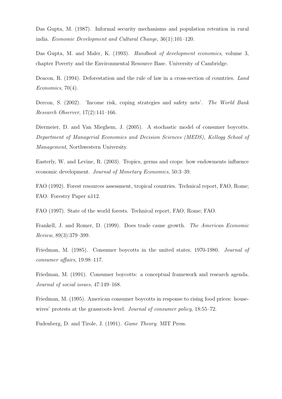Das Gupta, M. (1987). Informal security mechanisms and population retention in rural india. Economic Development and Cultural Change, 36(1):101–120.

Das Gupta, M. and Maler, K. (1993). *Handbook of development economics*, volume 3, chapter Poverty and the Environmental Resource Base. University of Cambridge.

Deacon, R. (1994). Deforestation and the rule of law in a cross-section of countries. Land Economics, 70(4).

Dercon, S. (2002). 'Income risk, coping strategies and safety nets'. The World Bank Research Observer, 17(2):141–166.

Diermeier, D. and Van Mieghem, J. (2005). A stochastic model of consumer boycotts. Department of Managerial Economics and Decision Sciences (MEDS), Kellogg School of Management, Northwestern University.

Easterly, W. and Levine, R. (2003). Tropics, germs and crops: how endowments influence economic development. Journal of Monetary Economics, 50:3–39.

FAO (1992). Forest resources assessment, tropical countries. Technical report, FAO, Rome; FAO. Forestry Paper n112.

FAO (1997). State of the world forests. Technical report, FAO, Rome; FAO.

Frankell, J. and Romer, D. (1999). Does trade cause growth. The American Economic Review, 89(3):379–399.

Friedman, M. (1985). Consumer boycotts in the united states, 1970-1980. *Journal of* consumer affairs, 19:98–117.

Friedman, M. (1991). Consumer boycotts: a conceptual framework and research agenda. Journal of social issues, 47:149–168.

Friedman, M. (1995). American consumer boycotts in response to rising food prices: housewives' protests at the grassroots level. Journal of consumer policy, 18:55–72.

Fudenberg, D. and Tirole, J. (1991). Game Theory. MIT Press.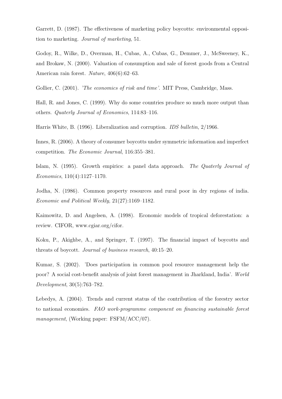Garrett, D. (1987). The effectiveness of marketing policy boycotts: environmental opposition to marketing. Journal of marketing, 51.

Godoy, R., Wilke, D., Overman, H., Cubas, A., Cubas, G., Demmer, J., McSweeney, K., and Brokaw, N. (2000). Valuation of consumption and sale of forest goods from a Central American rain forest. Nature, 406(6):62–63.

Gollier, C. (2001). *'The economics of risk and time'*. MIT Press, Cambridge, Mass.

Hall, R. and Jones, C. (1999). Why do some countries produce so much more output than others. Quaterly Journal of Economics, 114:83–116.

Harris White, B. (1996). Liberalization and corruption. IDS bulletin, 2/1966.

Innes, R. (2006). A theory of consumer boycotts under symmetric information and imperfect competition. The Economic Journal, 116:355–381.

Islam, N. (1995). Growth empirics: a panel data approach. The Quaterly Journal of Economics, 110(4):1127–1170.

Jodha, N. (1986). Common property resources and rural poor in dry regions of india. Economic and Political Weekly, 21(27):1169–1182.

Kaimowitz, D. and Angelsen, A. (1998). Economic models of tropical deforestation: a review. CIFOR, www.cgiar.org/cifor.

Koku, P., Akighbe, A., and Springer, T. (1997). The financial impact of boycotts and threats of boycott. Journal of business research, 40:15–20.

Kumar, S. (2002). 'Does participation in common pool resource management help the poor? A social cost-benefit analysis of joint forest management in Jharkland, India'. World Development, 30(5):763–782.

Lebedys, A. (2004). Trends and current status of the contribution of the forestry sector to national economies. FAO work-programme component on financing sustainable forest management, (Working paper: FSFM/ACC/07).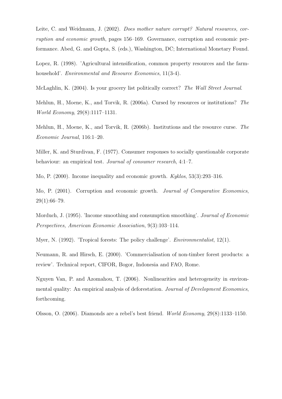Leite, C. and Weidmann, J. (2002). *Does mother nature corrupt? Natural resources, cor*ruption and economic growth, pages 156–169. Governance, corruption and economic performance. Abed, G. and Gupta, S. (eds.), Washington, DC; International Monetary Found.

Lopez, R. (1998). 'Agricultural intensification, common property resources and the farmhousehold'. *Environmental and Resource Economics*, 11(3-4).

McLaghlin, K. (2004). Is your grocery list politically correct? The Wall Street Journal.

Mehlun, H., Moene, K., and Torvik, R. (2006a). Cursed by resources or institutions? The World Economy, 29(8):1117–1131.

Mehlun, H., Moene, K., and Torvik, R. (2006b). Institutions and the resource curse. The Economic Journal, 116:1–20.

Miller, K. and Sturdivan, F. (1977). Consumer responses to socially questionable corporate behaviour: an empirical test. Journal of consumer research, 4:1–7.

Mo, P. (2000). Income inequality and economic growth. Kyklos, 53(3):293–316.

Mo, P. (2001). Corruption and economic growth. Journal of Comparative Economics,  $29(1):66-79.$ 

Morduch, J. (1995). 'Income smoothing and consumption smoothing'. Journal of Economic Perspectives, American Economic Association, 9(3):103–114.

Myer, N. (1992). 'Tropical forests: The policy challenge'. *Environmentalist*, 12(1).

Neumann, R. and Hirsch, E. (2000). 'Commercialisation of non-timber forest products: a review'. Technical report, CIFOR, Bogor, Indonesia and FAO, Rome.

Nguyen Van, P. and Azomahou, T. (2006). Nonlinearities and heterogeneity in environmental quality: An empirical analysis of deforestation. Journal of Development Economics, forthcoming.

Olsson, O. (2006). Diamonds are a rebel's best friend. World Economy, 29(8):1133–1150.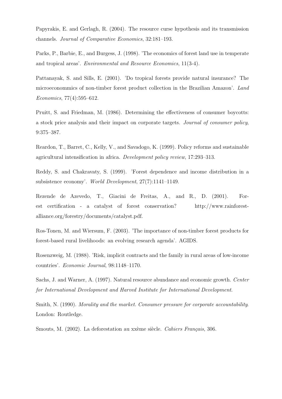Papyrakis, E. and Gerlagh, R. (2004). The resource curse hypothesis and its transmission channels. Journal of Comparative Economics, 32:181–193.

Parks, P., Barbie, E., and Burgess, J. (1998). 'The economics of forest land use in temperate and tropical areas'. Environmental and Resource Economics, 11(3-4).

Pattanayak, S. and Sills, E. (2001). 'Do tropical forests provide natural insurance? The microeconommics of non-timber forest product collection in the Brazilian Amazon'. Land Economics, 77(4):595–612.

Pruitt, S. and Friedman, M. (1986). Determining the effectiveness of consumer boycotts: a stock price analysis and their impact on corporate targets. Journal of consumer policy, 9:375–387.

Reardon, T., Barret, C., Kelly, V., and Savadogo, K. (1999). Policy reforms and sustainable agricultural intensification in africa. Development policy review, 17:293–313.

Reddy, S. and Chakravaty, S. (1999). 'Forest dependence and income distribution in a subsistence economy'. World Development, 27(7):1141–1149.

Rezende de Azevedo, T., Giacini de Freitas, A., and R., D. (2001). For[est certification - a catalyst of forest conservation? http://www.rainforest](http://www.rainforestalliance.org/forestry/documents/catalyst.pdf)alliance.org/forestry/documents/catalyst.pdf.

Ros-Tonen, M. and Wiersum, F. (2003). 'The importance of non-timber forest products for forest-based rural livelihoods: an evolving research agenda'. AGIDS.

Rosenzweig, M. (1988). 'Risk, implicit contracts and the family in rural areas of low-income countries'. Economic Journal, 98:1148–1170.

Sachs, J. and Warner, A. (1997). Natural resource abundance and economic growth. Center for International Development and Harved Institute for International Development.

Smith, N. (1990). Morality and the market. Consumer pressure for corporate accountability. London: Routledge.

Smouts, M. (2002). La deforestation au xxème siècle. Cahiers Français, 306.